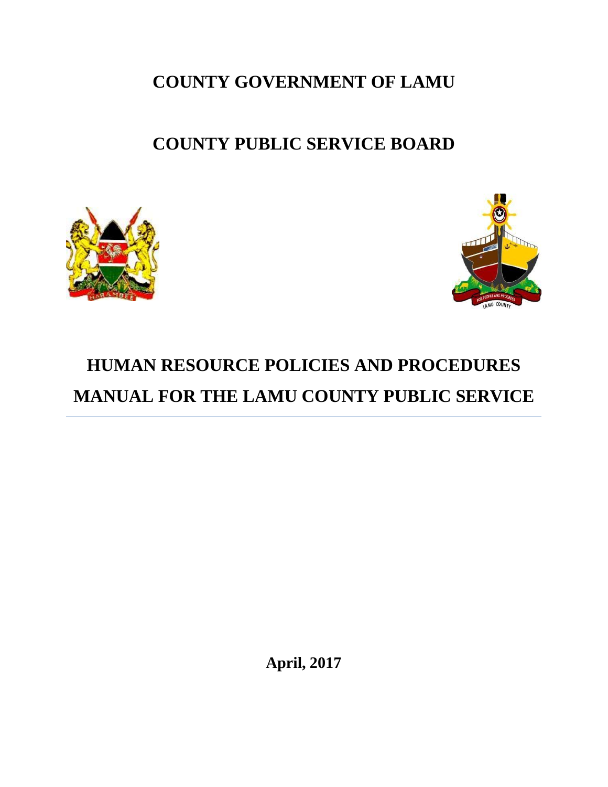**COUNTY GOVERNMENT OF LAMU** 

## **COUNTY PUBLIC SERVICE BOARD**





# **HUMAN RESOURCE POLICIES AND PROCEDURES MANUAL FOR THE LAMU COUNTY PUBLIC SERVICE**

**April, 2017**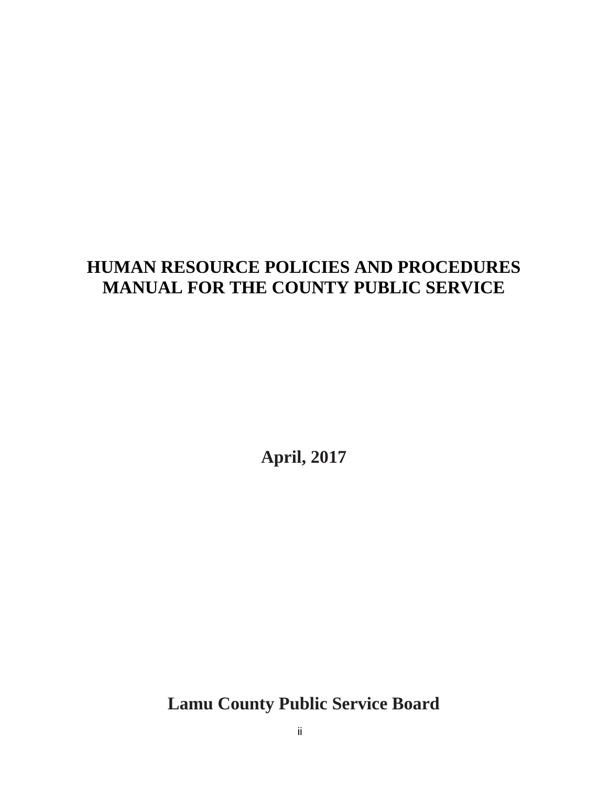## **HUMAN RESOURCE POLICIES AND PROCEDURES MANUAL FOR THE COUNTY PUBLIC SERVICE**

**April, 2017**

**Lamu County Public Service Board**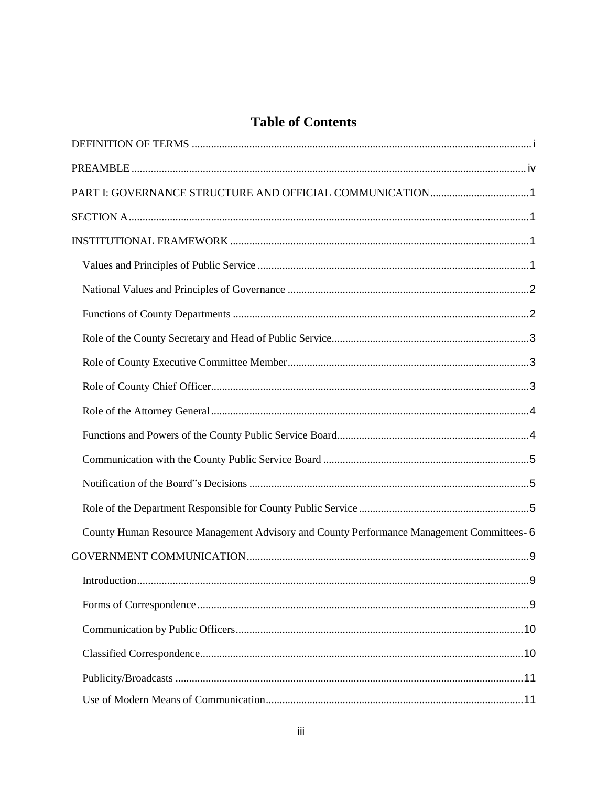## **Table of Contents**

| County Human Resource Management Advisory and County Performance Management Committees- 6 |
|-------------------------------------------------------------------------------------------|
|                                                                                           |
|                                                                                           |
|                                                                                           |
|                                                                                           |
|                                                                                           |
|                                                                                           |
|                                                                                           |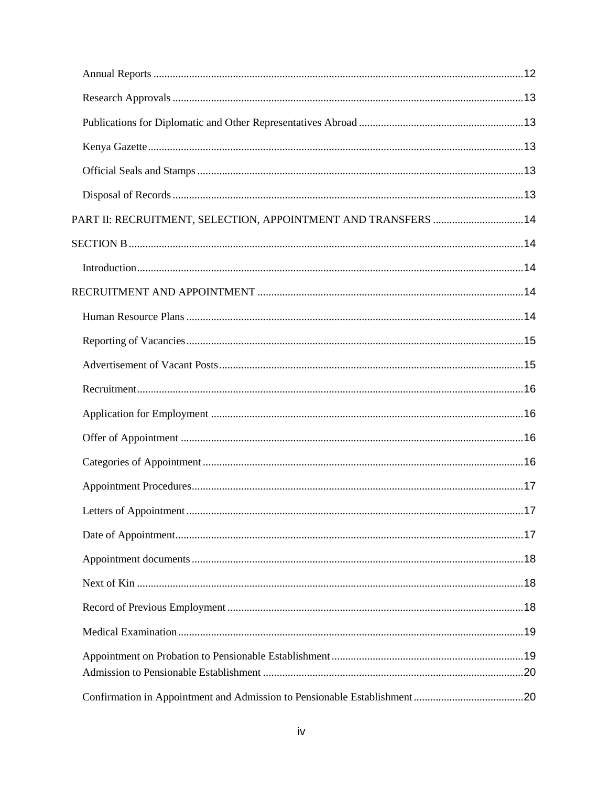| PART II: RECRUITMENT, SELECTION, APPOINTMENT AND TRANSFERS  14 |  |
|----------------------------------------------------------------|--|
|                                                                |  |
|                                                                |  |
|                                                                |  |
|                                                                |  |
|                                                                |  |
|                                                                |  |
|                                                                |  |
|                                                                |  |
|                                                                |  |
|                                                                |  |
|                                                                |  |
|                                                                |  |
|                                                                |  |
|                                                                |  |
|                                                                |  |
|                                                                |  |
|                                                                |  |
|                                                                |  |
|                                                                |  |
|                                                                |  |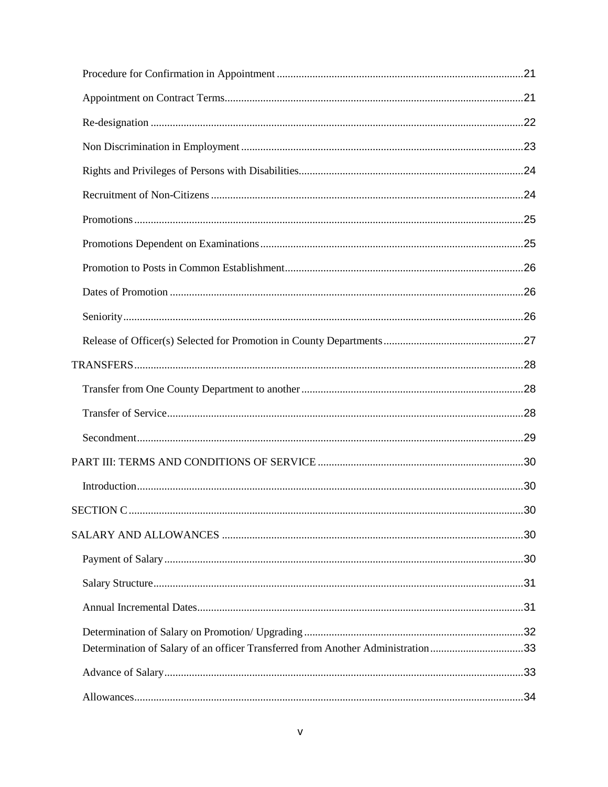| Determination of Salary of an officer Transferred from Another Administration33 |  |
|---------------------------------------------------------------------------------|--|
|                                                                                 |  |
|                                                                                 |  |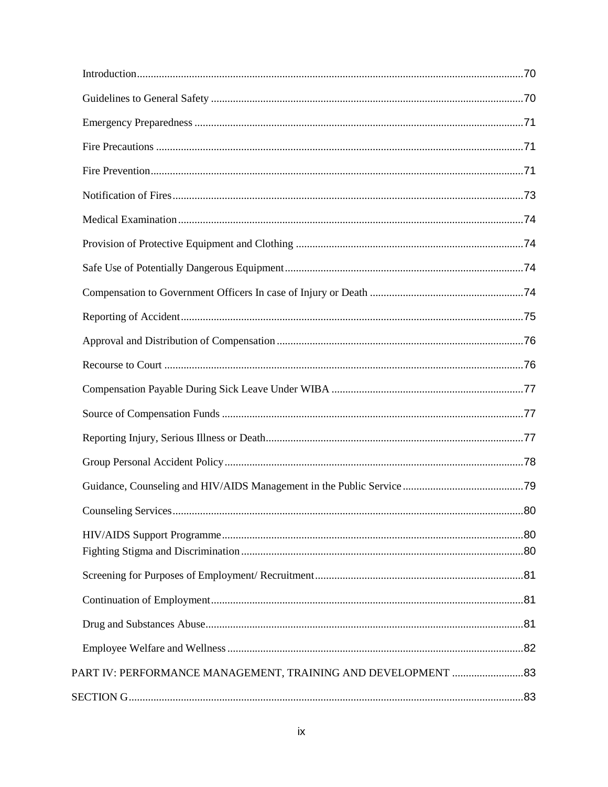| PART IV: PERFORMANCE MANAGEMENT, TRAINING AND DEVELOPMENT 83 |  |
|--------------------------------------------------------------|--|
|                                                              |  |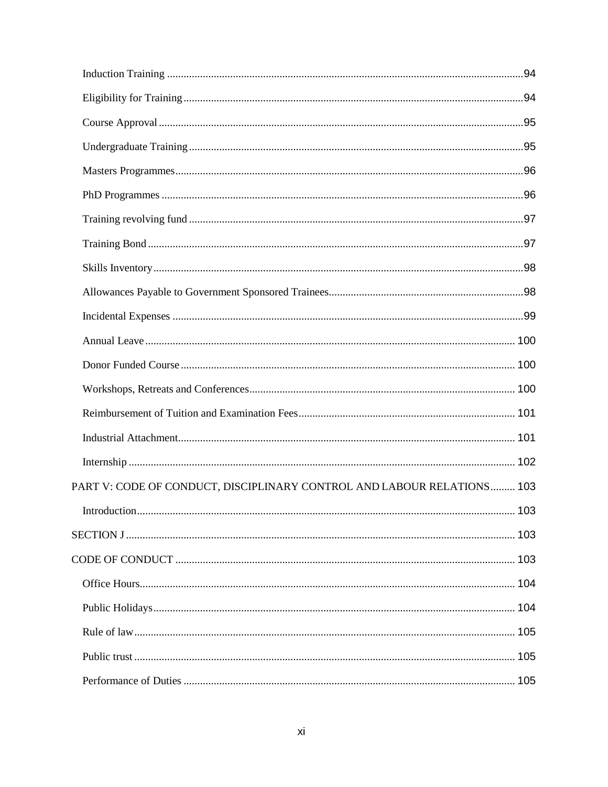| PART V: CODE OF CONDUCT, DISCIPLINARY CONTROL AND LABOUR RELATIONS 103 |  |
|------------------------------------------------------------------------|--|
|                                                                        |  |
|                                                                        |  |
|                                                                        |  |
|                                                                        |  |
|                                                                        |  |
|                                                                        |  |
|                                                                        |  |
|                                                                        |  |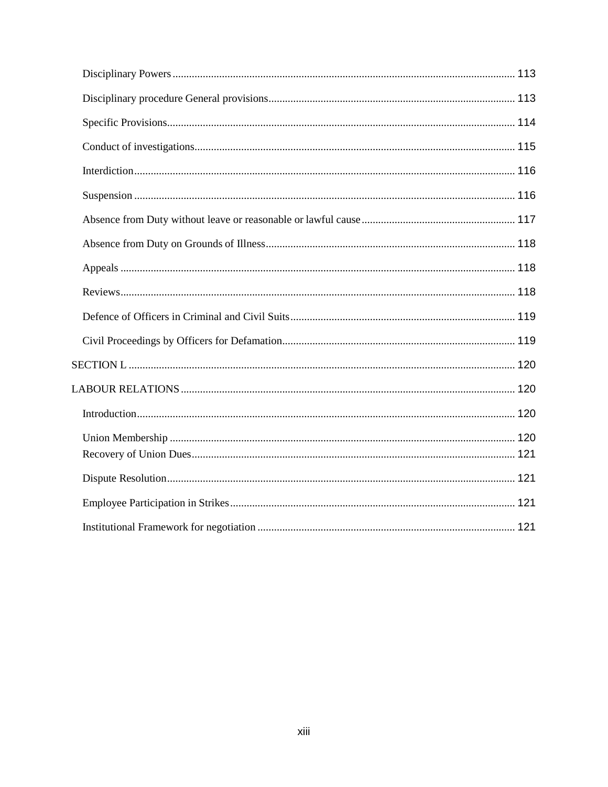<span id="page-12-0"></span>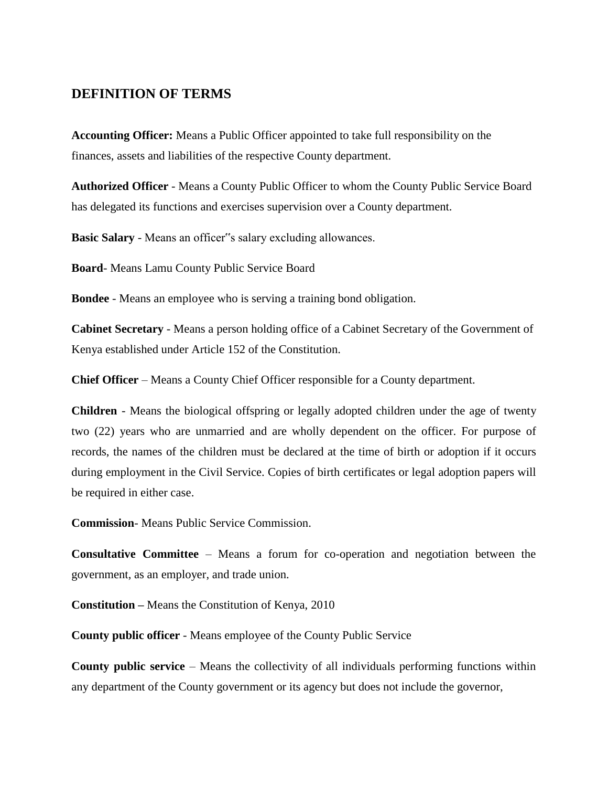## **DEFINITION OF TERMS**

**Accounting Officer:** Means a Public Officer appointed to take full responsibility on the finances, assets and liabilities of the respective County department.

**Authorized Officer** - Means a County Public Officer to whom the County Public Service Board has delegated its functions and exercises supervision over a County department.

**Basic Salary** - Means an officer"s salary excluding allowances.

**Board**- Means Lamu County Public Service Board

**Bondee** - Means an employee who is serving a training bond obligation.

**Cabinet Secretary** - Means a person holding office of a Cabinet Secretary of the Government of Kenya established under Article 152 of the Constitution.

**Chief Officer** – Means a County Chief Officer responsible for a County department.

**Children** - Means the biological offspring or legally adopted children under the age of twenty two (22) years who are unmarried and are wholly dependent on the officer. For purpose of records, the names of the children must be declared at the time of birth or adoption if it occurs during employment in the Civil Service. Copies of birth certificates or legal adoption papers will be required in either case.

**Commission**- Means Public Service Commission.

**Consultative Committee** – Means a forum for co-operation and negotiation between the government, as an employer, and trade union.

**Constitution –** Means the Constitution of Kenya, 2010

**County public officer** - Means employee of the County Public Service

**County public service** – Means the collectivity of all individuals performing functions within any department of the County government or its agency but does not include the governor,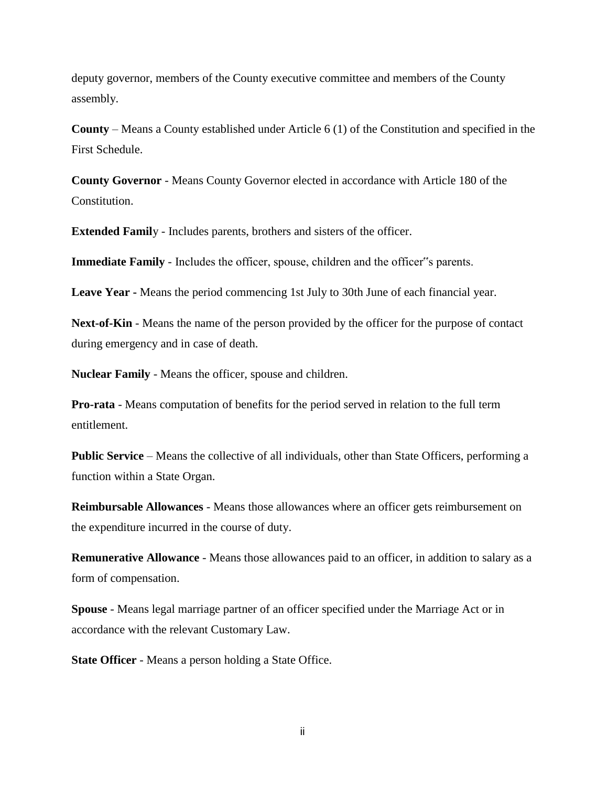deputy governor, members of the County executive committee and members of the County assembly.

**County** – Means a County established under Article 6 (1) of the Constitution and specified in the First Schedule.

**County Governor** - Means County Governor elected in accordance with Article 180 of the Constitution.

**Extended Famil**y - Includes parents, brothers and sisters of the officer.

**Immediate Family** - Includes the officer, spouse, children and the officer"s parents.

**Leave Year -** Means the period commencing 1st July to 30th June of each financial year.

**Next-of-Kin** - Means the name of the person provided by the officer for the purpose of contact during emergency and in case of death.

**Nuclear Family** - Means the officer, spouse and children.

**Pro-rata** - Means computation of benefits for the period served in relation to the full term entitlement.

**Public Service** – Means the collective of all individuals, other than State Officers, performing a function within a State Organ.

**Reimbursable Allowances** - Means those allowances where an officer gets reimbursement on the expenditure incurred in the course of duty.

**Remunerative Allowance** - Means those allowances paid to an officer, in addition to salary as a form of compensation.

**Spouse** - Means legal marriage partner of an officer specified under the Marriage Act or in accordance with the relevant Customary Law.

**State Officer** - Means a person holding a State Office.

ii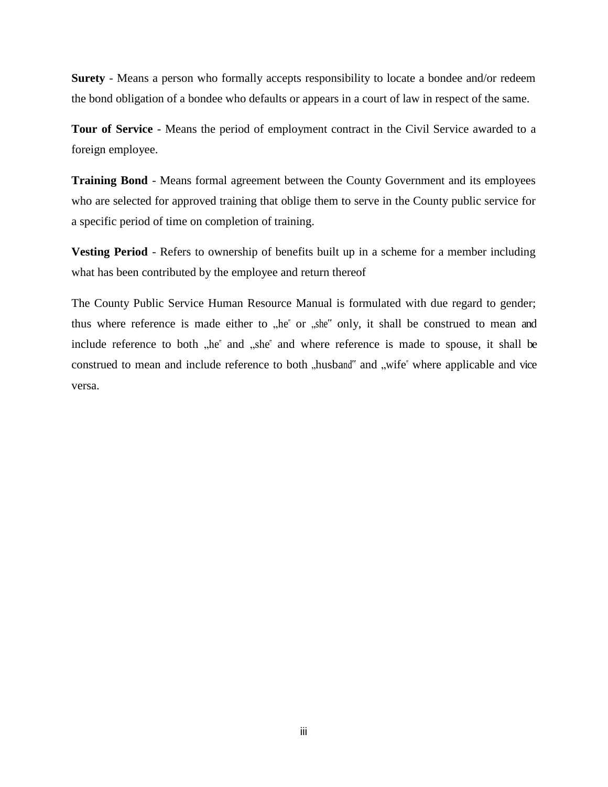**Surety** - Means a person who formally accepts responsibility to locate a bondee and/or redeem the bond obligation of a bondee who defaults or appears in a court of law in respect of the same.

**Tour of Service** - Means the period of employment contract in the Civil Service awarded to a foreign employee.

**Training Bond** - Means formal agreement between the County Government and its employees who are selected for approved training that oblige them to serve in the County public service for a specific period of time on completion of training.

**Vesting Period** - Refers to ownership of benefits built up in a scheme for a member including what has been contributed by the employee and return thereof

The County Public Service Human Resource Manual is formulated with due regard to gender; thus where reference is made either to  $n$ , he" or  $n$ , she" only, it shall be construed to mean and include reference to both "he" and "she" and where reference is made to spouse, it shall be construed to mean and include reference to both "husband" and "wife" where applicable and vice versa.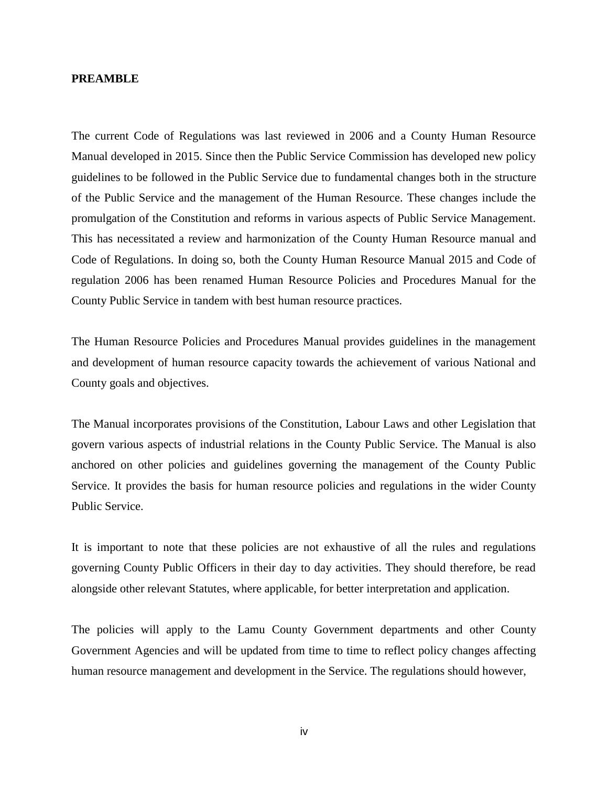#### <span id="page-16-0"></span>**PREAMBLE**

The current Code of Regulations was last reviewed in 2006 and a County Human Resource Manual developed in 2015. Since then the Public Service Commission has developed new policy guidelines to be followed in the Public Service due to fundamental changes both in the structure of the Public Service and the management of the Human Resource. These changes include the promulgation of the Constitution and reforms in various aspects of Public Service Management. This has necessitated a review and harmonization of the County Human Resource manual and Code of Regulations. In doing so, both the County Human Resource Manual 2015 and Code of regulation 2006 has been renamed Human Resource Policies and Procedures Manual for the County Public Service in tandem with best human resource practices.

The Human Resource Policies and Procedures Manual provides guidelines in the management and development of human resource capacity towards the achievement of various National and County goals and objectives.

The Manual incorporates provisions of the Constitution, Labour Laws and other Legislation that govern various aspects of industrial relations in the County Public Service. The Manual is also anchored on other policies and guidelines governing the management of the County Public Service. It provides the basis for human resource policies and regulations in the wider County Public Service.

It is important to note that these policies are not exhaustive of all the rules and regulations governing County Public Officers in their day to day activities. They should therefore, be read alongside other relevant Statutes, where applicable, for better interpretation and application.

The policies will apply to the Lamu County Government departments and other County Government Agencies and will be updated from time to time to reflect policy changes affecting human resource management and development in the Service. The regulations should however,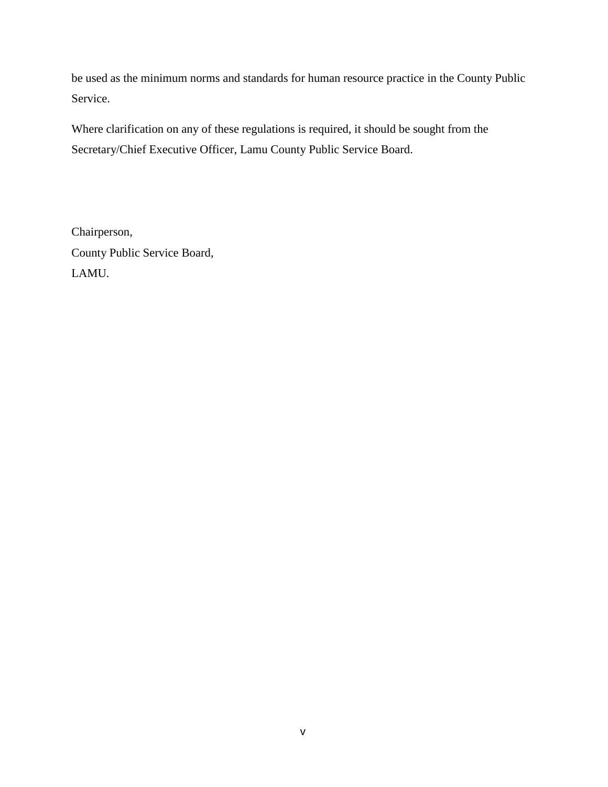be used as the minimum norms and standards for human resource practice in the County Public Service.

Where clarification on any of these regulations is required, it should be sought from the Secretary/Chief Executive Officer, Lamu County Public Service Board.

Chairperson, County Public Service Board, LAMU.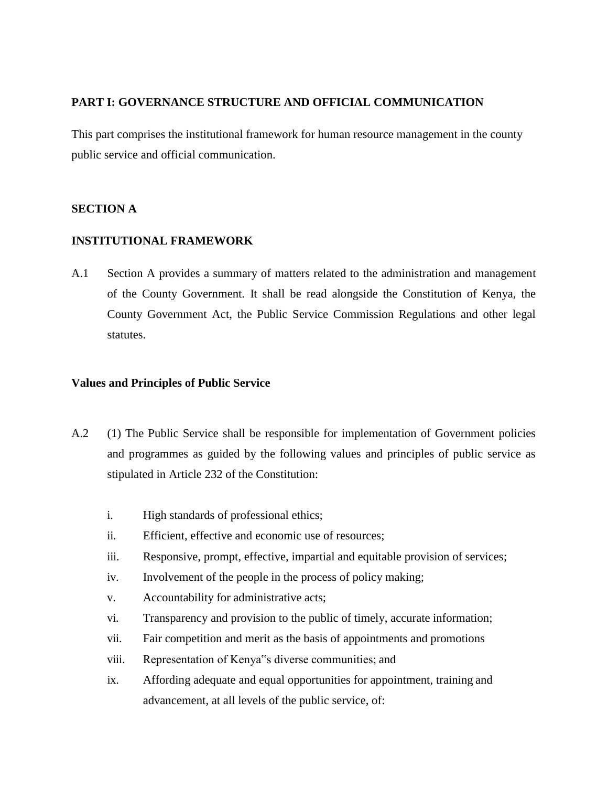## <span id="page-18-0"></span>**PART I: GOVERNANCE STRUCTURE AND OFFICIAL COMMUNICATION**

This part comprises the institutional framework for human resource management in the county public service and official communication.

## <span id="page-18-2"></span><span id="page-18-1"></span>**SECTION A**

## **INSTITUTIONAL FRAMEWORK**

A.1 Section A provides a summary of matters related to the administration and management of the County Government. It shall be read alongside the Constitution of Kenya, the County Government Act, the Public Service Commission Regulations and other legal statutes.

## <span id="page-18-3"></span>**Values and Principles of Public Service**

- A.2 (1) The Public Service shall be responsible for implementation of Government policies and programmes as guided by the following values and principles of public service as stipulated in Article 232 of the Constitution:
	- i. High standards of professional ethics;
	- ii. Efficient, effective and economic use of resources;
	- iii. Responsive, prompt, effective, impartial and equitable provision of services;
	- iv. Involvement of the people in the process of policy making;
	- v. Accountability for administrative acts;
	- vi. Transparency and provision to the public of timely, accurate information;
	- vii. Fair competition and merit as the basis of appointments and promotions
	- viii. Representation of Kenya"s diverse communities; and
	- ix. Affording adequate and equal opportunities for appointment, training and advancement, at all levels of the public service, of: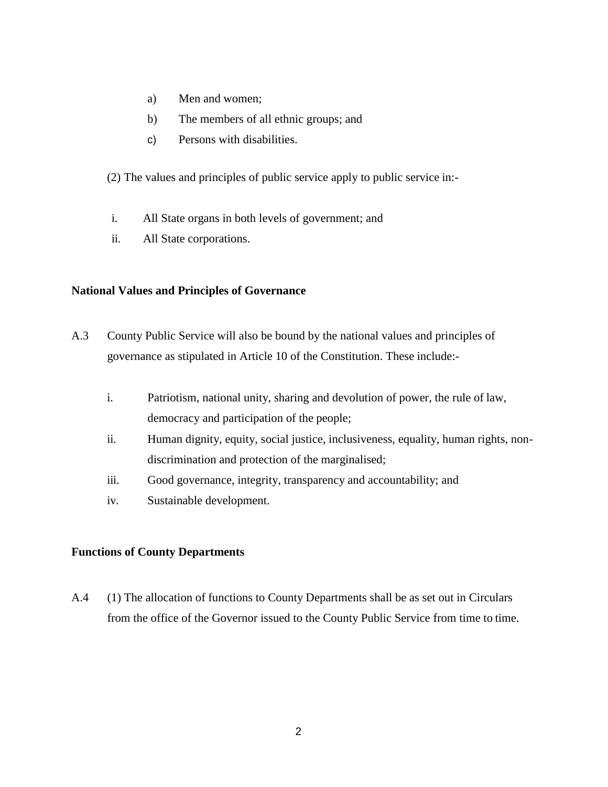- a) Men and women;
- b) The members of all ethnic groups; and
- c) Persons with disabilities.

(2) The values and principles of public service apply to public service in:-

- i. All State organs in both levels of government; and
- ii. All State corporations.

## <span id="page-19-0"></span>**National Values and Principles of Governance**

- A.3 County Public Service will also be bound by the national values and principles of governance as stipulated in Article 10 of the Constitution. These include:
	- i. Patriotism, national unity, sharing and devolution of power, the rule of law, democracy and participation of the people;
	- ii. Human dignity, equity, social justice, inclusiveness, equality, human rights, nondiscrimination and protection of the marginalised;
	- iii. Good governance, integrity, transparency and accountability; and
	- iv. Sustainable development.

## <span id="page-19-1"></span>**Functions of County Departments**

A.4 (1) The allocation of functions to County Departments shall be as set out in Circulars from the office of the Governor issued to the County Public Service from time to time.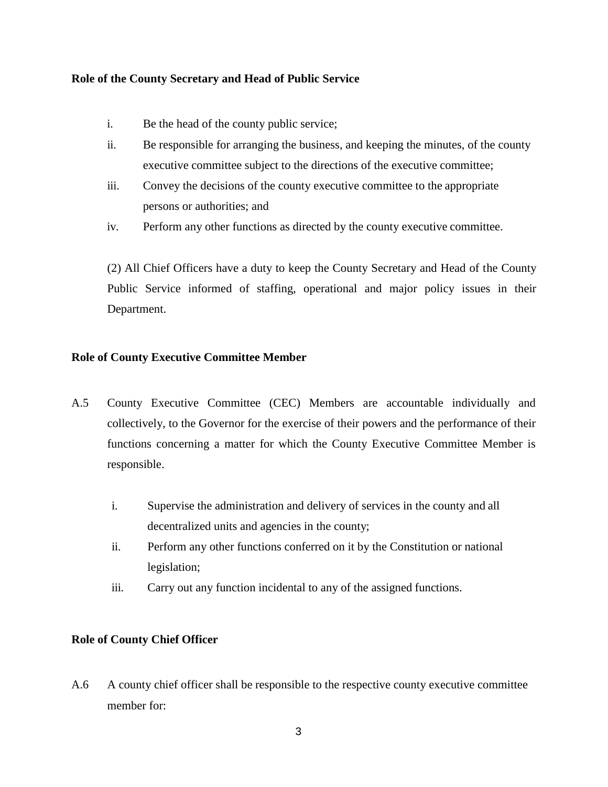#### <span id="page-20-0"></span>**Role of the County Secretary and Head of Public Service**

- i. Be the head of the county public service;
- ii. Be responsible for arranging the business, and keeping the minutes, of the county executive committee subject to the directions of the executive committee;
- iii. Convey the decisions of the county executive committee to the appropriate persons or authorities; and
- iv. Perform any other functions as directed by the county executive committee.

(2) All Chief Officers have a duty to keep the County Secretary and Head of the County Public Service informed of staffing, operational and major policy issues in their Department.

## <span id="page-20-1"></span>**Role of County Executive Committee Member**

- A.5 County Executive Committee (CEC) Members are accountable individually and collectively, to the Governor for the exercise of their powers and the performance of their functions concerning a matter for which the County Executive Committee Member is responsible.
	- i. Supervise the administration and delivery of services in the county and all decentralized units and agencies in the county;
	- ii. Perform any other functions conferred on it by the Constitution or national legislation;
	- iii. Carry out any function incidental to any of the assigned functions.

## <span id="page-20-2"></span>**Role of County Chief Officer**

A.6 A county chief officer shall be responsible to the respective county executive committee member for: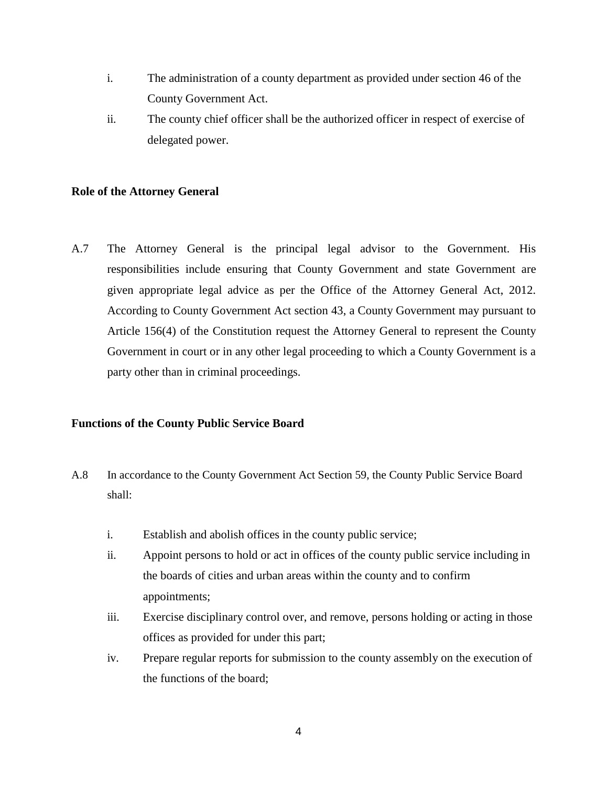- i. The administration of a county department as provided under section 46 of the County Government Act.
- ii. The county chief officer shall be the authorized officer in respect of exercise of delegated power.

## <span id="page-21-0"></span>**Role of the Attorney General**

A.7 The Attorney General is the principal legal advisor to the Government. His responsibilities include ensuring that County Government and state Government are given appropriate legal advice as per the Office of the Attorney General Act, 2012. According to County Government Act section 43, a County Government may pursuant to Article 156(4) of the Constitution request the Attorney General to represent the County Government in court or in any other legal proceeding to which a County Government is a party other than in criminal proceedings.

## <span id="page-21-1"></span>**Functions of the County Public Service Board**

- A.8 In accordance to the County Government Act Section 59, the County Public Service Board shall:
	- i. Establish and abolish offices in the county public service;
	- ii. Appoint persons to hold or act in offices of the county public service including in the boards of cities and urban areas within the county and to confirm appointments;
	- iii. Exercise disciplinary control over, and remove, persons holding or acting in those offices as provided for under this part;
	- iv. Prepare regular reports for submission to the county assembly on the execution of the functions of the board;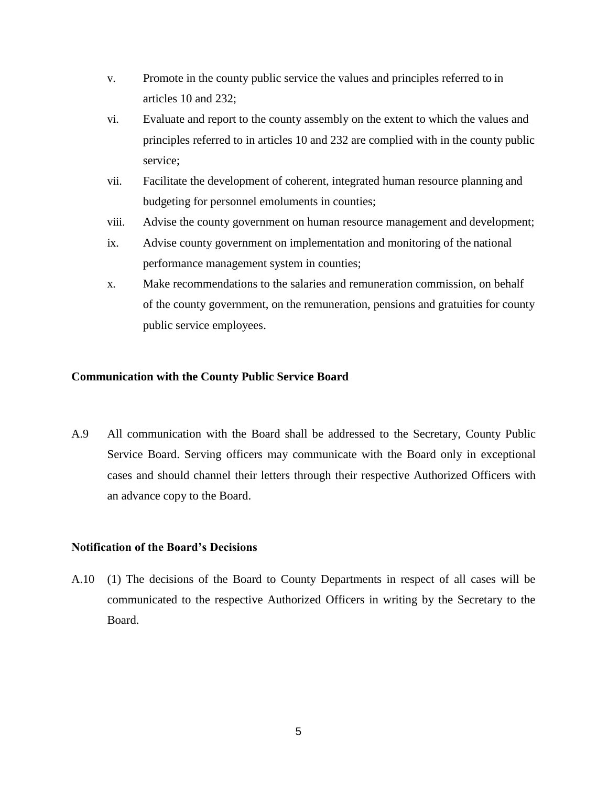- <span id="page-22-2"></span>v. Promote in the county public service the values and principles referred to in articles 10 and 232;
- vi. Evaluate and report to the county assembly on the extent to which the values and principles referred to in articles 10 and 232 are complied with in the county public service;
- vii. Facilitate the development of coherent, integrated human resource planning and budgeting for personnel emoluments in counties;
- viii. Advise the county government on human resource management and development;
- ix. Advise county government on implementation and monitoring of the national performance management system in counties;
- x. Make recommendations to the salaries and remuneration commission, on behalf of the county government, on the remuneration, pensions and gratuities for county public service employees.

#### <span id="page-22-0"></span>**Communication with the County Public Service Board**

A.9 All communication with the Board shall be addressed to the Secretary, County Public Service Board. Serving officers may communicate with the Board only in exceptional cases and should channel their letters through their respective Authorized Officers with an advance copy to the Board.

## <span id="page-22-1"></span>**Notification of the Board's Decisions**

A.10 (1) The decisions of the Board to County Departments in respect of all cases will be communicated to the respective Authorized Officers in writing by the Secretary to the Board.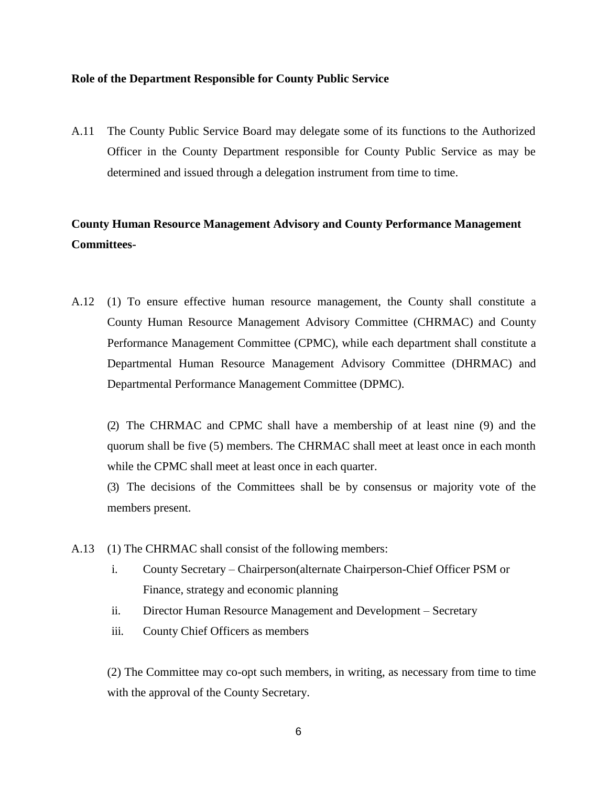#### **Role of the Department Responsible for County Public Service**

A.11 The County Public Service Board may delegate some of its functions to the Authorized Officer in the County Department responsible for County Public Service as may be determined and issued through a delegation instrument from time to time.

## <span id="page-23-0"></span>**County Human Resource Management Advisory and County Performance Management Committees-**

A.12 (1) To ensure effective human resource management, the County shall constitute a County Human Resource Management Advisory Committee (CHRMAC) and County Performance Management Committee (CPMC), while each department shall constitute a Departmental Human Resource Management Advisory Committee (DHRMAC) and Departmental Performance Management Committee (DPMC).

(2) The CHRMAC and CPMC shall have a membership of at least nine (9) and the quorum shall be five (5) members. The CHRMAC shall meet at least once in each month while the CPMC shall meet at least once in each quarter.

(3) The decisions of the Committees shall be by consensus or majority vote of the members present.

- A.13 (1) The CHRMAC shall consist of the following members:
	- i. County Secretary Chairperson(alternate Chairperson-Chief Officer PSM or Finance, strategy and economic planning
	- ii. Director Human Resource Management and Development Secretary
	- iii. County Chief Officers as members

(2) The Committee may co-opt such members, in writing, as necessary from time to time with the approval of the County Secretary.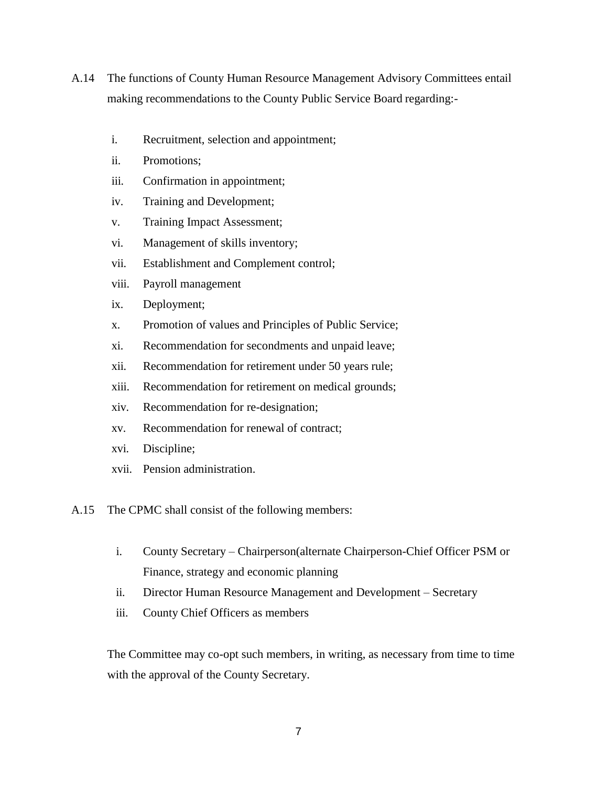- A.14 The functions of County Human Resource Management Advisory Committees entail making recommendations to the County Public Service Board regarding:
	- i. Recruitment, selection and appointment;
	- ii. Promotions;
	- iii. Confirmation in appointment;
	- iv. Training and Development;
	- v. Training Impact Assessment;
	- vi. Management of skills inventory;
	- vii. Establishment and Complement control;
	- viii. Payroll management
	- ix. Deployment;
	- x. Promotion of values and Principles of Public Service;
	- xi. Recommendation for secondments and unpaid leave;
	- xii. Recommendation for retirement under 50 years rule;
	- xiii. Recommendation for retirement on medical grounds;
	- xiv. Recommendation for re-designation;
	- xv. Recommendation for renewal of contract;
	- xvi. Discipline;
	- xvii. Pension administration.
- A.15 The CPMC shall consist of the following members:
	- i. County Secretary Chairperson(alternate Chairperson-Chief Officer PSM or Finance, strategy and economic planning
	- ii. Director Human Resource Management and Development Secretary
	- iii. County Chief Officers as members

The Committee may co-opt such members, in writing, as necessary from time to time with the approval of the County Secretary.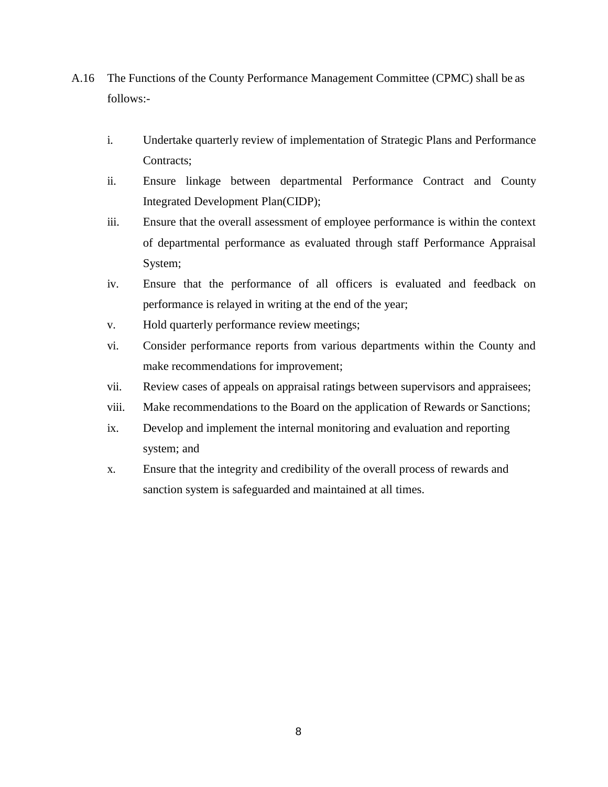- <span id="page-25-0"></span>A.16 The Functions of the County Performance Management Committee (CPMC) shall be as follows:
	- i. Undertake quarterly review of implementation of Strategic Plans and Performance Contracts;
	- ii. Ensure linkage between departmental Performance Contract and County Integrated Development Plan(CIDP);
	- iii. Ensure that the overall assessment of employee performance is within the context of departmental performance as evaluated through staff Performance Appraisal System;
	- iv. Ensure that the performance of all officers is evaluated and feedback on performance is relayed in writing at the end of the year;
	- v. Hold quarterly performance review meetings;
	- vi. Consider performance reports from various departments within the County and make recommendations for improvement;
	- vii. Review cases of appeals on appraisal ratings between supervisors and appraisees;
	- viii. Make recommendations to the Board on the application of Rewards or Sanctions;
	- ix. Develop and implement the internal monitoring and evaluation and reporting system; and
	- x. Ensure that the integrity and credibility of the overall process of rewards and sanction system is safeguarded and maintained at all times.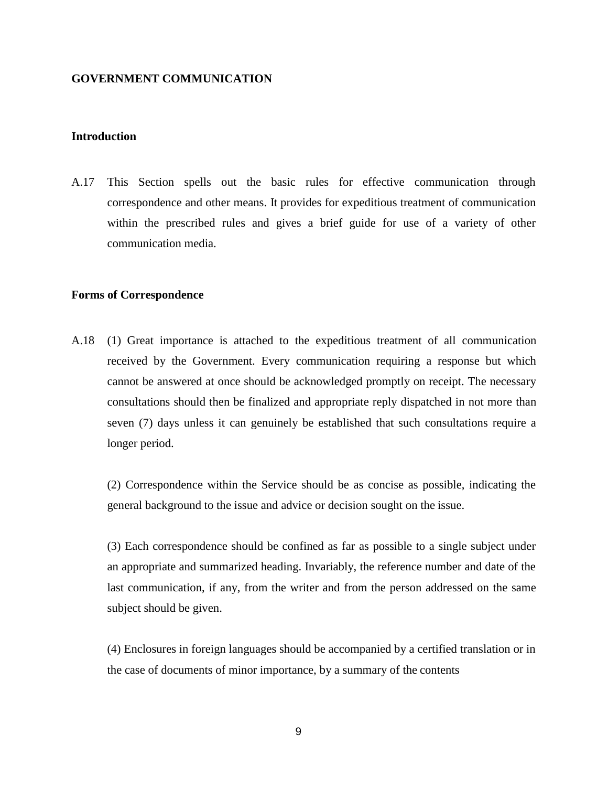#### **GOVERNMENT COMMUNICATION**

#### <span id="page-26-0"></span>**Introduction**

A.17 This Section spells out the basic rules for effective communication through correspondence and other means. It provides for expeditious treatment of communication within the prescribed rules and gives a brief guide for use of a variety of other communication media.

#### <span id="page-26-1"></span>**Forms of Correspondence**

A.18 (1) Great importance is attached to the expeditious treatment of all communication received by the Government. Every communication requiring a response but which cannot be answered at once should be acknowledged promptly on receipt. The necessary consultations should then be finalized and appropriate reply dispatched in not more than seven (7) days unless it can genuinely be established that such consultations require a longer period.

(2) Correspondence within the Service should be as concise as possible, indicating the general background to the issue and advice or decision sought on the issue.

(3) Each correspondence should be confined as far as possible to a single subject under an appropriate and summarized heading. Invariably, the reference number and date of the last communication, if any, from the writer and from the person addressed on the same subject should be given.

(4) Enclosures in foreign languages should be accompanied by a certified translation or in the case of documents of minor importance, by a summary of the contents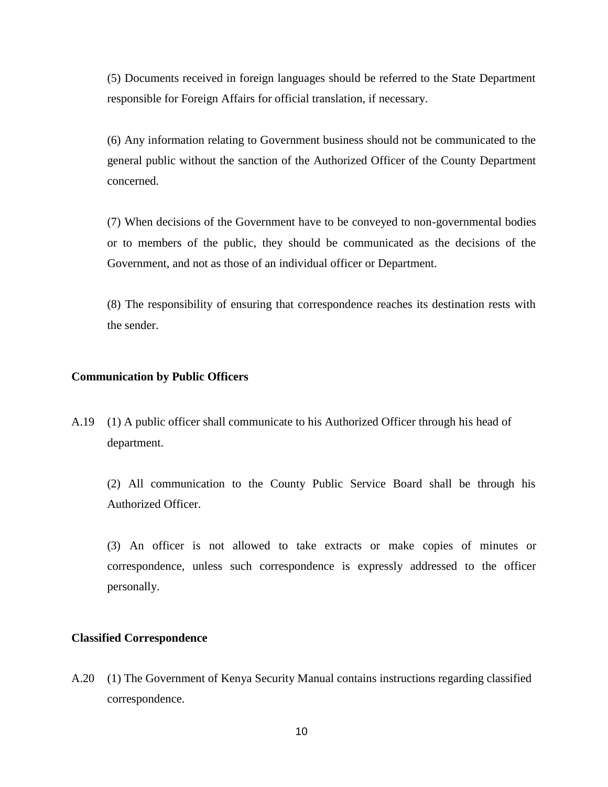(5) Documents received in foreign languages should be referred to the State Department responsible for Foreign Affairs for official translation, if necessary.

(6) Any information relating to Government business should not be communicated to the general public without the sanction of the Authorized Officer of the County Department concerned.

(7) When decisions of the Government have to be conveyed to non-governmental bodies or to members of the public, they should be communicated as the decisions of the Government, and not as those of an individual officer or Department.

(8) The responsibility of ensuring that correspondence reaches its destination rests with the sender.

#### <span id="page-27-0"></span>**Communication by Public Officers**

A.19 (1) A public officer shall communicate to his Authorized Officer through his head of department.

(2) All communication to the County Public Service Board shall be through his Authorized Officer.

(3) An officer is not allowed to take extracts or make copies of minutes or correspondence, unless such correspondence is expressly addressed to the officer personally.

#### <span id="page-27-1"></span>**Classified Correspondence**

A.20 (1) The Government of Kenya Security Manual contains instructions regarding classified correspondence.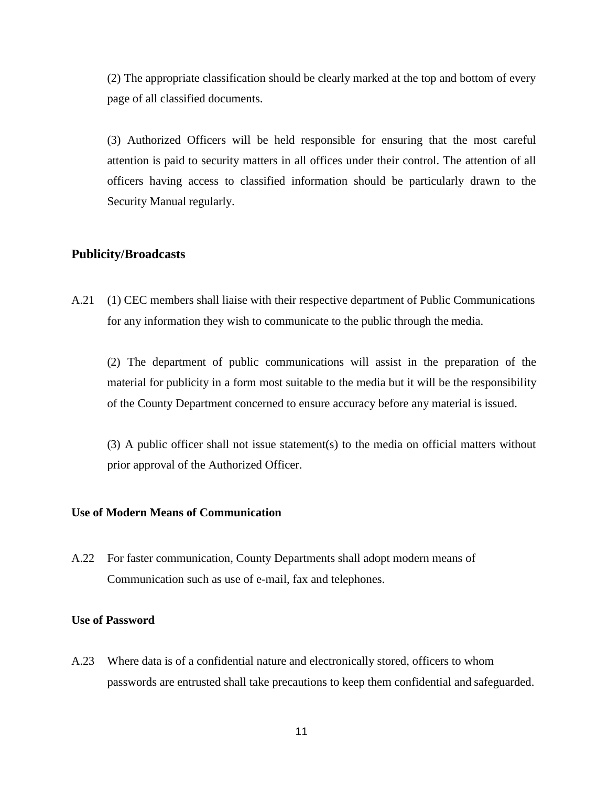(2) The appropriate classification should be clearly marked at the top and bottom of every page of all classified documents.

(3) Authorized Officers will be held responsible for ensuring that the most careful attention is paid to security matters in all offices under their control. The attention of all officers having access to classified information should be particularly drawn to the Security Manual regularly.

## <span id="page-28-0"></span>**Publicity/Broadcasts**

A.21 (1) CEC members shall liaise with their respective department of Public Communications for any information they wish to communicate to the public through the media.

(2) The department of public communications will assist in the preparation of the material for publicity in a form most suitable to the media but it will be the responsibility of the County Department concerned to ensure accuracy before any material is issued.

(3) A public officer shall not issue statement(s) to the media on official matters without prior approval of the Authorized Officer.

#### <span id="page-28-1"></span>**Use of Modern Means of Communication**

A.22 For faster communication, County Departments shall adopt modern means of Communication such as use of e-mail, fax and telephones.

#### **Use of Password**

A.23 Where data is of a confidential nature and electronically stored, officers to whom passwords are entrusted shall take precautions to keep them confidential and safeguarded.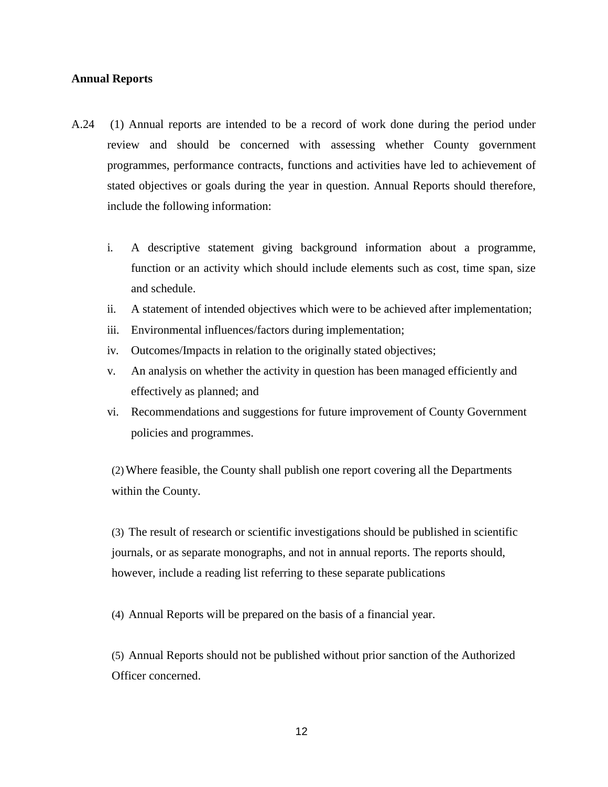#### <span id="page-29-0"></span>**Annual Reports**

- A.24 (1) Annual reports are intended to be a record of work done during the period under review and should be concerned with assessing whether County government programmes, performance contracts, functions and activities have led to achievement of stated objectives or goals during the year in question. Annual Reports should therefore, include the following information:
	- i. A descriptive statement giving background information about a programme, function or an activity which should include elements such as cost, time span, size and schedule.
	- ii. A statement of intended objectives which were to be achieved after implementation;
	- iii. Environmental influences/factors during implementation;
	- iv. Outcomes/Impacts in relation to the originally stated objectives;
	- v. An analysis on whether the activity in question has been managed efficiently and effectively as planned; and
	- vi. Recommendations and suggestions for future improvement of County Government policies and programmes.

(2)Where feasible, the County shall publish one report covering all the Departments within the County.

(3) The result of research or scientific investigations should be published in scientific journals, or as separate monographs, and not in annual reports. The reports should, however, include a reading list referring to these separate publications

(4) Annual Reports will be prepared on the basis of a financial year.

(5) Annual Reports should not be published without prior sanction of the Authorized Officer concerned.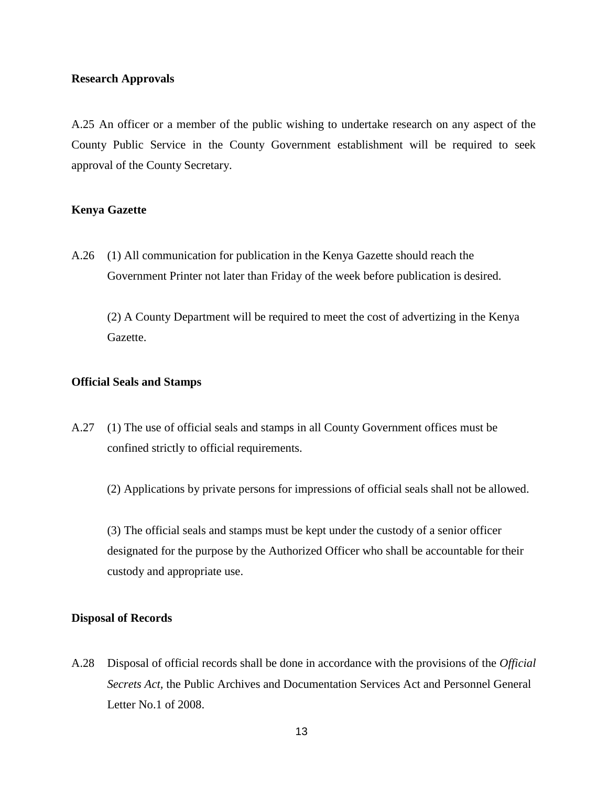#### <span id="page-30-0"></span>**Research Approvals**

A.25 An officer or a member of the public wishing to undertake research on any aspect of the County Public Service in the County Government establishment will be required to seek approval of the County Secretary.

#### <span id="page-30-1"></span>**Kenya Gazette**

A.26 (1) All communication for publication in the Kenya Gazette should reach the Government Printer not later than Friday of the week before publication is desired.

(2) A County Department will be required to meet the cost of advertizing in the Kenya Gazette.

#### <span id="page-30-2"></span>**Official Seals and Stamps**

A.27 (1) The use of official seals and stamps in all County Government offices must be confined strictly to official requirements.

(2) Applications by private persons for impressions of official seals shall not be allowed.

(3) The official seals and stamps must be kept under the custody of a senior officer designated for the purpose by the Authorized Officer who shall be accountable for their custody and appropriate use.

#### <span id="page-30-3"></span>**Disposal of Records**

A.28 Disposal of official records shall be done in accordance with the provisions of the *Official Secrets Act,* the Public Archives and Documentation Services Act and Personnel General Letter No.1 of 2008.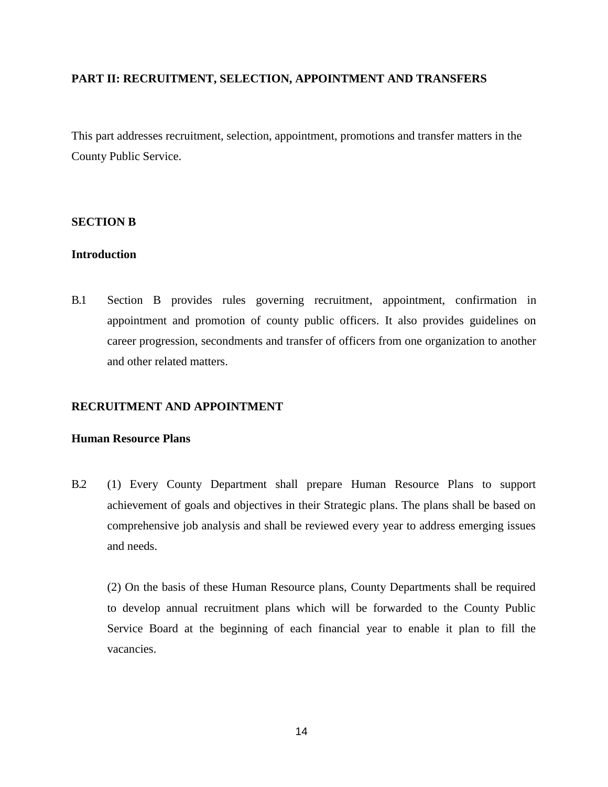## <span id="page-31-0"></span>**PART II: RECRUITMENT, SELECTION, APPOINTMENT AND TRANSFERS**

This part addresses recruitment, selection, appointment, promotions and transfer matters in the County Public Service.

#### <span id="page-31-1"></span>**SECTION B**

#### <span id="page-31-2"></span>**Introduction**

B.1 Section B provides rules governing recruitment, appointment, confirmation in appointment and promotion of county public officers. It also provides guidelines on career progression, secondments and transfer of officers from one organization to another and other related matters.

## <span id="page-31-3"></span>**RECRUITMENT AND APPOINTMENT**

#### <span id="page-31-4"></span>**Human Resource Plans**

B.2 (1) Every County Department shall prepare Human Resource Plans to support achievement of goals and objectives in their Strategic plans. The plans shall be based on comprehensive job analysis and shall be reviewed every year to address emerging issues and needs.

(2) On the basis of these Human Resource plans, County Departments shall be required to develop annual recruitment plans which will be forwarded to the County Public Service Board at the beginning of each financial year to enable it plan to fill the vacancies.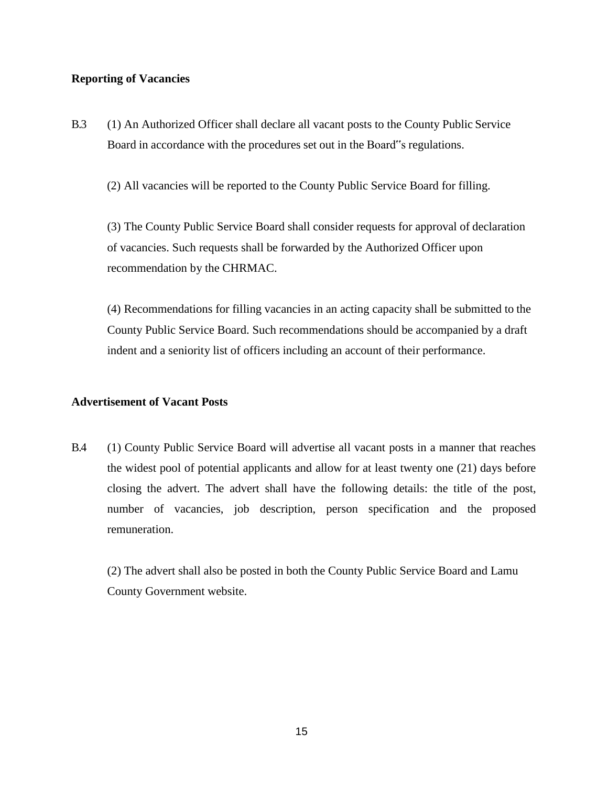#### <span id="page-32-0"></span>**Reporting of Vacancies**

B.3 (1) An Authorized Officer shall declare all vacant posts to the County Public Service Board in accordance with the procedures set out in the Board"s regulations.

(2) All vacancies will be reported to the County Public Service Board for filling.

(3) The County Public Service Board shall consider requests for approval of declaration of vacancies. Such requests shall be forwarded by the Authorized Officer upon recommendation by the CHRMAC.

(4) Recommendations for filling vacancies in an acting capacity shall be submitted to the County Public Service Board. Such recommendations should be accompanied by a draft indent and a seniority list of officers including an account of their performance.

## <span id="page-32-1"></span>**Advertisement of Vacant Posts**

B.4 (1) County Public Service Board will advertise all vacant posts in a manner that reaches the widest pool of potential applicants and allow for at least twenty one (21) days before closing the advert. The advert shall have the following details: the title of the post, number of vacancies, job description, person specification and the proposed remuneration.

(2) The advert shall also be posted in both the County Public Service Board and Lamu County Government website.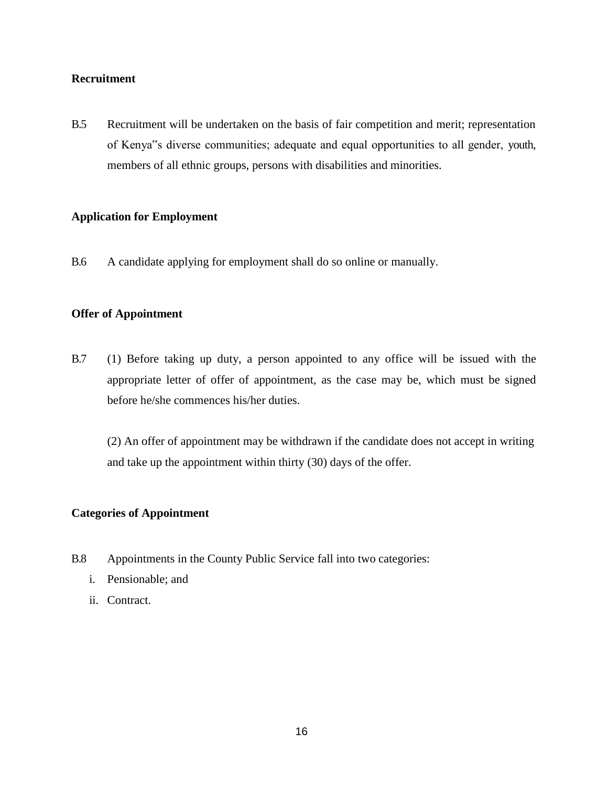## **Recruitment**

B.5 Recruitment will be undertaken on the basis of fair competition and merit; representation of Kenya"s diverse communities; adequate and equal opportunities to all gender, youth, members of all ethnic groups, persons with disabilities and minorities.

## <span id="page-33-0"></span>**Application for Employment**

B.6 A candidate applying for employment shall do so online or manually.

## <span id="page-33-1"></span>**Offer of Appointment**

B.7 (1) Before taking up duty, a person appointed to any office will be issued with the appropriate letter of offer of appointment, as the case may be, which must be signed before he/she commences his/her duties.

(2) An offer of appointment may be withdrawn if the candidate does not accept in writing and take up the appointment within thirty (30) days of the offer.

#### <span id="page-33-2"></span>**Categories of Appointment**

- B.8 Appointments in the County Public Service fall into two categories:
	- i. Pensionable; and
	- ii. Contract.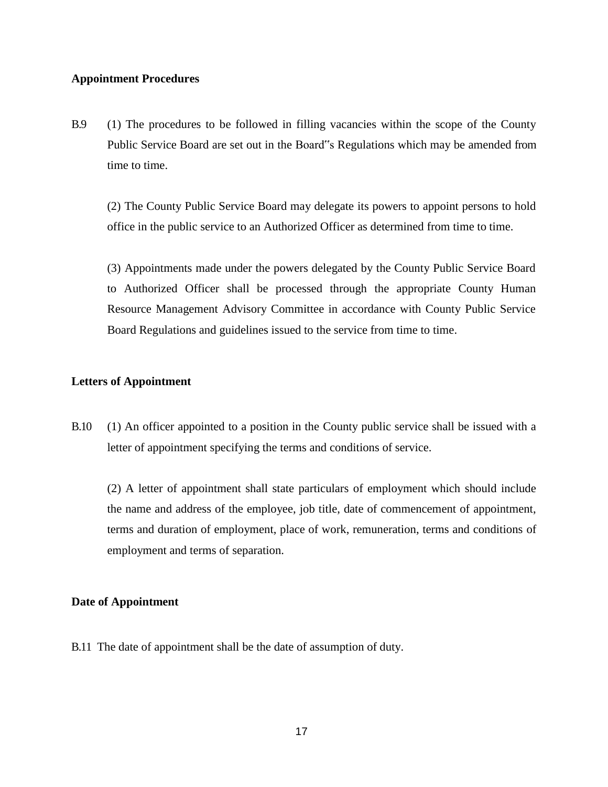#### <span id="page-34-0"></span>**Appointment Procedures**

B.9 (1) The procedures to be followed in filling vacancies within the scope of the County Public Service Board are set out in the Board"s Regulations which may be amended from time to time.

(2) The County Public Service Board may delegate its powers to appoint persons to hold office in the public service to an Authorized Officer as determined from time to time.

(3) Appointments made under the powers delegated by the County Public Service Board to Authorized Officer shall be processed through the appropriate County Human Resource Management Advisory Committee in accordance with County Public Service Board Regulations and guidelines issued to the service from time to time.

## <span id="page-34-1"></span>**Letters of Appointment**

B.10 (1) An officer appointed to a position in the County public service shall be issued with a letter of appointment specifying the terms and conditions of service.

(2) A letter of appointment shall state particulars of employment which should include the name and address of the employee, job title, date of commencement of appointment, terms and duration of employment, place of work, remuneration, terms and conditions of employment and terms of separation.

#### <span id="page-34-2"></span>**Date of Appointment**

B.11 The date of appointment shall be the date of assumption of duty.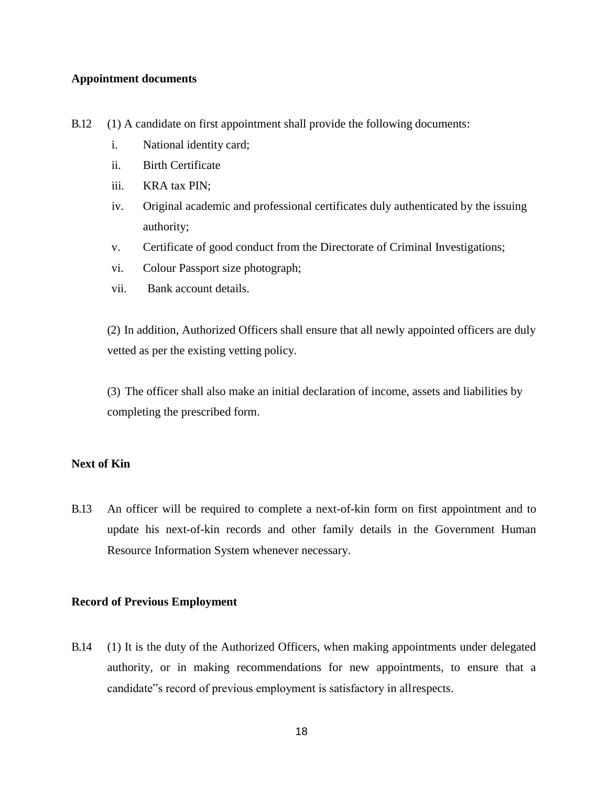#### <span id="page-35-0"></span>**Appointment documents**

- B.12 (1) A candidate on first appointment shall provide the following documents:
	- i. National identity card;
	- ii. Birth Certificate
	- iii. KRA tax PIN;
	- iv. Original academic and professional certificates duly authenticated by the issuing authority;
	- v. Certificate of good conduct from the Directorate of Criminal Investigations;
	- vi. Colour Passport size photograph;
	- vii. Bank account details.

(2) In addition, Authorized Officers shall ensure that all newly appointed officers are duly vetted as per the existing vetting policy.

(3) The officer shall also make an initial declaration of income, assets and liabilities by completing the prescribed form.

## <span id="page-35-1"></span>**Next of Kin**

B.13 An officer will be required to complete a next-of-kin form on first appointment and to update his next-of-kin records and other family details in the Government Human Resource Information System whenever necessary.

## <span id="page-35-2"></span>**Record of Previous Employment**

B.14 (1) It is the duty of the Authorized Officers, when making appointments under delegated authority, or in making recommendations for new appointments, to ensure that a candidate"s record of previous employment is satisfactory in allrespects.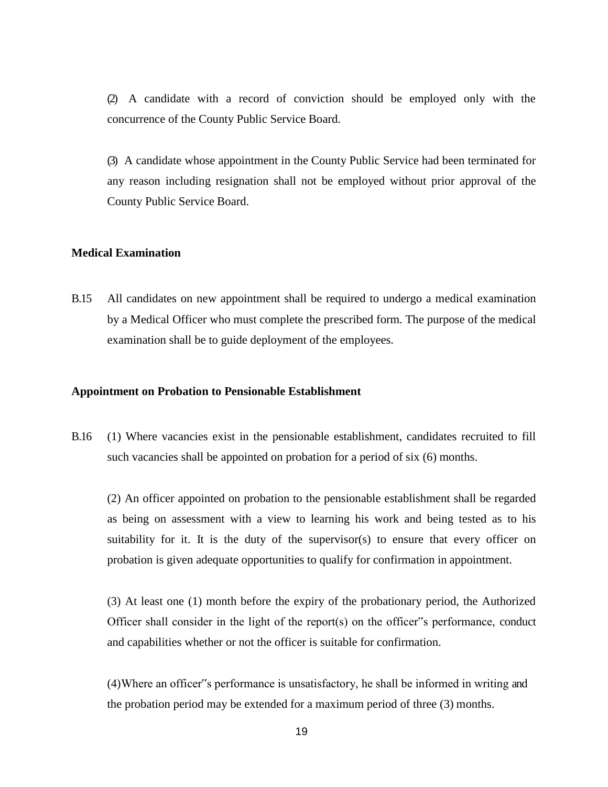(2) A candidate with a record of conviction should be employed only with the concurrence of the County Public Service Board.

(3) A candidate whose appointment in the County Public Service had been terminated for any reason including resignation shall not be employed without prior approval of the County Public Service Board.

## **Medical Examination**

B.15 All candidates on new appointment shall be required to undergo a medical examination by a Medical Officer who must complete the prescribed form. The purpose of the medical examination shall be to guide deployment of the employees.

#### **Appointment on Probation to Pensionable Establishment**

B.16 (1) Where vacancies exist in the pensionable establishment, candidates recruited to fill such vacancies shall be appointed on probation for a period of six (6) months.

(2) An officer appointed on probation to the pensionable establishment shall be regarded as being on assessment with a view to learning his work and being tested as to his suitability for it. It is the duty of the supervisor(s) to ensure that every officer on probation is given adequate opportunities to qualify for confirmation in appointment.

(3) At least one (1) month before the expiry of the probationary period, the Authorized Officer shall consider in the light of the report(s) on the officer"s performance, conduct and capabilities whether or not the officer is suitable for confirmation.

(4)Where an officer"s performance is unsatisfactory, he shall be informed in writing and the probation period may be extended for a maximum period of three (3) months.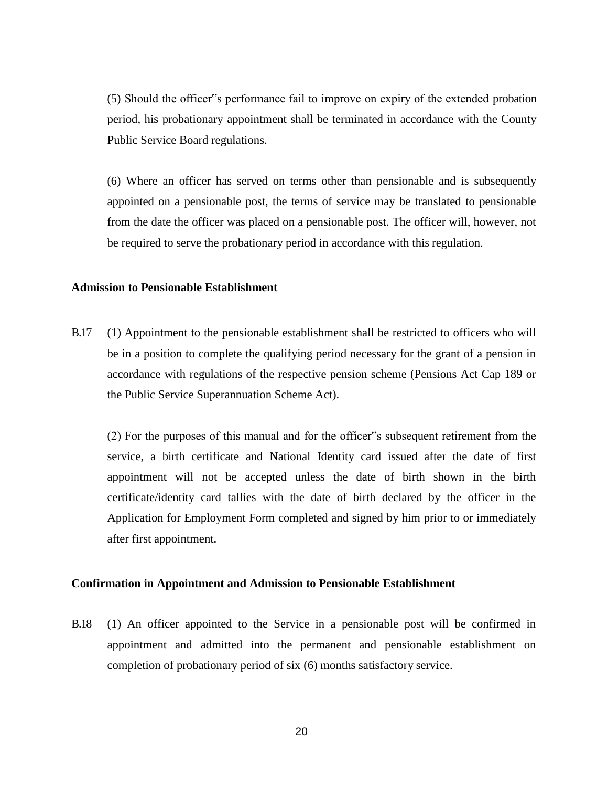(5) Should the officer"s performance fail to improve on expiry of the extended probation period, his probationary appointment shall be terminated in accordance with the County Public Service Board regulations.

(6) Where an officer has served on terms other than pensionable and is subsequently appointed on a pensionable post, the terms of service may be translated to pensionable from the date the officer was placed on a pensionable post. The officer will, however, not be required to serve the probationary period in accordance with this regulation.

## **Admission to Pensionable Establishment**

B.17 (1) Appointment to the pensionable establishment shall be restricted to officers who will be in a position to complete the qualifying period necessary for the grant of a pension in accordance with regulations of the respective pension scheme (Pensions Act Cap 189 or the Public Service Superannuation Scheme Act).

(2) For the purposes of this manual and for the officer"s subsequent retirement from the service, a birth certificate and National Identity card issued after the date of first appointment will not be accepted unless the date of birth shown in the birth certificate/identity card tallies with the date of birth declared by the officer in the Application for Employment Form completed and signed by him prior to or immediately after first appointment.

## **Confirmation in Appointment and Admission to Pensionable Establishment**

B.18 (1) An officer appointed to the Service in a pensionable post will be confirmed in appointment and admitted into the permanent and pensionable establishment on completion of probationary period of six (6) months satisfactory service.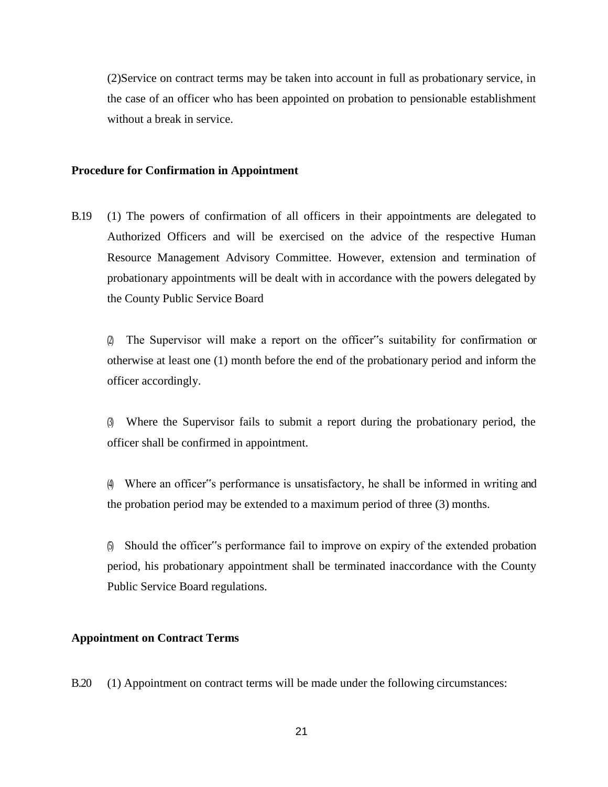(2)Service on contract terms may be taken into account in full as probationary service, in the case of an officer who has been appointed on probation to pensionable establishment without a break in service.

## **Procedure for Confirmation in Appointment**

B.19 (1) The powers of confirmation of all officers in their appointments are delegated to Authorized Officers and will be exercised on the advice of the respective Human Resource Management Advisory Committee. However, extension and termination of probationary appointments will be dealt with in accordance with the powers delegated by the County Public Service Board

(2) The Supervisor will make a report on the officer"s suitability for confirmation or otherwise at least one (1) month before the end of the probationary period and inform the officer accordingly.

(3) Where the Supervisor fails to submit a report during the probationary period, the officer shall be confirmed in appointment.

(4) Where an officer"s performance is unsatisfactory, he shall be informed in writing and the probation period may be extended to a maximum period of three (3) months.

(5) Should the officer"s performance fail to improve on expiry of the extended probation period, his probationary appointment shall be terminated inaccordance with the County Public Service Board regulations.

## **Appointment on Contract Terms**

B.20 (1) Appointment on contract terms will be made under the following circumstances: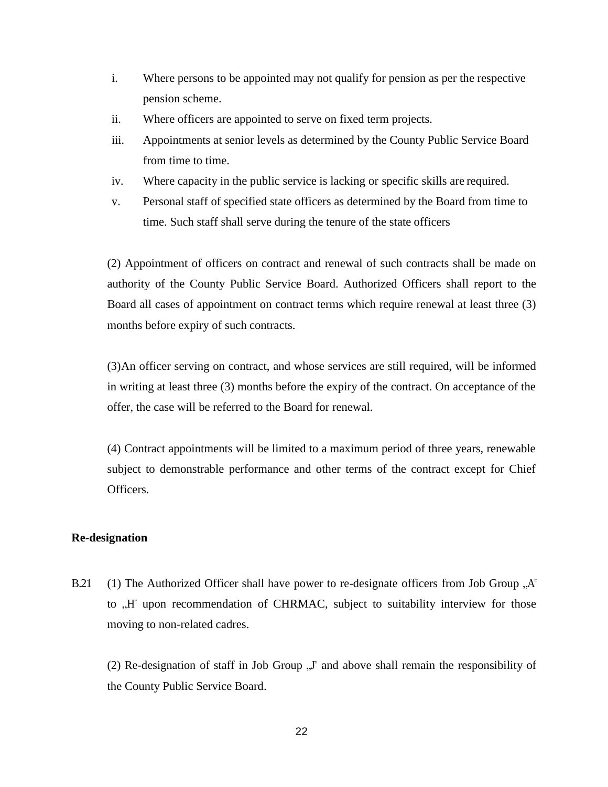- i. Where persons to be appointed may not qualify for pension as per the respective pension scheme.
- ii. Where officers are appointed to serve on fixed term projects.
- iii. Appointments at senior levels as determined by the County Public Service Board from time to time.
- iv. Where capacity in the public service is lacking or specific skills are required.
- v. Personal staff of specified state officers as determined by the Board from time to time. Such staff shall serve during the tenure of the state officers

(2) Appointment of officers on contract and renewal of such contracts shall be made on authority of the County Public Service Board. Authorized Officers shall report to the Board all cases of appointment on contract terms which require renewal at least three (3) months before expiry of such contracts.

(3)An officer serving on contract, and whose services are still required, will be informed in writing at least three (3) months before the expiry of the contract. On acceptance of the offer, the case will be referred to the Board for renewal.

(4) Contract appointments will be limited to a maximum period of three years, renewable subject to demonstrable performance and other terms of the contract except for Chief Officers.

## **Re-designation**

B.21 (1) The Authorized Officer shall have power to re-designate officers from Job Group  $A^*$ to "H" upon recommendation of CHRMAC, subject to suitability interview for those moving to non-related cadres.

(2) Re-designation of staff in Job Group  $\mathcal{J}$ " and above shall remain the responsibility of the County Public Service Board.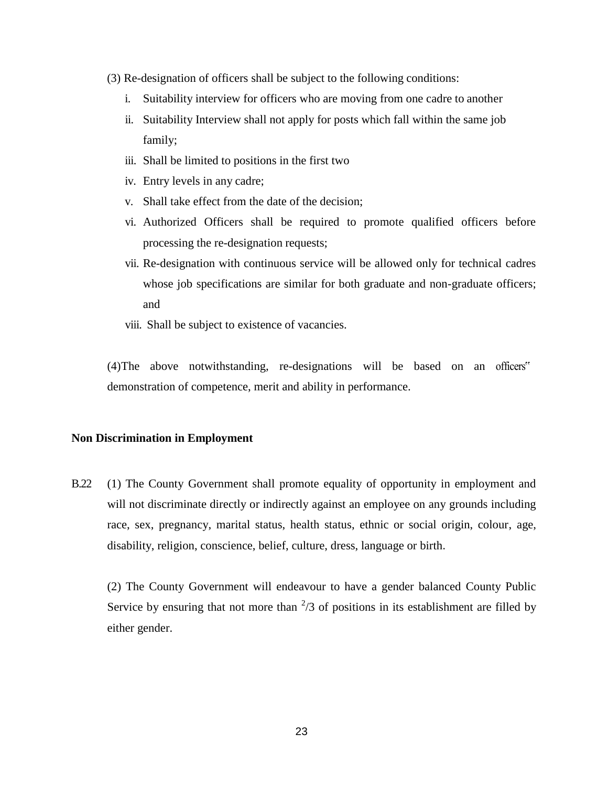- (3) Re-designation of officers shall be subject to the following conditions:
	- i. Suitability interview for officers who are moving from one cadre to another
	- ii. Suitability Interview shall not apply for posts which fall within the same job family;
	- iii. Shall be limited to positions in the first two
	- iv. Entry levels in any cadre;
	- v. Shall take effect from the date of the decision;
	- vi. Authorized Officers shall be required to promote qualified officers before processing the re-designation requests;
	- vii. Re-designation with continuous service will be allowed only for technical cadres whose job specifications are similar for both graduate and non-graduate officers; and
	- viii. Shall be subject to existence of vacancies.

(4)The above notwithstanding, re-designations will be based on an officers" demonstration of competence, merit and ability in performance.

## **Non Discrimination in Employment**

B.22 (1) The County Government shall promote equality of opportunity in employment and will not discriminate directly or indirectly against an employee on any grounds including race, sex, pregnancy, marital status, health status, ethnic or social origin, colour, age, disability, religion, conscience, belief, culture, dress, language or birth.

(2) The County Government will endeavour to have a gender balanced County Public Service by ensuring that not more than  $\frac{2}{3}$  of positions in its establishment are filled by either gender.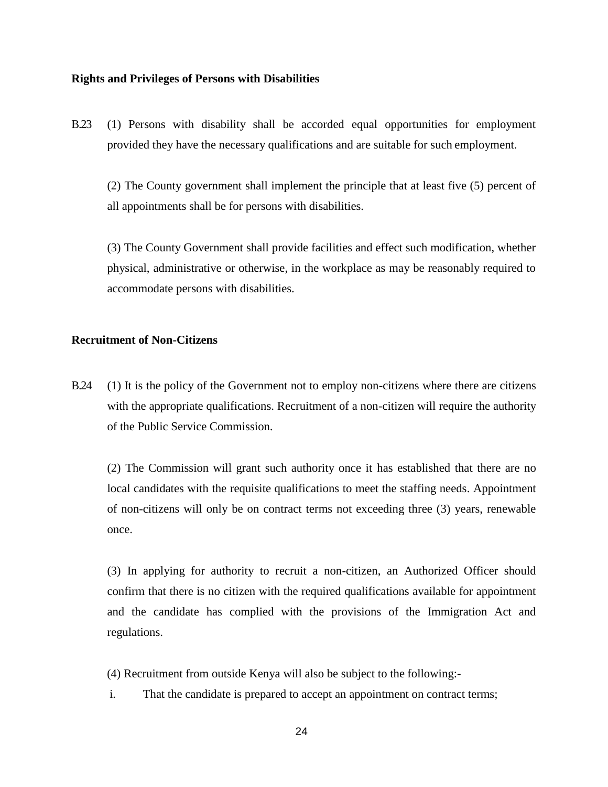## **Rights and Privileges of Persons with Disabilities**

B.23 (1) Persons with disability shall be accorded equal opportunities for employment provided they have the necessary qualifications and are suitable for such employment.

(2) The County government shall implement the principle that at least five (5) percent of all appointments shall be for persons with disabilities.

(3) The County Government shall provide facilities and effect such modification, whether physical, administrative or otherwise, in the workplace as may be reasonably required to accommodate persons with disabilities.

# **Recruitment of Non-Citizens**

B.24 (1) It is the policy of the Government not to employ non-citizens where there are citizens with the appropriate qualifications. Recruitment of a non-citizen will require the authority of the Public Service Commission.

(2) The Commission will grant such authority once it has established that there are no local candidates with the requisite qualifications to meet the staffing needs. Appointment of non-citizens will only be on contract terms not exceeding three (3) years, renewable once.

(3) In applying for authority to recruit a non-citizen, an Authorized Officer should confirm that there is no citizen with the required qualifications available for appointment and the candidate has complied with the provisions of the Immigration Act and regulations.

- (4) Recruitment from outside Kenya will also be subject to the following:-
- i. That the candidate is prepared to accept an appointment on contract terms;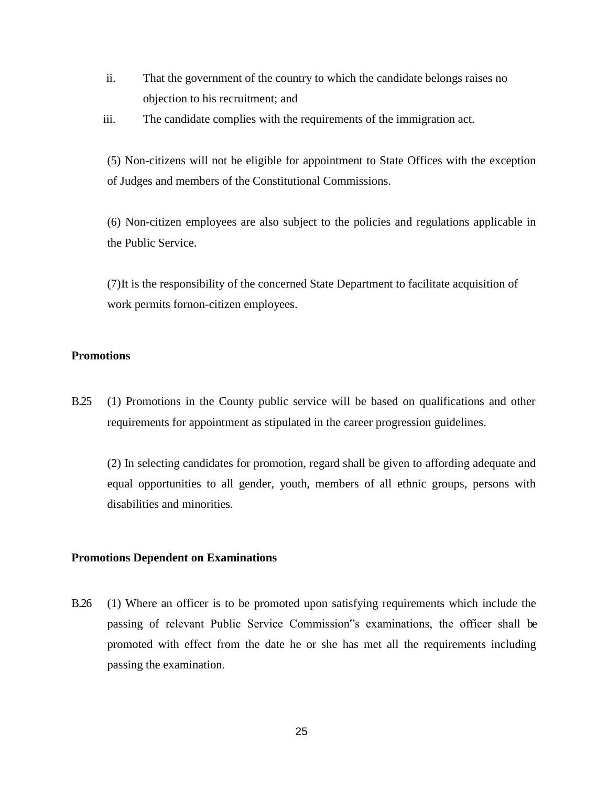- ii. That the government of the country to which the candidate belongs raises no objection to his recruitment; and
- iii. The candidate complies with the requirements of the immigration act.

(5) Non-citizens will not be eligible for appointment to State Offices with the exception of Judges and members of the Constitutional Commissions.

(6) Non-citizen employees are also subject to the policies and regulations applicable in the Public Service.

(7)It is the responsibility of the concerned State Department to facilitate acquisition of work permits fornon-citizen employees.

# **Promotions**

B.25 (1) Promotions in the County public service will be based on qualifications and other requirements for appointment as stipulated in the career progression guidelines.

(2) In selecting candidates for promotion, regard shall be given to affording adequate and equal opportunities to all gender, youth, members of all ethnic groups, persons with disabilities and minorities.

## **Promotions Dependent on Examinations**

B.26 (1) Where an officer is to be promoted upon satisfying requirements which include the passing of relevant Public Service Commission"s examinations, the officer shall be promoted with effect from the date he or she has met all the requirements including passing the examination.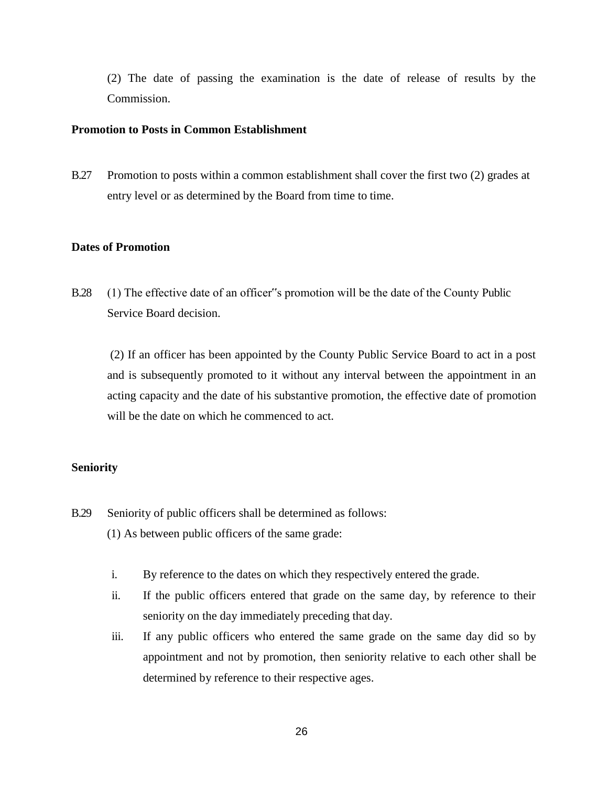(2) The date of passing the examination is the date of release of results by the Commission.

## **Promotion to Posts in Common Establishment**

B.27 Promotion to posts within a common establishment shall cover the first two (2) grades at entry level or as determined by the Board from time to time.

## **Dates of Promotion**

B.28 (1) The effective date of an officer"s promotion will be the date of the County Public Service Board decision.

(2) If an officer has been appointed by the County Public Service Board to act in a post and is subsequently promoted to it without any interval between the appointment in an acting capacity and the date of his substantive promotion, the effective date of promotion will be the date on which he commenced to act.

# **Seniority**

- B.29 Seniority of public officers shall be determined as follows:
	- (1) As between public officers of the same grade:
	- i. By reference to the dates on which they respectively entered the grade.
	- ii. If the public officers entered that grade on the same day, by reference to their seniority on the day immediately preceding that day.
	- iii. If any public officers who entered the same grade on the same day did so by appointment and not by promotion, then seniority relative to each other shall be determined by reference to their respective ages.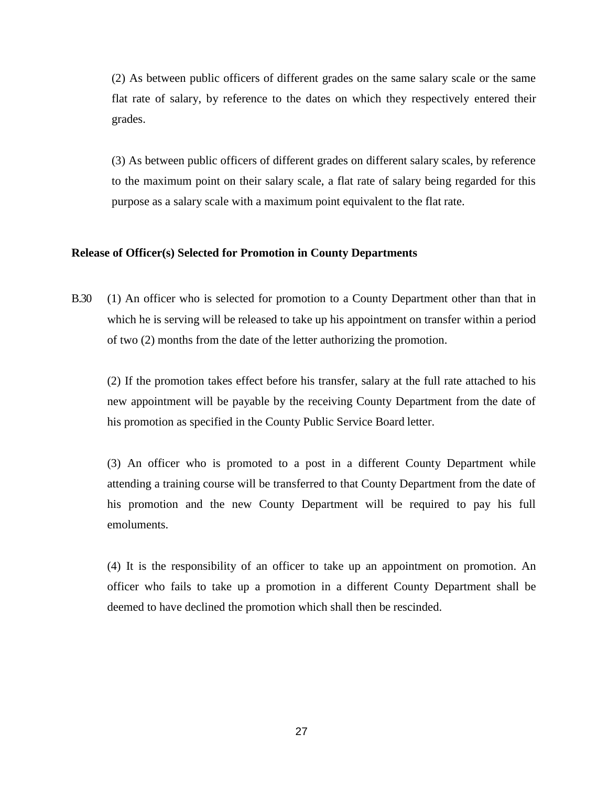(2) As between public officers of different grades on the same salary scale or the same flat rate of salary, by reference to the dates on which they respectively entered their grades.

(3) As between public officers of different grades on different salary scales, by reference to the maximum point on their salary scale, a flat rate of salary being regarded for this purpose as a salary scale with a maximum point equivalent to the flat rate.

## **Release of Officer(s) Selected for Promotion in County Departments**

B.30 (1) An officer who is selected for promotion to a County Department other than that in which he is serving will be released to take up his appointment on transfer within a period of two (2) months from the date of the letter authorizing the promotion.

(2) If the promotion takes effect before his transfer, salary at the full rate attached to his new appointment will be payable by the receiving County Department from the date of his promotion as specified in the County Public Service Board letter.

(3) An officer who is promoted to a post in a different County Department while attending a training course will be transferred to that County Department from the date of his promotion and the new County Department will be required to pay his full emoluments.

(4) It is the responsibility of an officer to take up an appointment on promotion. An officer who fails to take up a promotion in a different County Department shall be deemed to have declined the promotion which shall then be rescinded.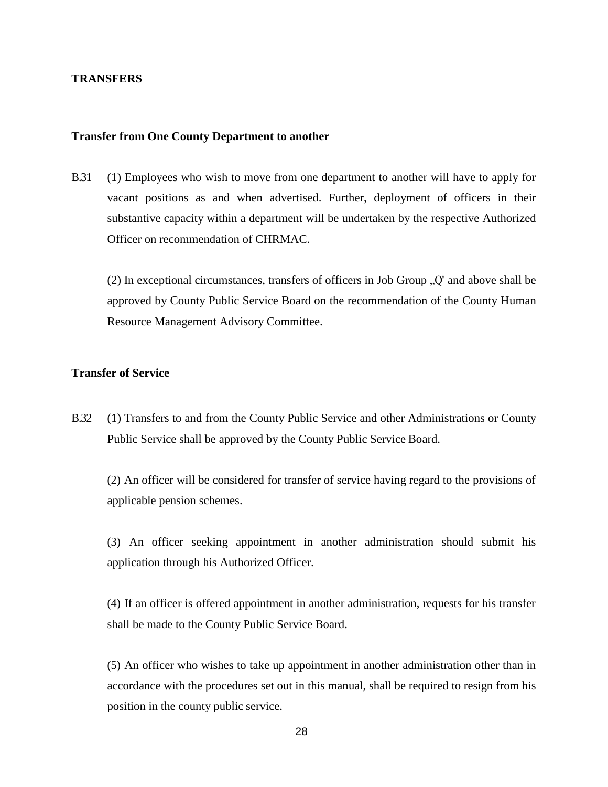## **TRANSFERS**

## **Transfer from One County Department to another**

B.31 (1) Employees who wish to move from one department to another will have to apply for vacant positions as and when advertised. Further, deployment of officers in their substantive capacity within a department will be undertaken by the respective Authorized Officer on recommendation of CHRMAC.

(2) In exceptional circumstances, transfers of officers in Job Group  $\Omega$ " and above shall be approved by County Public Service Board on the recommendation of the County Human Resource Management Advisory Committee.

# **Transfer of Service**

B.32 (1) Transfers to and from the County Public Service and other Administrations or County Public Service shall be approved by the County Public Service Board.

(2) An officer will be considered for transfer of service having regard to the provisions of applicable pension schemes.

(3) An officer seeking appointment in another administration should submit his application through his Authorized Officer.

(4) If an officer is offered appointment in another administration, requests for his transfer shall be made to the County Public Service Board.

(5) An officer who wishes to take up appointment in another administration other than in accordance with the procedures set out in this manual, shall be required to resign from his position in the county public service.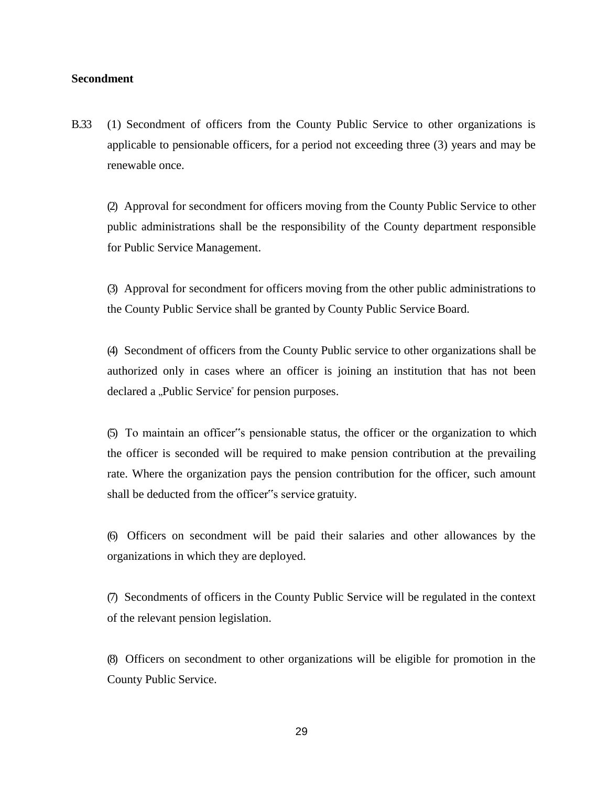## **Secondment**

B.33 (1) Secondment of officers from the County Public Service to other organizations is applicable to pensionable officers, for a period not exceeding three (3) years and may be renewable once.

(2) Approval for secondment for officers moving from the County Public Service to other public administrations shall be the responsibility of the County department responsible for Public Service Management.

(3) Approval for secondment for officers moving from the other public administrations to the County Public Service shall be granted by County Public Service Board.

(4) Secondment of officers from the County Public service to other organizations shall be authorized only in cases where an officer is joining an institution that has not been declared a "Public Service" for pension purposes.

(5) To maintain an officer"s pensionable status, the officer or the organization to which the officer is seconded will be required to make pension contribution at the prevailing rate. Where the organization pays the pension contribution for the officer, such amount shall be deducted from the officer"s service gratuity.

(6) Officers on secondment will be paid their salaries and other allowances by the organizations in which they are deployed.

(7) Secondments of officers in the County Public Service will be regulated in the context of the relevant pension legislation.

(8) Officers on secondment to other organizations will be eligible for promotion in the County Public Service.

29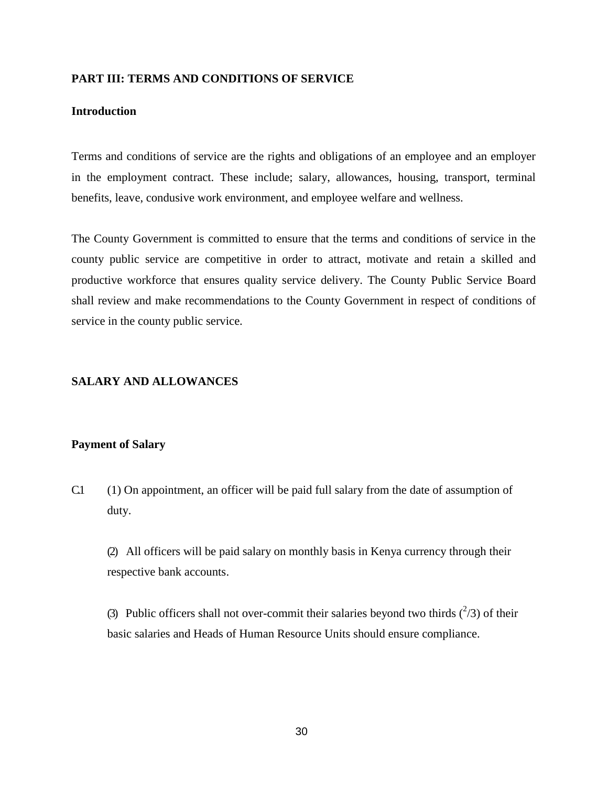## **PART III: TERMS AND CONDITIONS OF SERVICE**

# **Introduction**

Terms and conditions of service are the rights and obligations of an employee and an employer in the employment contract. These include; salary, allowances, housing, transport, terminal benefits, leave, condusive work environment, and employee welfare and wellness.

The County Government is committed to ensure that the terms and conditions of service in the county public service are competitive in order to attract, motivate and retain a skilled and productive workforce that ensures quality service delivery. The County Public Service Board shall review and make recommendations to the County Government in respect of conditions of service in the county public service.

## **SALARY AND ALLOWANCES**

### **Payment of Salary**

C.1 (1) On appointment, an officer will be paid full salary from the date of assumption of duty.

(2) All officers will be paid salary on monthly basis in Kenya currency through their respective bank accounts.

(3) Public officers shall not over-commit their salaries beyond two thirds  $(^{2}/3)$  of their basic salaries and Heads of Human Resource Units should ensure compliance.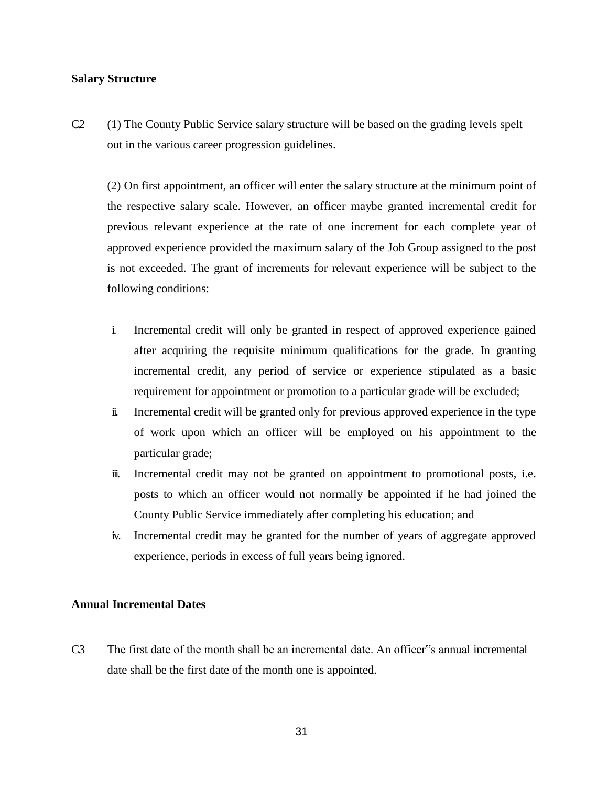## **Salary Structure**

C.2 (1) The County Public Service salary structure will be based on the grading levels spelt out in the various career progression guidelines.

(2) On first appointment, an officer will enter the salary structure at the minimum point of the respective salary scale. However, an officer maybe granted incremental credit for previous relevant experience at the rate of one increment for each complete year of approved experience provided the maximum salary of the Job Group assigned to the post is not exceeded. The grant of increments for relevant experience will be subject to the following conditions:

- i. Incremental credit will only be granted in respect of approved experience gained after acquiring the requisite minimum qualifications for the grade. In granting incremental credit, any period of service or experience stipulated as a basic requirement for appointment or promotion to a particular grade will be excluded;
- ii. Incremental credit will be granted only for previous approved experience in the type of work upon which an officer will be employed on his appointment to the particular grade;
- iii. Incremental credit may not be granted on appointment to promotional posts, i.e. posts to which an officer would not normally be appointed if he had joined the County Public Service immediately after completing his education; and
- iv. Incremental credit may be granted for the number of years of aggregate approved experience, periods in excess of full years being ignored.

## **Annual Incremental Dates**

C.3 The first date of the month shall be an incremental date. An officer"s annual incremental date shall be the first date of the month one is appointed.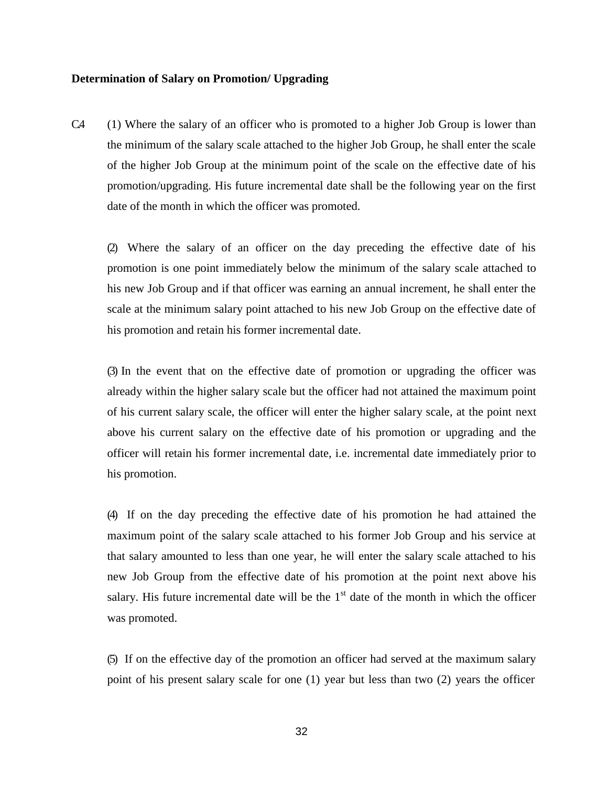## **Determination of Salary on Promotion/ Upgrading**

C.4 (1) Where the salary of an officer who is promoted to a higher Job Group is lower than the minimum of the salary scale attached to the higher Job Group, he shall enter the scale of the higher Job Group at the minimum point of the scale on the effective date of his promotion/upgrading. His future incremental date shall be the following year on the first date of the month in which the officer was promoted.

(2) Where the salary of an officer on the day preceding the effective date of his promotion is one point immediately below the minimum of the salary scale attached to his new Job Group and if that officer was earning an annual increment, he shall enter the scale at the minimum salary point attached to his new Job Group on the effective date of his promotion and retain his former incremental date.

(3) In the event that on the effective date of promotion or upgrading the officer was already within the higher salary scale but the officer had not attained the maximum point of his current salary scale, the officer will enter the higher salary scale, at the point next above his current salary on the effective date of his promotion or upgrading and the officer will retain his former incremental date, i.e. incremental date immediately prior to his promotion.

(4) If on the day preceding the effective date of his promotion he had attained the maximum point of the salary scale attached to his former Job Group and his service at that salary amounted to less than one year, he will enter the salary scale attached to his new Job Group from the effective date of his promotion at the point next above his salary. His future incremental date will be the  $1<sup>st</sup>$  date of the month in which the officer was promoted.

(5) If on the effective day of the promotion an officer had served at the maximum salary point of his present salary scale for one (1) year but less than two (2) years the officer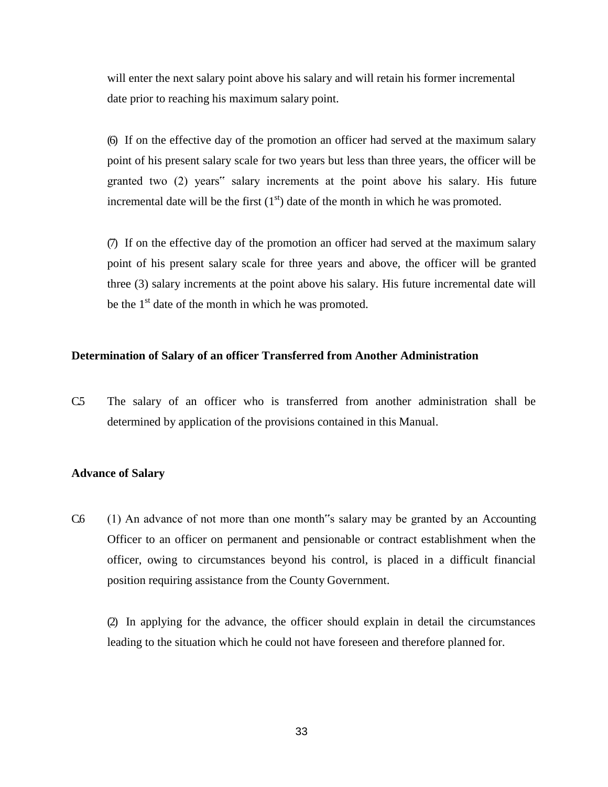will enter the next salary point above his salary and will retain his former incremental date prior to reaching his maximum salary point.

(6) If on the effective day of the promotion an officer had served at the maximum salary point of his present salary scale for two years but less than three years, the officer will be granted two (2) years" salary increments at the point above his salary. His future incremental date will be the first  $(1<sup>st</sup>)$  date of the month in which he was promoted.

(7) If on the effective day of the promotion an officer had served at the maximum salary point of his present salary scale for three years and above, the officer will be granted three (3) salary increments at the point above his salary. His future incremental date will be the  $1<sup>st</sup>$  date of the month in which he was promoted.

# **Determination of Salary of an officer Transferred from Another Administration**

C.5 The salary of an officer who is transferred from another administration shall be determined by application of the provisions contained in this Manual.

#### **Advance of Salary**

C.6 (1) An advance of not more than one month s salary may be granted by an Accounting Officer to an officer on permanent and pensionable or contract establishment when the officer, owing to circumstances beyond his control, is placed in a difficult financial position requiring assistance from the County Government.

(2) In applying for the advance, the officer should explain in detail the circumstances leading to the situation which he could not have foreseen and therefore planned for.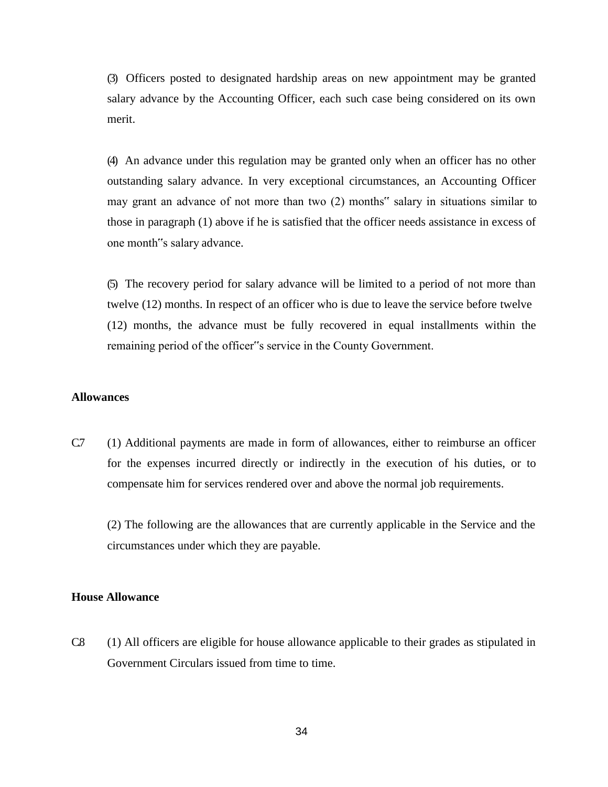(3) Officers posted to designated hardship areas on new appointment may be granted salary advance by the Accounting Officer, each such case being considered on its own merit.

(4) An advance under this regulation may be granted only when an officer has no other outstanding salary advance. In very exceptional circumstances, an Accounting Officer may grant an advance of not more than two (2) months" salary in situations similar to those in paragraph (1) above if he is satisfied that the officer needs assistance in excess of one month"s salary advance.

(5) The recovery period for salary advance will be limited to a period of not more than twelve (12) months. In respect of an officer who is due to leave the service before twelve (12) months, the advance must be fully recovered in equal installments within the remaining period of the officer"s service in the County Government.

### **Allowances**

C.7 (1) Additional payments are made in form of allowances, either to reimburse an officer for the expenses incurred directly or indirectly in the execution of his duties, or to compensate him for services rendered over and above the normal job requirements.

(2) The following are the allowances that are currently applicable in the Service and the circumstances under which they are payable.

## **House Allowance**

C.8 (1) All officers are eligible for house allowance applicable to their grades as stipulated in Government Circulars issued from time to time.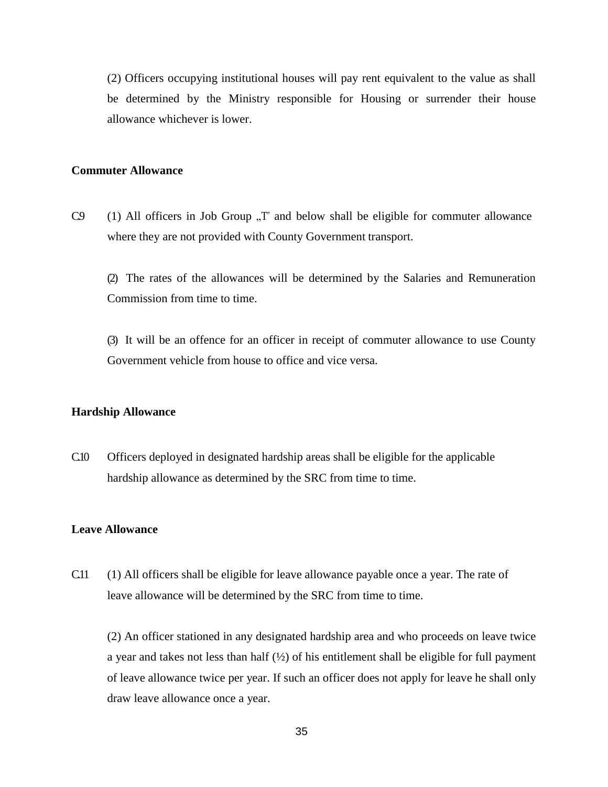(2) Officers occupying institutional houses will pay rent equivalent to the value as shall be determined by the Ministry responsible for Housing or surrender their house allowance whichever is lower.

## **Commuter Allowance**

C.9 (1) All officers in Job Group  $T^*$  and below shall be eligible for commuter allowance where they are not provided with County Government transport.

(2) The rates of the allowances will be determined by the Salaries and Remuneration Commission from time to time.

(3) It will be an offence for an officer in receipt of commuter allowance to use County Government vehicle from house to office and vice versa.

## **Hardship Allowance**

C.10 Officers deployed in designated hardship areas shall be eligible for the applicable hardship allowance as determined by the SRC from time to time.

## **Leave Allowance**

C.11 (1) All officers shall be eligible for leave allowance payable once a year. The rate of leave allowance will be determined by the SRC from time to time.

(2) An officer stationed in any designated hardship area and who proceeds on leave twice a year and takes not less than half  $(\frac{1}{2})$  of his entitlement shall be eligible for full payment of leave allowance twice per year. If such an officer does not apply for leave he shall only draw leave allowance once a year.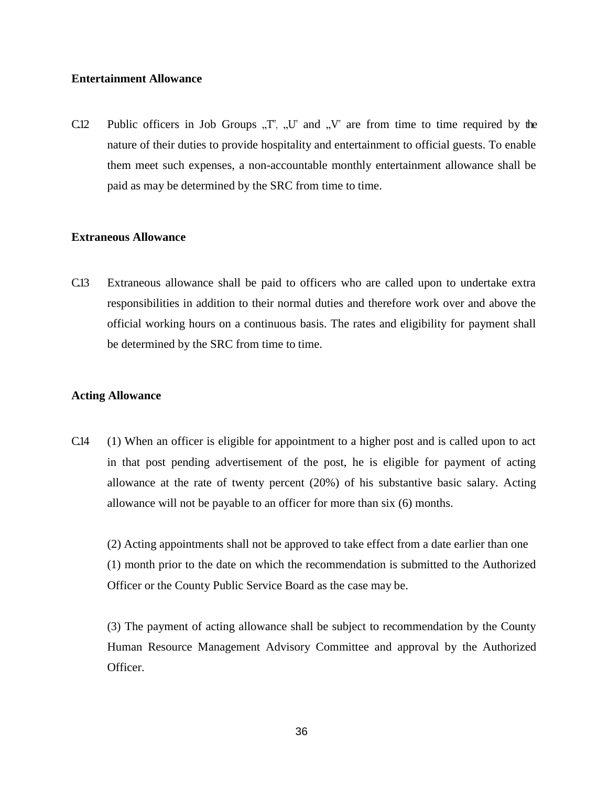## **Entertainment Allowance**

C.12 Public officers in Job Groups  $T^{\prime}$ ,  $U^{\prime}$  and  $V^{\prime}$  are from time to time required by the nature of their duties to provide hospitality and entertainment to official guests. To enable them meet such expenses, a non-accountable monthly entertainment allowance shall be paid as may be determined by the SRC from time to time.

# **Extraneous Allowance**

C.13 Extraneous allowance shall be paid to officers who are called upon to undertake extra responsibilities in addition to their normal duties and therefore work over and above the official working hours on a continuous basis. The rates and eligibility for payment shall be determined by the SRC from time to time.

# **Acting Allowance**

C.14 (1) When an officer is eligible for appointment to a higher post and is called upon to act in that post pending advertisement of the post, he is eligible for payment of acting allowance at the rate of twenty percent (20%) of his substantive basic salary. Acting allowance will not be payable to an officer for more than six (6) months.

(2) Acting appointments shall not be approved to take effect from a date earlier than one (1) month prior to the date on which the recommendation is submitted to the Authorized Officer or the County Public Service Board as the case may be.

(3) The payment of acting allowance shall be subject to recommendation by the County Human Resource Management Advisory Committee and approval by the Authorized Officer.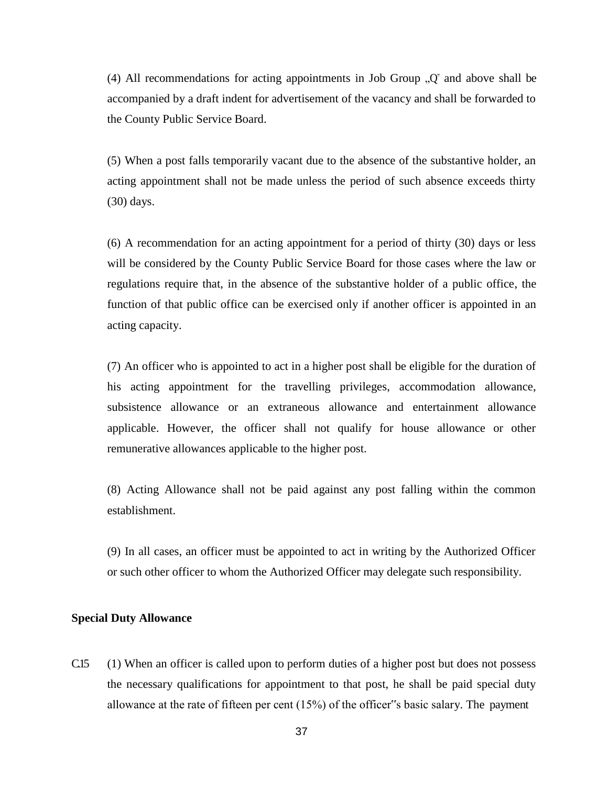(4) All recommendations for acting appointments in Job Group  $\mathcal{Q}^{\dagger}$  and above shall be accompanied by a draft indent for advertisement of the vacancy and shall be forwarded to the County Public Service Board.

(5) When a post falls temporarily vacant due to the absence of the substantive holder, an acting appointment shall not be made unless the period of such absence exceeds thirty (30) days.

(6) A recommendation for an acting appointment for a period of thirty (30) days or less will be considered by the County Public Service Board for those cases where the law or regulations require that, in the absence of the substantive holder of a public office, the function of that public office can be exercised only if another officer is appointed in an acting capacity.

(7) An officer who is appointed to act in a higher post shall be eligible for the duration of his acting appointment for the travelling privileges, accommodation allowance, subsistence allowance or an extraneous allowance and entertainment allowance applicable. However, the officer shall not qualify for house allowance or other remunerative allowances applicable to the higher post.

(8) Acting Allowance shall not be paid against any post falling within the common establishment.

(9) In all cases, an officer must be appointed to act in writing by the Authorized Officer or such other officer to whom the Authorized Officer may delegate such responsibility.

## **Special Duty Allowance**

C.15 (1) When an officer is called upon to perform duties of a higher post but does not possess the necessary qualifications for appointment to that post, he shall be paid special duty allowance at the rate of fifteen per cent (15%) of the officer"s basic salary. The payment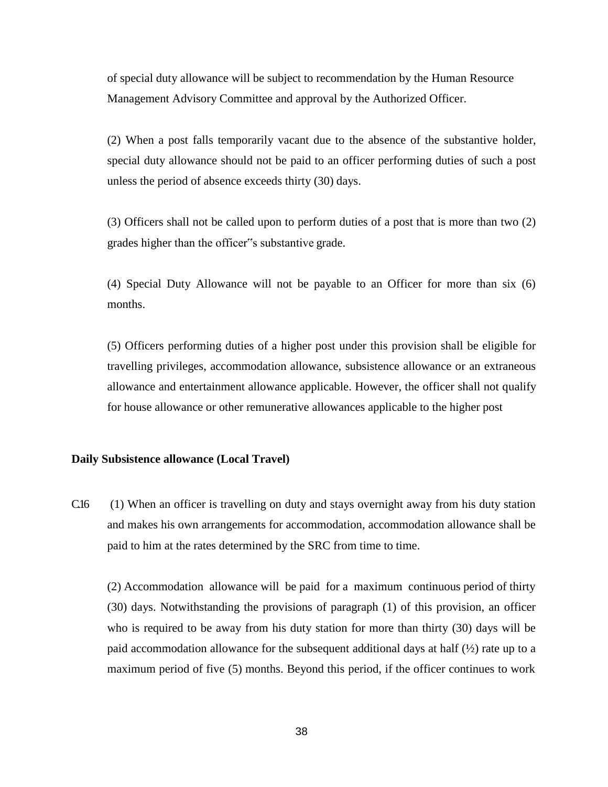of special duty allowance will be subject to recommendation by the Human Resource Management Advisory Committee and approval by the Authorized Officer.

(2) When a post falls temporarily vacant due to the absence of the substantive holder, special duty allowance should not be paid to an officer performing duties of such a post unless the period of absence exceeds thirty (30) days.

(3) Officers shall not be called upon to perform duties of a post that is more than two (2) grades higher than the officer"s substantive grade.

(4) Special Duty Allowance will not be payable to an Officer for more than six (6) months.

(5) Officers performing duties of a higher post under this provision shall be eligible for travelling privileges, accommodation allowance, subsistence allowance or an extraneous allowance and entertainment allowance applicable. However, the officer shall not qualify for house allowance or other remunerative allowances applicable to the higher post

# **Daily Subsistence allowance (Local Travel)**

C.16 (1) When an officer is travelling on duty and stays overnight away from his duty station and makes his own arrangements for accommodation, accommodation allowance shall be paid to him at the rates determined by the SRC from time to time.

(2) Accommodation allowance will be paid for a maximum continuous period of thirty (30) days. Notwithstanding the provisions of paragraph (1) of this provision, an officer who is required to be away from his duty station for more than thirty (30) days will be paid accommodation allowance for the subsequent additional days at half  $(\frac{1}{2})$  rate up to a maximum period of five (5) months. Beyond this period, if the officer continues to work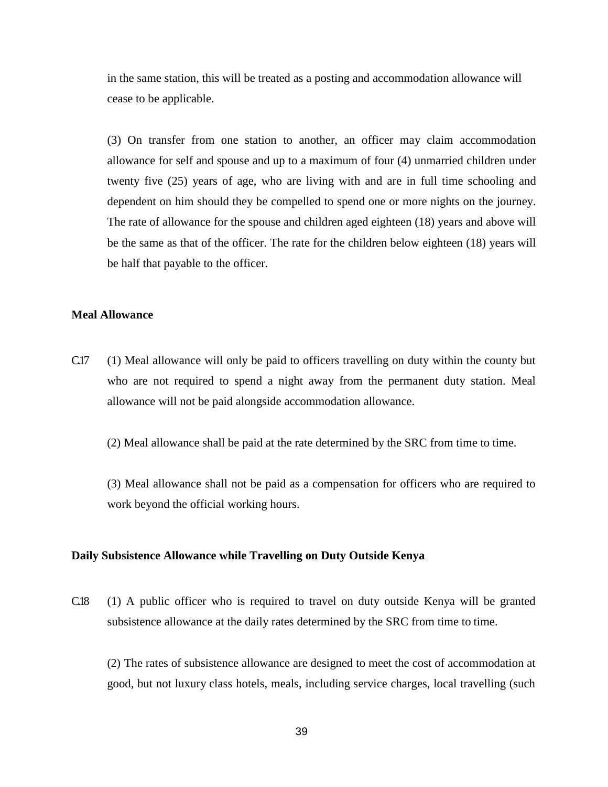in the same station, this will be treated as a posting and accommodation allowance will cease to be applicable.

(3) On transfer from one station to another, an officer may claim accommodation allowance for self and spouse and up to a maximum of four (4) unmarried children under twenty five (25) years of age, who are living with and are in full time schooling and dependent on him should they be compelled to spend one or more nights on the journey. The rate of allowance for the spouse and children aged eighteen (18) years and above will be the same as that of the officer. The rate for the children below eighteen (18) years will be half that payable to the officer.

#### **Meal Allowance**

C.17 (1) Meal allowance will only be paid to officers travelling on duty within the county but who are not required to spend a night away from the permanent duty station. Meal allowance will not be paid alongside accommodation allowance.

(2) Meal allowance shall be paid at the rate determined by the SRC from time to time.

(3) Meal allowance shall not be paid as a compensation for officers who are required to work beyond the official working hours.

#### **Daily Subsistence Allowance while Travelling on Duty Outside Kenya**

C.18 (1) A public officer who is required to travel on duty outside Kenya will be granted subsistence allowance at the daily rates determined by the SRC from time to time.

(2) The rates of subsistence allowance are designed to meet the cost of accommodation at good, but not luxury class hotels, meals, including service charges, local travelling (such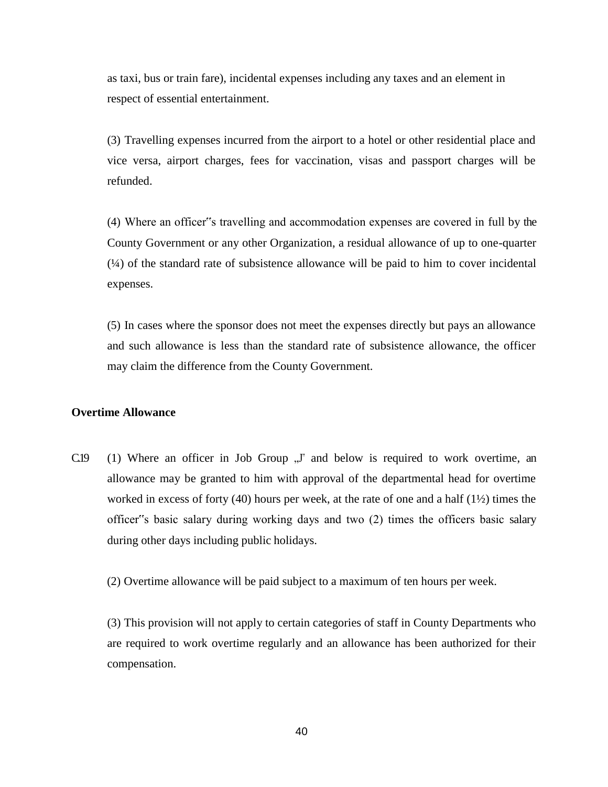as taxi, bus or train fare), incidental expenses including any taxes and an element in respect of essential entertainment.

(3) Travelling expenses incurred from the airport to a hotel or other residential place and vice versa, airport charges, fees for vaccination, visas and passport charges will be refunded.

(4) Where an officer"s travelling and accommodation expenses are covered in full by the County Government or any other Organization, a residual allowance of up to one-quarter  $(\frac{1}{4})$  of the standard rate of subsistence allowance will be paid to him to cover incidental expenses.

(5) In cases where the sponsor does not meet the expenses directly but pays an allowance and such allowance is less than the standard rate of subsistence allowance, the officer may claim the difference from the County Government.

# **Overtime Allowance**

 $C.19$  (1) Where an officer in Job Group  $\sqrt{J}$  and below is required to work overtime, an allowance may be granted to him with approval of the departmental head for overtime worked in excess of forty (40) hours per week, at the rate of one and a half  $(1\frac{1}{2})$  times the officer"s basic salary during working days and two (2) times the officers basic salary during other days including public holidays.

(2) Overtime allowance will be paid subject to a maximum of ten hours per week.

(3) This provision will not apply to certain categories of staff in County Departments who are required to work overtime regularly and an allowance has been authorized for their compensation.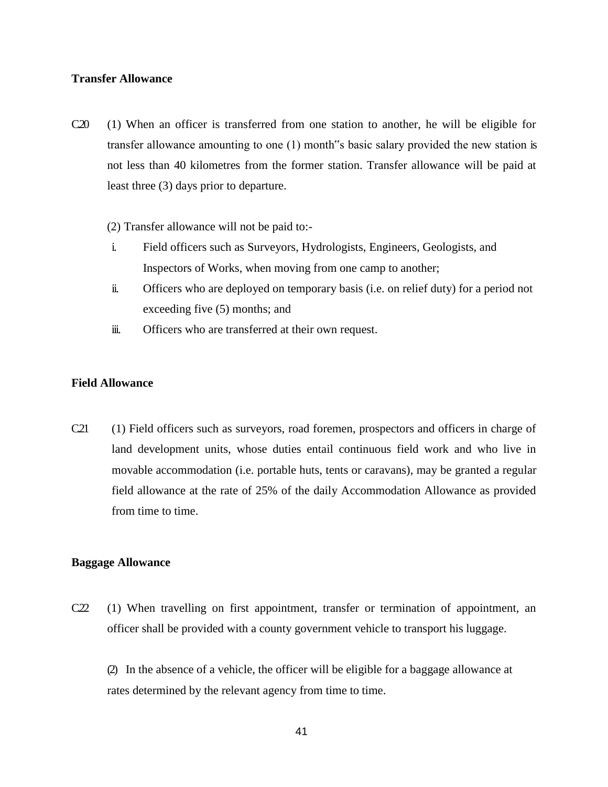## **Transfer Allowance**

- C.20 (1) When an officer is transferred from one station to another, he will be eligible for transfer allowance amounting to one (1) month"s basic salary provided the new station is not less than 40 kilometres from the former station. Transfer allowance will be paid at least three (3) days prior to departure.
	- (2) Transfer allowance will not be paid to:-
	- i. Field officers such as Surveyors, Hydrologists, Engineers, Geologists, and Inspectors of Works, when moving from one camp to another;
	- ii. Officers who are deployed on temporary basis (i.e. on relief duty) for a period not exceeding five (5) months; and
	- iii. Officers who are transferred at their own request.

# **Field Allowance**

C21 (1) Field officers such as surveyors, road foremen, prospectors and officers in charge of land development units, whose duties entail continuous field work and who live in movable accommodation (i.e. portable huts, tents or caravans), may be granted a regular field allowance at the rate of 25% of the daily Accommodation Allowance as provided from time to time.

## **Baggage Allowance**

C.22 (1) When travelling on first appointment, transfer or termination of appointment, an officer shall be provided with a county government vehicle to transport his luggage.

(2) In the absence of a vehicle, the officer will be eligible for a baggage allowance at rates determined by the relevant agency from time to time.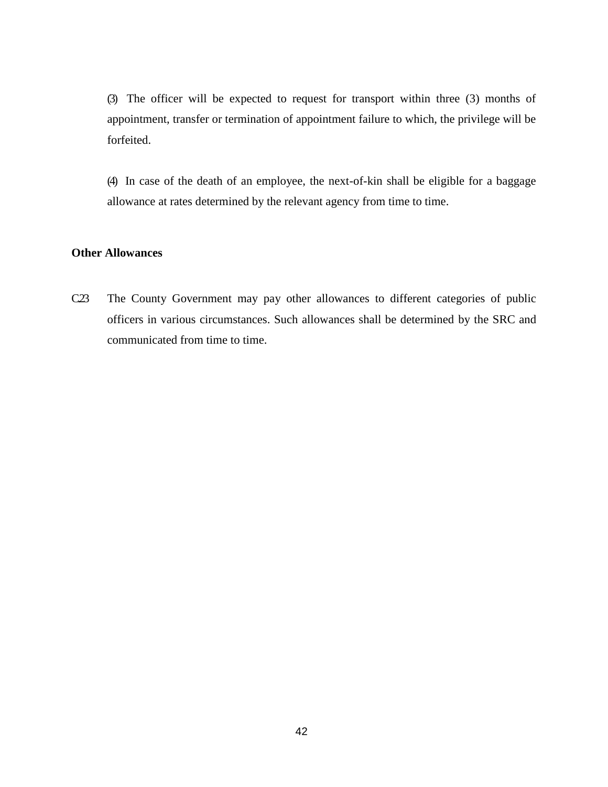(3) The officer will be expected to request for transport within three (3) months of appointment, transfer or termination of appointment failure to which, the privilege will be forfeited.

(4) In case of the death of an employee, the next-of-kin shall be eligible for a baggage allowance at rates determined by the relevant agency from time to time.

# **Other Allowances**

C.23 The County Government may pay other allowances to different categories of public officers in various circumstances. Such allowances shall be determined by the SRC and communicated from time to time.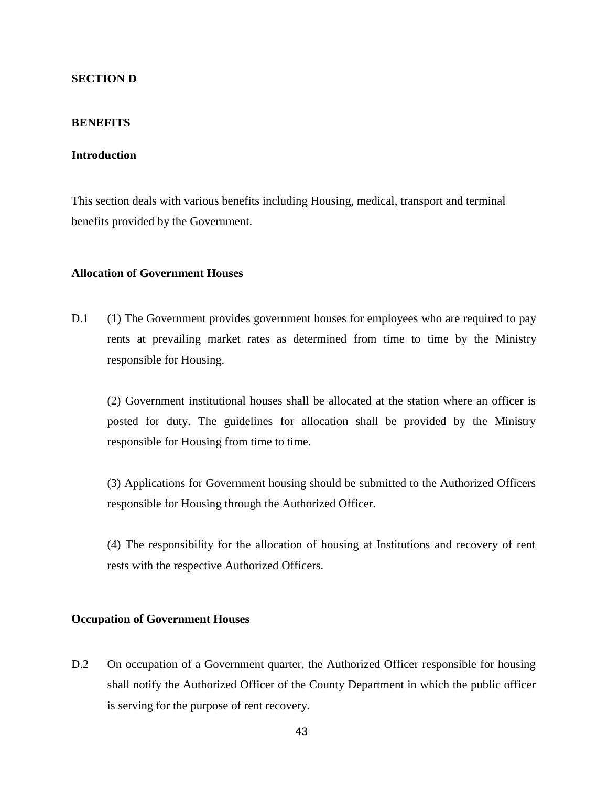# **SECTION D**

# **BENEFITS**

## **Introduction**

This section deals with various benefits including Housing, medical, transport and terminal benefits provided by the Government.

# **Allocation of Government Houses**

D.1 (1) The Government provides government houses for employees who are required to pay rents at prevailing market rates as determined from time to time by the Ministry responsible for Housing.

(2) Government institutional houses shall be allocated at the station where an officer is posted for duty. The guidelines for allocation shall be provided by the Ministry responsible for Housing from time to time.

(3) Applications for Government housing should be submitted to the Authorized Officers responsible for Housing through the Authorized Officer.

(4) The responsibility for the allocation of housing at Institutions and recovery of rent rests with the respective Authorized Officers.

# **Occupation of Government Houses**

D.2 On occupation of a Government quarter, the Authorized Officer responsible for housing shall notify the Authorized Officer of the County Department in which the public officer is serving for the purpose of rent recovery.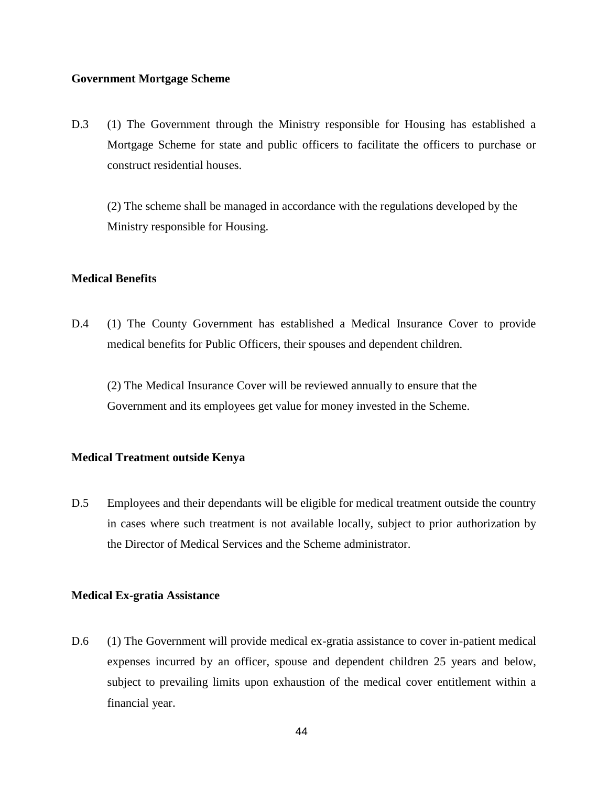## **Government Mortgage Scheme**

D.3 (1) The Government through the Ministry responsible for Housing has established a Mortgage Scheme for state and public officers to facilitate the officers to purchase or construct residential houses.

(2) The scheme shall be managed in accordance with the regulations developed by the Ministry responsible for Housing.

# **Medical Benefits**

D.4 (1) The County Government has established a Medical Insurance Cover to provide medical benefits for Public Officers, their spouses and dependent children.

(2) The Medical Insurance Cover will be reviewed annually to ensure that the Government and its employees get value for money invested in the Scheme.

# **Medical Treatment outside Kenya**

D.5 Employees and their dependants will be eligible for medical treatment outside the country in cases where such treatment is not available locally, subject to prior authorization by the Director of Medical Services and the Scheme administrator.

## **Medical Ex-gratia Assistance**

D.6 (1) The Government will provide medical ex-gratia assistance to cover in-patient medical expenses incurred by an officer, spouse and dependent children 25 years and below, subject to prevailing limits upon exhaustion of the medical cover entitlement within a financial year.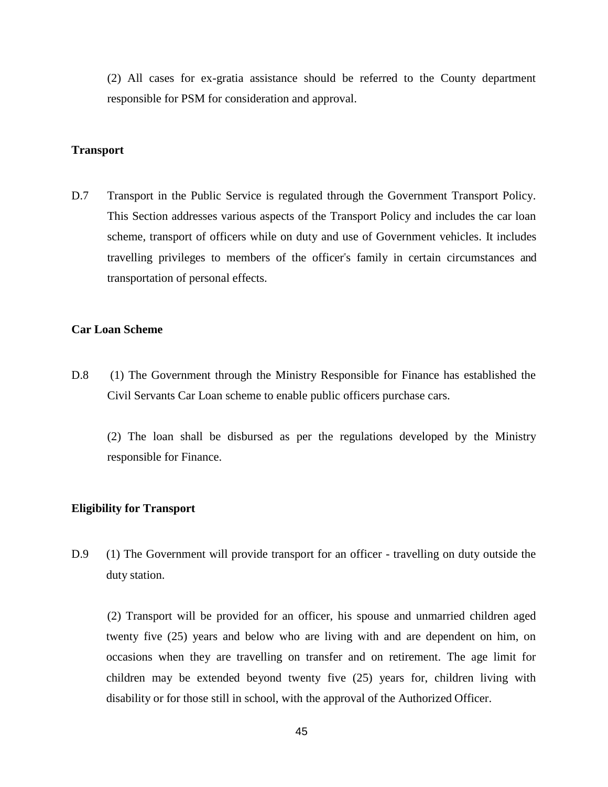(2) All cases for ex-gratia assistance should be referred to the County department responsible for PSM for consideration and approval.

## **Transport**

D.7 Transport in the Public Service is regulated through the Government Transport Policy. This Section addresses various aspects of the Transport Policy and includes the car loan scheme, transport of officers while on duty and use of Government vehicles. It includes travelling privileges to members of the officer"s family in certain circumstances and transportation of personal effects.

## **Car Loan Scheme**

D.8 (1) The Government through the Ministry Responsible for Finance has established the Civil Servants Car Loan scheme to enable public officers purchase cars.

(2) The loan shall be disbursed as per the regulations developed by the Ministry responsible for Finance.

## **Eligibility for Transport**

D.9 (1) The Government will provide transport for an officer - travelling on duty outside the duty station.

(2) Transport will be provided for an officer, his spouse and unmarried children aged twenty five (25) years and below who are living with and are dependent on him, on occasions when they are travelling on transfer and on retirement. The age limit for children may be extended beyond twenty five (25) years for, children living with disability or for those still in school, with the approval of the Authorized Officer.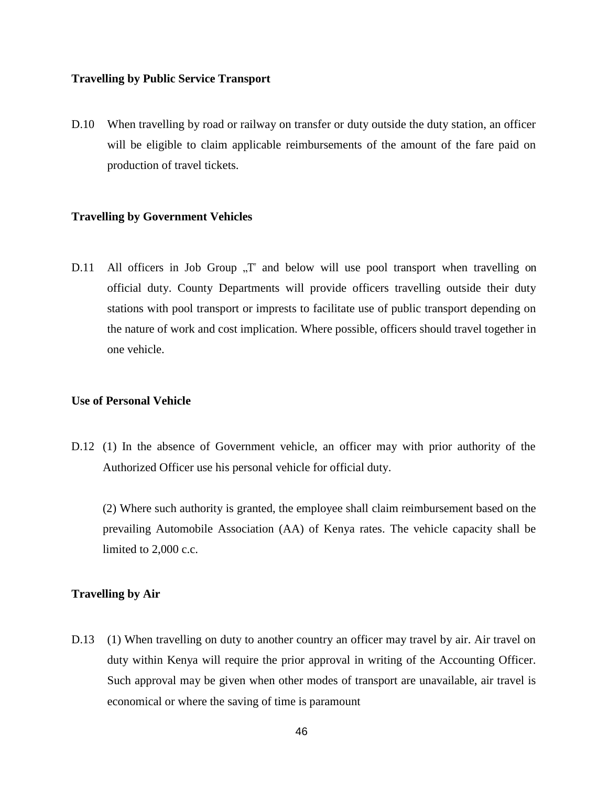## **Travelling by Public Service Transport**

D.10 When travelling by road or railway on transfer or duty outside the duty station, an officer will be eligible to claim applicable reimbursements of the amount of the fare paid on production of travel tickets.

## **Travelling by Government Vehicles**

D.11 All officers in Job Group  $T^*$  and below will use pool transport when travelling on official duty. County Departments will provide officers travelling outside their duty stations with pool transport or imprests to facilitate use of public transport depending on the nature of work and cost implication. Where possible, officers should travel together in one vehicle.

## **Use of Personal Vehicle**

D.12 (1) In the absence of Government vehicle, an officer may with prior authority of the Authorized Officer use his personal vehicle for official duty.

(2) Where such authority is granted, the employee shall claim reimbursement based on the prevailing Automobile Association (AA) of Kenya rates. The vehicle capacity shall be limited to 2,000 c.c.

## **Travelling by Air**

D.13 (1) When travelling on duty to another country an officer may travel by air. Air travel on duty within Kenya will require the prior approval in writing of the Accounting Officer. Such approval may be given when other modes of transport are unavailable, air travel is economical or where the saving of time is paramount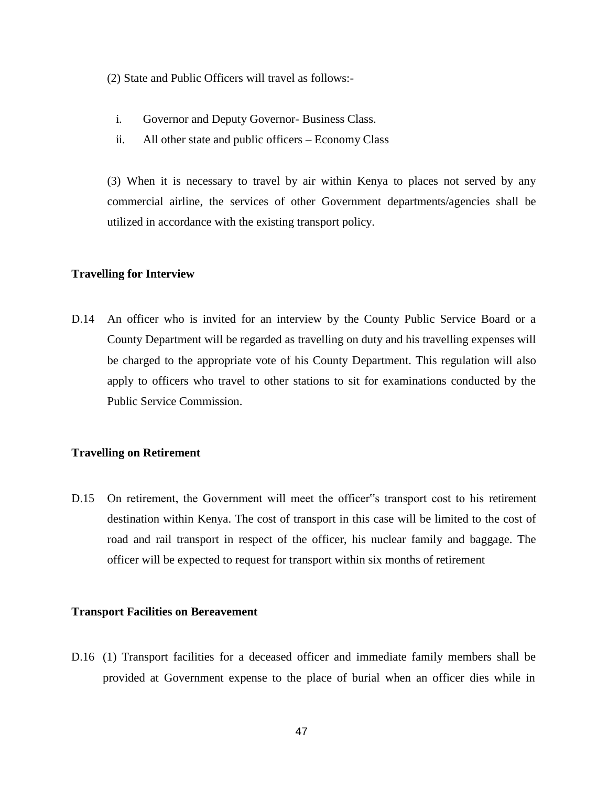(2) State and Public Officers will travel as follows:-

- i. Governor and Deputy Governor- Business Class.
- ii. All other state and public officers Economy Class

(3) When it is necessary to travel by air within Kenya to places not served by any commercial airline, the services of other Government departments/agencies shall be utilized in accordance with the existing transport policy.

# **Travelling for Interview**

D.14 An officer who is invited for an interview by the County Public Service Board or a County Department will be regarded as travelling on duty and his travelling expenses will be charged to the appropriate vote of his County Department. This regulation will also apply to officers who travel to other stations to sit for examinations conducted by the Public Service Commission.

# **Travelling on Retirement**

D.15 On retirement, the Government will meet the officer"s transport cost to his retirement destination within Kenya. The cost of transport in this case will be limited to the cost of road and rail transport in respect of the officer, his nuclear family and baggage. The officer will be expected to request for transport within six months of retirement

## **Transport Facilities on Bereavement**

D.16 (1) Transport facilities for a deceased officer and immediate family members shall be provided at Government expense to the place of burial when an officer dies while in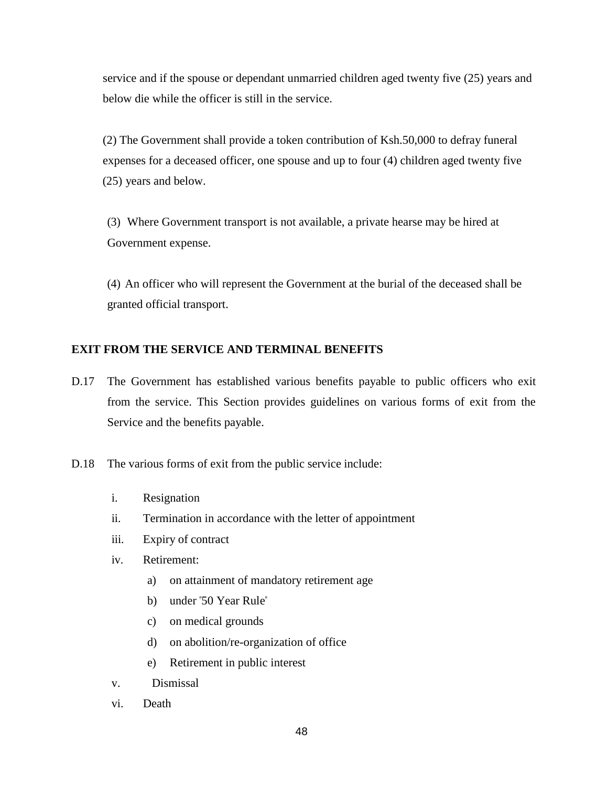service and if the spouse or dependant unmarried children aged twenty five (25) years and below die while the officer is still in the service.

(2) The Government shall provide a token contribution of Ksh.50,000 to defray funeral expenses for a deceased officer, one spouse and up to four (4) children aged twenty five (25) years and below.

(3) Where Government transport is not available, a private hearse may be hired at Government expense.

(4) An officer who will represent the Government at the burial of the deceased shall be granted official transport.

# **EXIT FROM THE SERVICE AND TERMINAL BENEFITS**

- D.17 The Government has established various benefits payable to public officers who exit from the service. This Section provides guidelines on various forms of exit from the Service and the benefits payable.
- D.18 The various forms of exit from the public service include:
	- i. Resignation
	- ii. Termination in accordance with the letter of appointment
	- iii. Expiry of contract
	- iv. Retirement:
		- a) on attainment of mandatory retirement age
		- b) under "50 Year Rule"
		- c) on medical grounds
		- d) on abolition/re-organization of office
		- e) Retirement in public interest
	- v. Dismissal
	- vi. Death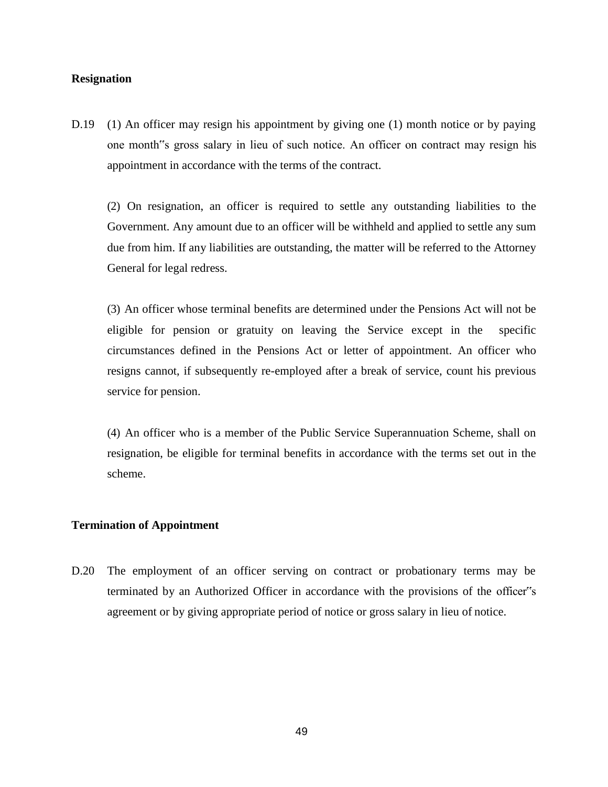## **Resignation**

D.19 (1) An officer may resign his appointment by giving one (1) month notice or by paying one month"s gross salary in lieu of such notice. An officer on contract may resign his appointment in accordance with the terms of the contract.

(2) On resignation, an officer is required to settle any outstanding liabilities to the Government. Any amount due to an officer will be withheld and applied to settle any sum due from him. If any liabilities are outstanding, the matter will be referred to the Attorney General for legal redress.

(3) An officer whose terminal benefits are determined under the Pensions Act will not be eligible for pension or gratuity on leaving the Service except in the specific circumstances defined in the Pensions Act or letter of appointment. An officer who resigns cannot, if subsequently re-employed after a break of service, count his previous service for pension.

(4) An officer who is a member of the Public Service Superannuation Scheme, shall on resignation, be eligible for terminal benefits in accordance with the terms set out in the scheme.

## **Termination of Appointment**

D.20 The employment of an officer serving on contract or probationary terms may be terminated by an Authorized Officer in accordance with the provisions of the officer"s agreement or by giving appropriate period of notice or gross salary in lieu of notice.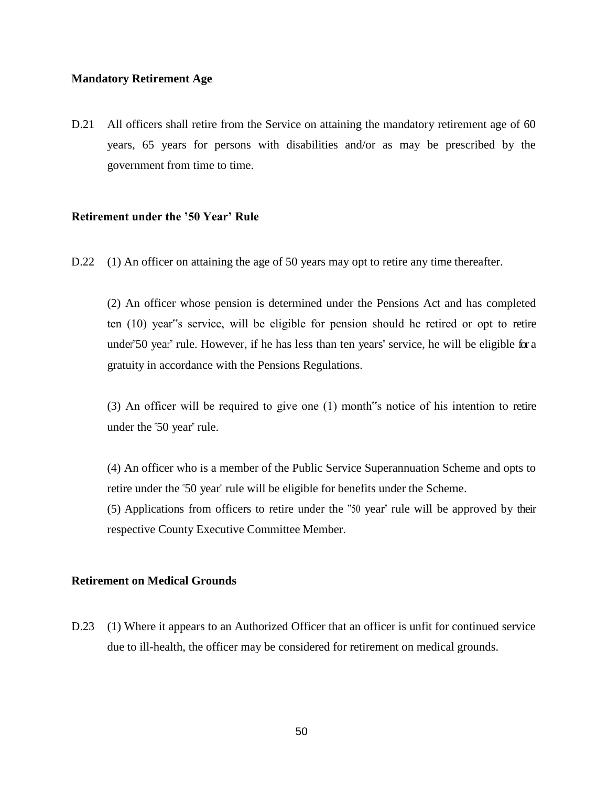# **Mandatory Retirement Age**

D.21 All officers shall retire from the Service on attaining the mandatory retirement age of 60 years, 65 years for persons with disabilities and/or as may be prescribed by the government from time to time.

## **Retirement under the '50 Year' Rule**

D.22 (1) An officer on attaining the age of 50 years may opt to retire any time thereafter.

(2) An officer whose pension is determined under the Pensions Act and has completed ten (10) year"s service, will be eligible for pension should he retired or opt to retire under"50 year" rule. However, if he has less than ten years" service, he will be eligible for a gratuity in accordance with the Pensions Regulations.

(3) An officer will be required to give one (1) month"s notice of his intention to retire under the "50 year" rule.

(4) An officer who is a member of the Public Service Superannuation Scheme and opts to retire under the "50 year" rule will be eligible for benefits under the Scheme.

(5) Applications from officers to retire under the "50 year" rule will be approved by their respective County Executive Committee Member.

# **Retirement on Medical Grounds**

D.23 (1) Where it appears to an Authorized Officer that an officer is unfit for continued service due to ill-health, the officer may be considered for retirement on medical grounds.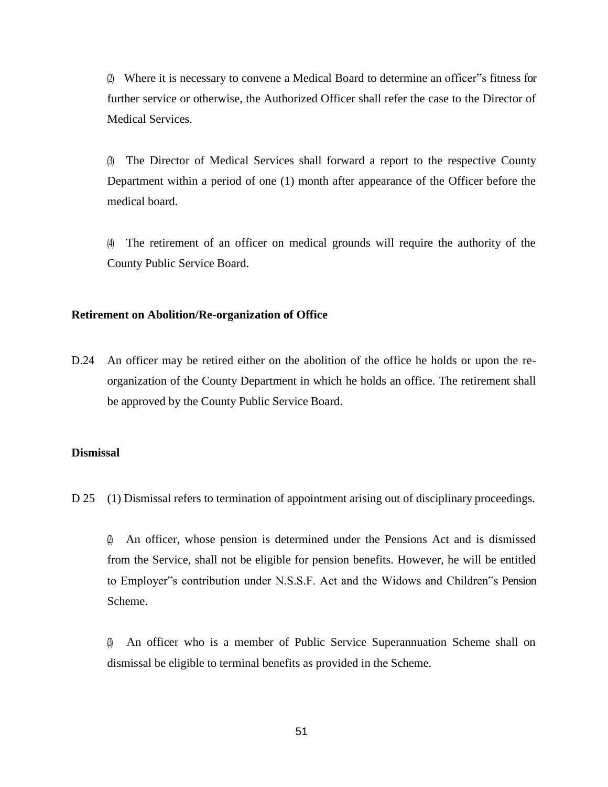(2) Where it is necessary to convene a Medical Board to determine an officer"s fitness for further service or otherwise, the Authorized Officer shall refer the case to the Director of Medical Services.

(3) The Director of Medical Services shall forward a report to the respective County Department within a period of one (1) month after appearance of the Officer before the medical board.

(4) The retirement of an officer on medical grounds will require the authority of the County Public Service Board.

## **Retirement on Abolition/Re-organization of Office**

D.24 An officer may be retired either on the abolition of the office he holds or upon the reorganization of the County Department in which he holds an office. The retirement shall be approved by the County Public Service Board.

## **Dismissal**

D 25 (1) Dismissal refers to termination of appointment arising out of disciplinary proceedings.

(2) An officer, whose pension is determined under the Pensions Act and is dismissed from the Service, shall not be eligible for pension benefits. However, he will be entitled to Employer"s contribution under N.S.S.F. Act and the Widows and Children"s Pension Scheme.

(3) An officer who is a member of Public Service Superannuation Scheme shall on dismissal be eligible to terminal benefits as provided in the Scheme.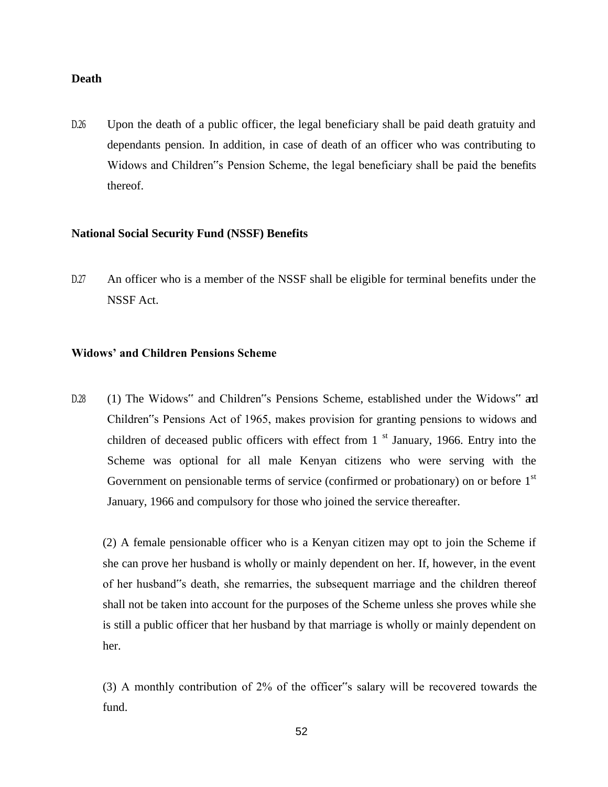## **Death**

D.26 Upon the death of a public officer, the legal beneficiary shall be paid death gratuity and dependants pension. In addition, in case of death of an officer who was contributing to Widows and Children"s Pension Scheme, the legal beneficiary shall be paid the benefits thereof.

#### **National Social Security Fund (NSSF) Benefits**

D.27 An officer who is a member of the NSSF shall be eligible for terminal benefits under the NSSF Act.

## **Widows' and Children Pensions Scheme**

D.28 (1) The Widows" and Children"s Pensions Scheme, established under the Widows" and Children"s Pensions Act of 1965, makes provision for granting pensions to widows and children of deceased public officers with effect from  $1<sup>st</sup>$  January, 1966. Entry into the Scheme was optional for all male Kenyan citizens who were serving with the Government on pensionable terms of service (confirmed or probationary) on or before  $1<sup>st</sup>$ January, 1966 and compulsory for those who joined the service thereafter.

(2) A female pensionable officer who is a Kenyan citizen may opt to join the Scheme if she can prove her husband is wholly or mainly dependent on her. If, however, in the event of her husband"s death, she remarries, the subsequent marriage and the children thereof shall not be taken into account for the purposes of the Scheme unless she proves while she is still a public officer that her husband by that marriage is wholly or mainly dependent on her.

(3) A monthly contribution of 2% of the officer"s salary will be recovered towards the fund.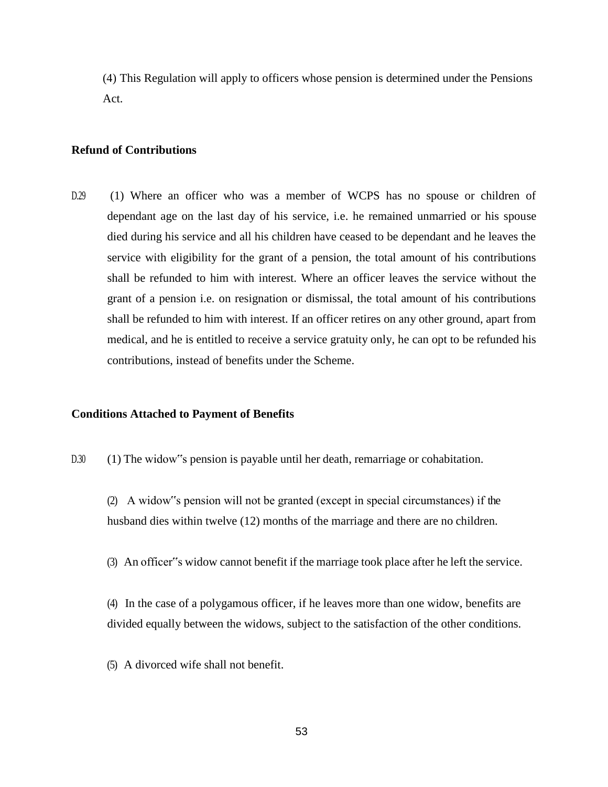(4) This Regulation will apply to officers whose pension is determined under the Pensions Act.

## **Refund of Contributions**

D.29 (1) Where an officer who was a member of WCPS has no spouse or children of dependant age on the last day of his service, i.e. he remained unmarried or his spouse died during his service and all his children have ceased to be dependant and he leaves the service with eligibility for the grant of a pension, the total amount of his contributions shall be refunded to him with interest. Where an officer leaves the service without the grant of a pension i.e. on resignation or dismissal, the total amount of his contributions shall be refunded to him with interest. If an officer retires on any other ground, apart from medical, and he is entitled to receive a service gratuity only, he can opt to be refunded his contributions, instead of benefits under the Scheme.

#### **Conditions Attached to Payment of Benefits**

- D.30 (1) The widow" spension is payable until her death, remarriage or cohabitation.
	- (2) A widow"s pension will not be granted (except in special circumstances) if the husband dies within twelve (12) months of the marriage and there are no children.
	- (3) An officer"s widow cannot benefit if the marriage took place after he left the service.

(4) In the case of a polygamous officer, if he leaves more than one widow, benefits are divided equally between the widows, subject to the satisfaction of the other conditions.

(5) A divorced wife shall not benefit.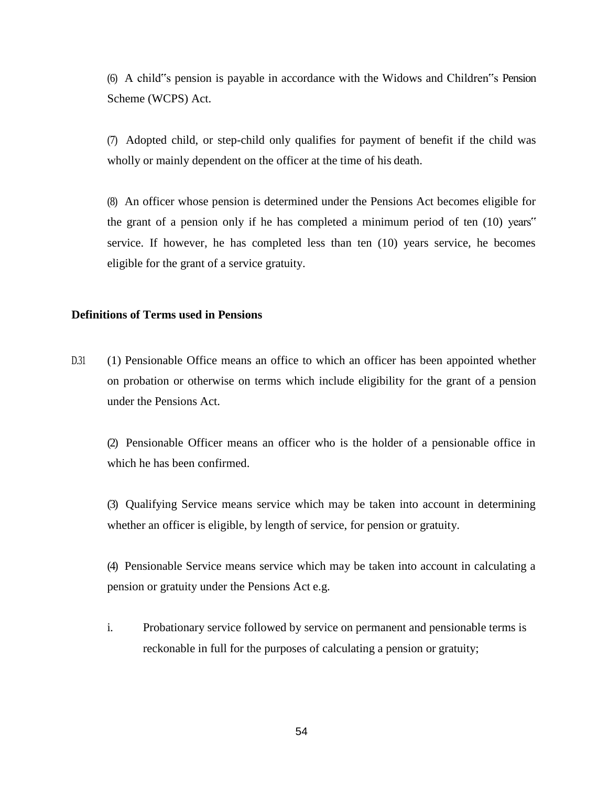(6) A child"s pension is payable in accordance with the Widows and Children"s Pension Scheme (WCPS) Act.

(7) Adopted child, or step-child only qualifies for payment of benefit if the child was wholly or mainly dependent on the officer at the time of his death.

(8) An officer whose pension is determined under the Pensions Act becomes eligible for the grant of a pension only if he has completed a minimum period of ten (10) years" service. If however, he has completed less than ten (10) years service, he becomes eligible for the grant of a service gratuity.

## **Definitions of Terms used in Pensions**

D.31 (1) Pensionable Office means an office to which an officer has been appointed whether on probation or otherwise on terms which include eligibility for the grant of a pension under the Pensions Act.

(2) Pensionable Officer means an officer who is the holder of a pensionable office in which he has been confirmed.

(3) Qualifying Service means service which may be taken into account in determining whether an officer is eligible, by length of service, for pension or gratuity.

(4) Pensionable Service means service which may be taken into account in calculating a pension or gratuity under the Pensions Act e.g.

i. Probationary service followed by service on permanent and pensionable terms is reckonable in full for the purposes of calculating a pension or gratuity;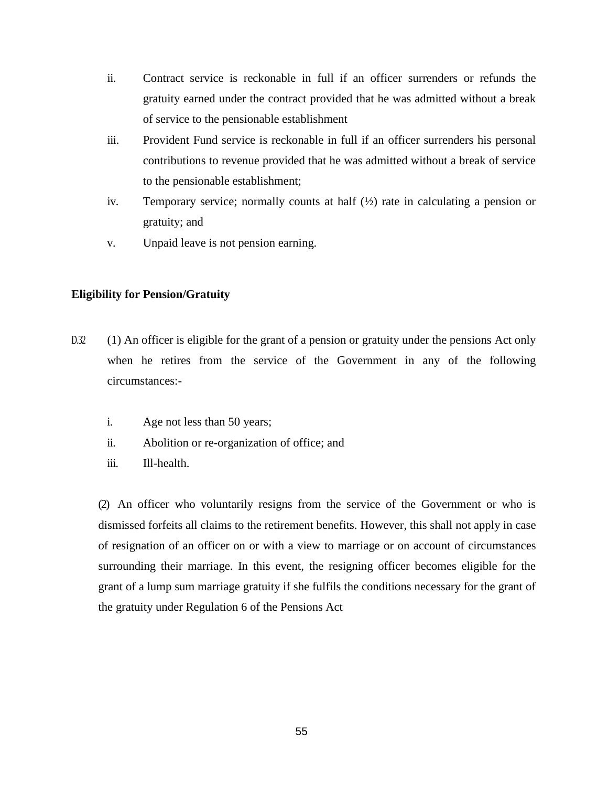- ii. Contract service is reckonable in full if an officer surrenders or refunds the gratuity earned under the contract provided that he was admitted without a break of service to the pensionable establishment
- iii. Provident Fund service is reckonable in full if an officer surrenders his personal contributions to revenue provided that he was admitted without a break of service to the pensionable establishment;
- iv. Temporary service; normally counts at half (½) rate in calculating a pension or gratuity; and
- v. Unpaid leave is not pension earning.

# **Eligibility for Pension/Gratuity**

- D.32 (1) An officer is eligible for the grant of a pension or gratuity under the pensions Act only when he retires from the service of the Government in any of the following circumstances:
	- i. Age not less than 50 years;
	- ii. Abolition or re-organization of office; and
	- iii. Ill-health.

(2) An officer who voluntarily resigns from the service of the Government or who is dismissed forfeits all claims to the retirement benefits. However, this shall not apply in case of resignation of an officer on or with a view to marriage or on account of circumstances surrounding their marriage. In this event, the resigning officer becomes eligible for the grant of a lump sum marriage gratuity if she fulfils the conditions necessary for the grant of the gratuity under Regulation 6 of the Pensions Act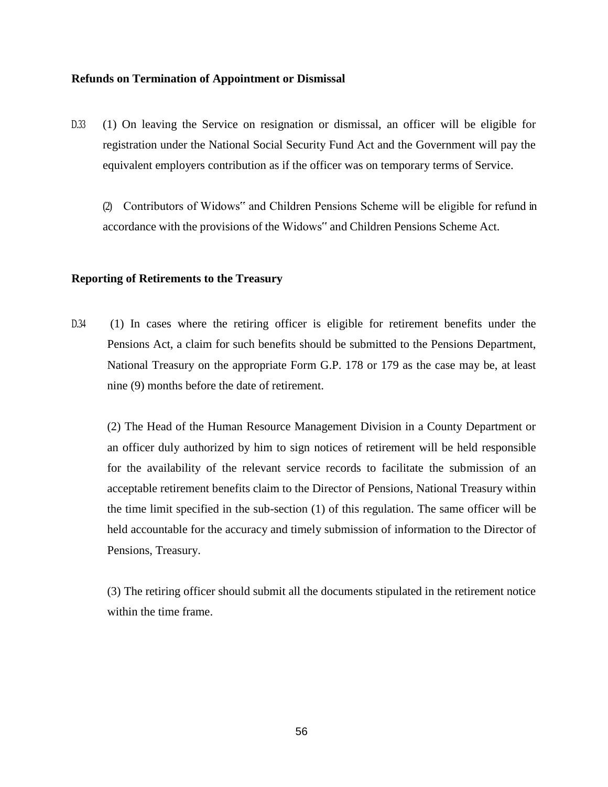# **Refunds on Termination of Appointment or Dismissal**

D.33 (1) On leaving the Service on resignation or dismissal, an officer will be eligible for registration under the National Social Security Fund Act and the Government will pay the equivalent employers contribution as if the officer was on temporary terms of Service.

(2) Contributors of Widows" and Children Pensions Scheme will be eligible for refund in accordance with the provisions of the Widows" and Children Pensions Scheme Act.

## **Reporting of Retirements to the Treasury**

D.34 (1) In cases where the retiring officer is eligible for retirement benefits under the Pensions Act, a claim for such benefits should be submitted to the Pensions Department, National Treasury on the appropriate Form G.P. 178 or 179 as the case may be, at least nine (9) months before the date of retirement.

(2) The Head of the Human Resource Management Division in a County Department or an officer duly authorized by him to sign notices of retirement will be held responsible for the availability of the relevant service records to facilitate the submission of an acceptable retirement benefits claim to the Director of Pensions, National Treasury within the time limit specified in the sub-section (1) of this regulation. The same officer will be held accountable for the accuracy and timely submission of information to the Director of Pensions, Treasury.

(3) The retiring officer should submit all the documents stipulated in the retirement notice within the time frame.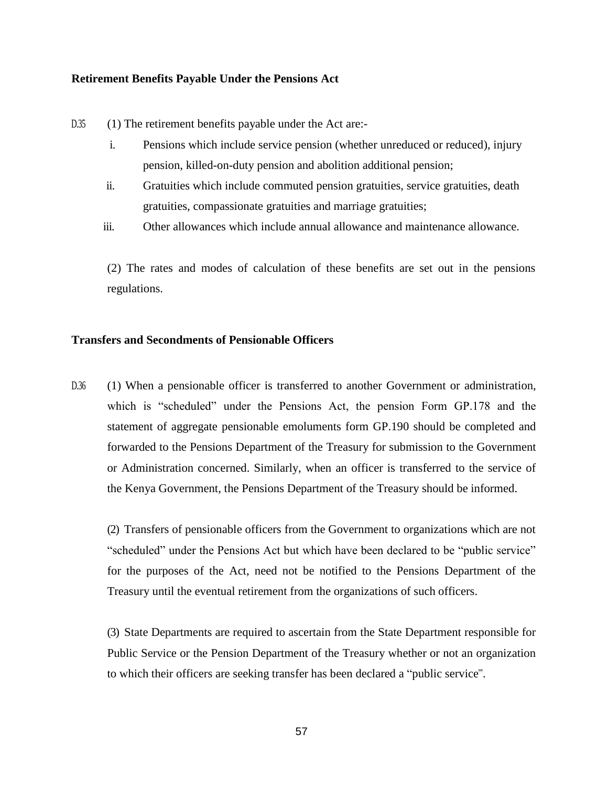#### **Retirement Benefits Payable Under the Pensions Act**

- D.35 (1) The retirement benefits payable under the Act are:
	- i. Pensions which include service pension (whether unreduced or reduced), injury pension, killed-on-duty pension and abolition additional pension;
	- ii. Gratuities which include commuted pension gratuities, service gratuities, death gratuities, compassionate gratuities and marriage gratuities;
	- iii. Other allowances which include annual allowance and maintenance allowance.

(2) The rates and modes of calculation of these benefits are set out in the pensions regulations.

# **Transfers and Secondments of Pensionable Officers**

D.36 (1) When a pensionable officer is transferred to another Government or administration, which is "scheduled" under the Pensions Act, the pension Form GP.178 and the statement of aggregate pensionable emoluments form GP.190 should be completed and forwarded to the Pensions Department of the Treasury for submission to the Government or Administration concerned. Similarly, when an officer is transferred to the service of the Kenya Government, the Pensions Department of the Treasury should be informed.

(2) Transfers of pensionable officers from the Government to organizations which are not "scheduled" under the Pensions Act but which have been declared to be "public service" for the purposes of the Act, need not be notified to the Pensions Department of the Treasury until the eventual retirement from the organizations of such officers.

(3) State Departments are required to ascertain from the State Department responsible for Public Service or the Pension Department of the Treasury whether or not an organization to which their officers are seeking transfer has been declared a "public service"".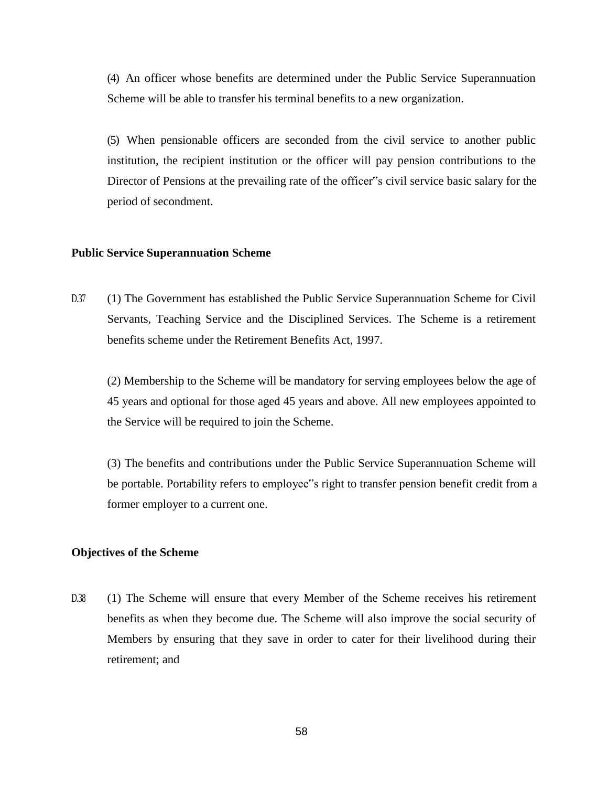(4) An officer whose benefits are determined under the Public Service Superannuation Scheme will be able to transfer his terminal benefits to a new organization.

(5) When pensionable officers are seconded from the civil service to another public institution, the recipient institution or the officer will pay pension contributions to the Director of Pensions at the prevailing rate of the officer"s civil service basic salary for the period of secondment.

## **Public Service Superannuation Scheme**

D.37 (1) The Government has established the Public Service Superannuation Scheme for Civil Servants, Teaching Service and the Disciplined Services. The Scheme is a retirement benefits scheme under the Retirement Benefits Act, 1997.

(2) Membership to the Scheme will be mandatory for serving employees below the age of 45 years and optional for those aged 45 years and above. All new employees appointed to the Service will be required to join the Scheme.

(3) The benefits and contributions under the Public Service Superannuation Scheme will be portable. Portability refers to employee"s right to transfer pension benefit credit from a former employer to a current one.

## **Objectives of the Scheme**

D.38 (1) The Scheme will ensure that every Member of the Scheme receives his retirement benefits as when they become due. The Scheme will also improve the social security of Members by ensuring that they save in order to cater for their livelihood during their retirement; and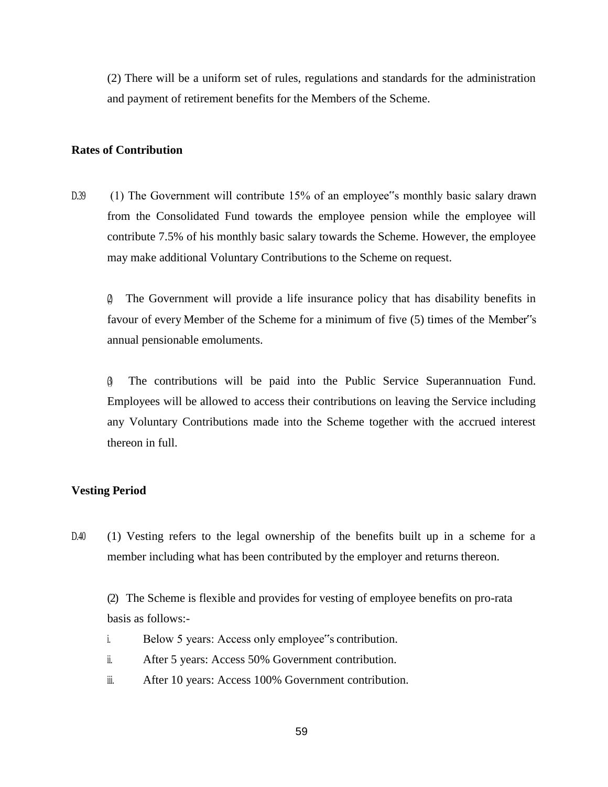(2) There will be a uniform set of rules, regulations and standards for the administration and payment of retirement benefits for the Members of the Scheme.

### **Rates of Contribution**

D.39 (1) The Government will contribute 15% of an employee"s monthly basic salary drawn from the Consolidated Fund towards the employee pension while the employee will contribute 7.5% of his monthly basic salary towards the Scheme. However, the employee may make additional Voluntary Contributions to the Scheme on request.

(2) The Government will provide a life insurance policy that has disability benefits in favour of every Member of the Scheme for a minimum of five (5) times of the Member"s annual pensionable emoluments.

(3) The contributions will be paid into the Public Service Superannuation Fund. Employees will be allowed to access their contributions on leaving the Service including any Voluntary Contributions made into the Scheme together with the accrued interest thereon in full.

### **Vesting Period**

D.40 (1) Vesting refers to the legal ownership of the benefits built up in a scheme for a member including what has been contributed by the employer and returns thereon.

(2) The Scheme is flexible and provides for vesting of employee benefits on pro-rata basis as follows:-

- i. Below 5 years: Access only employee"s contribution.
- ii. After 5 years: Access 50% Government contribution.
- iii. After 10 years: Access 100% Government contribution.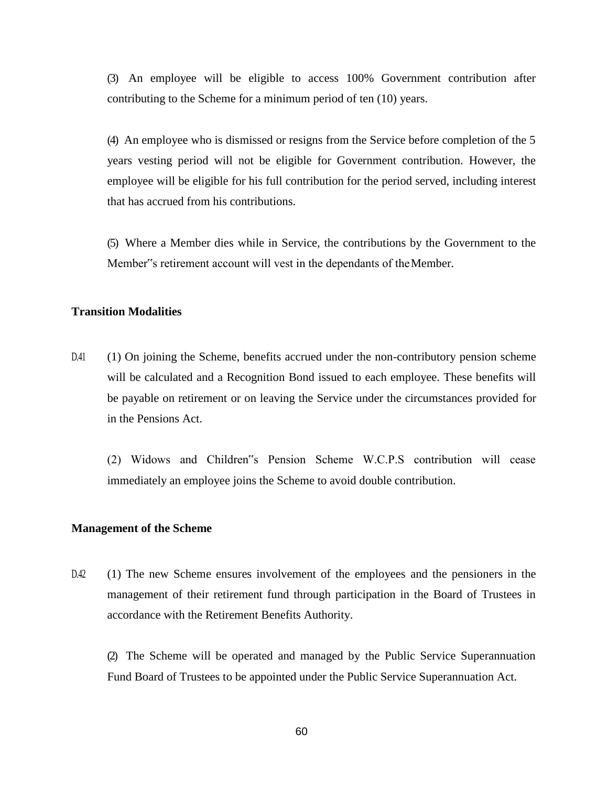(3) An employee will be eligible to access 100% Government contribution after contributing to the Scheme for a minimum period of ten (10) years.

(4) An employee who is dismissed or resigns from the Service before completion of the 5 years vesting period will not be eligible for Government contribution. However, the employee will be eligible for his full contribution for the period served, including interest that has accrued from his contributions.

(5) Where a Member dies while in Service, the contributions by the Government to the Member"s retirement account will vest in the dependants of theMember.

# **Transition Modalities**

D.41 (1) On joining the Scheme, benefits accrued under the non-contributory pension scheme will be calculated and a Recognition Bond issued to each employee. These benefits will be payable on retirement or on leaving the Service under the circumstances provided for in the Pensions Act.

(2) Widows and Children"s Pension Scheme W.C.P.S contribution will cease immediately an employee joins the Scheme to avoid double contribution.

#### **Management of the Scheme**

D.42 (1) The new Scheme ensures involvement of the employees and the pensioners in the management of their retirement fund through participation in the Board of Trustees in accordance with the Retirement Benefits Authority.

(2) The Scheme will be operated and managed by the Public Service Superannuation Fund Board of Trustees to be appointed under the Public Service Superannuation Act.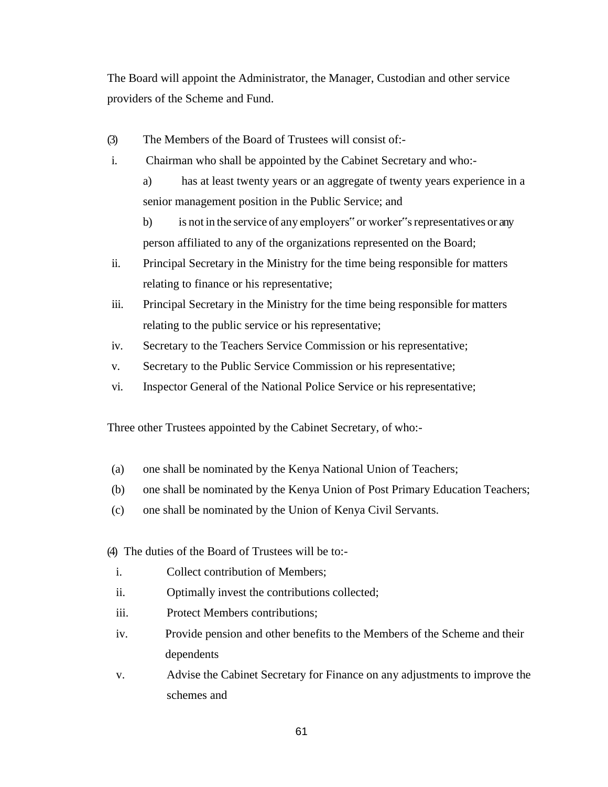The Board will appoint the Administrator, the Manager, Custodian and other service providers of the Scheme and Fund.

- (3) The Members of the Board of Trustees will consist of:-
- i. Chairman who shall be appointed by the Cabinet Secretary and who:
	- a) has at least twenty years or an aggregate of twenty years experience in a senior management position in the Public Service; and
	- b) is not in the service of any employers" or worker"s representatives or any person affiliated to any of the organizations represented on the Board;
- ii. Principal Secretary in the Ministry for the time being responsible for matters relating to finance or his representative;
- iii. Principal Secretary in the Ministry for the time being responsible for matters relating to the public service or his representative;
- iv. Secretary to the Teachers Service Commission or his representative;
- v. Secretary to the Public Service Commission or his representative;
- vi. Inspector General of the National Police Service or his representative;

Three other Trustees appointed by the Cabinet Secretary, of who:-

- (a) one shall be nominated by the Kenya National Union of Teachers;
- (b) one shall be nominated by the Kenya Union of Post Primary Education Teachers;
- (c) one shall be nominated by the Union of Kenya Civil Servants.
- (4) The duties of the Board of Trustees will be to:
	- i. Collect contribution of Members;
	- ii. Optimally invest the contributions collected;
	- iii. Protect Members contributions;
	- iv. Provide pension and other benefits to the Members of the Scheme and their dependents
	- v. Advise the Cabinet Secretary for Finance on any adjustments to improve the schemes and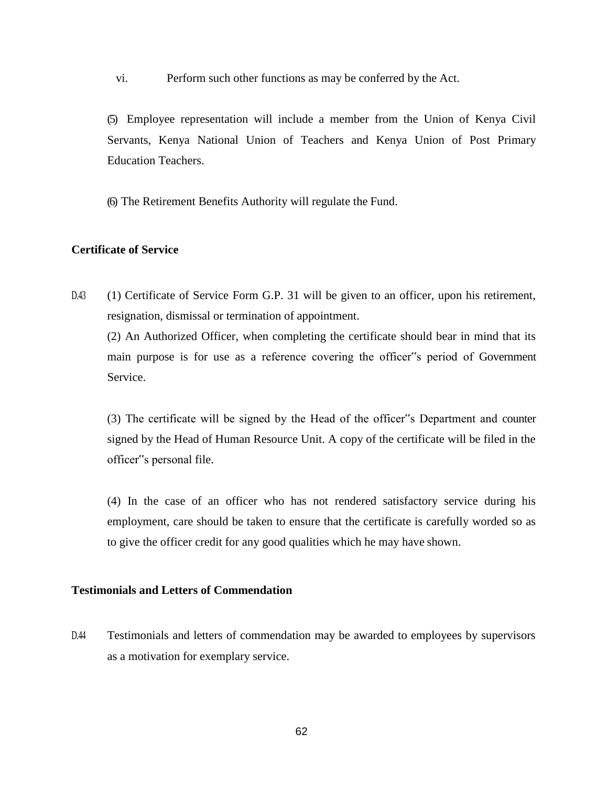vi. Perform such other functions as may be conferred by the Act.

(5) Employee representation will include a member from the Union of Kenya Civil Servants, Kenya National Union of Teachers and Kenya Union of Post Primary Education Teachers.

(6) The Retirement Benefits Authority will regulate the Fund.

#### **Certificate of Service**

D.43 (1) Certificate of Service Form G.P. 31 will be given to an officer, upon his retirement, resignation, dismissal or termination of appointment.

(2) An Authorized Officer, when completing the certificate should bear in mind that its main purpose is for use as a reference covering the officer"s period of Government Service.

(3) The certificate will be signed by the Head of the officer"s Department and counter signed by the Head of Human Resource Unit. A copy of the certificate will be filed in the officer"s personal file.

(4) In the case of an officer who has not rendered satisfactory service during his employment, care should be taken to ensure that the certificate is carefully worded so as to give the officer credit for any good qualities which he may have shown.

# **Testimonials and Letters of Commendation**

D.44 Testimonials and letters of commendation may be awarded to employees by supervisors as a motivation for exemplary service.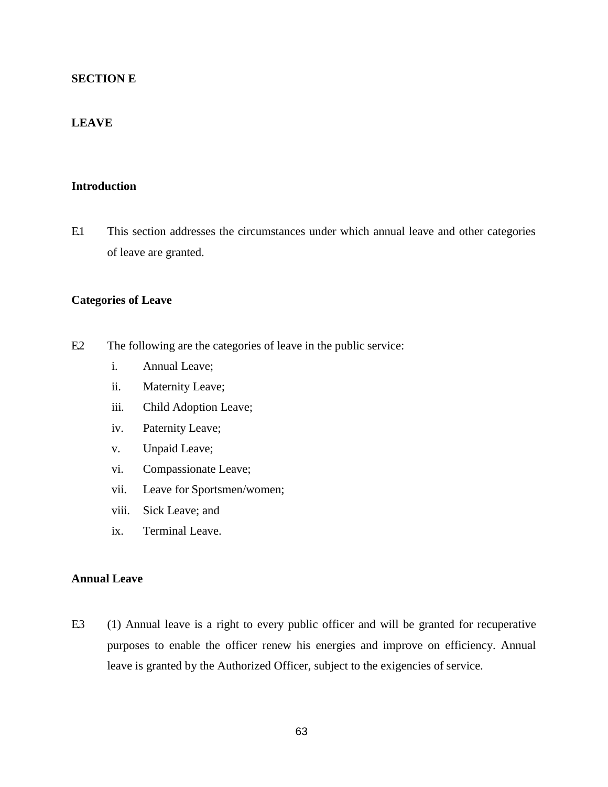# **SECTION E**

# **LEAVE**

# **Introduction**

E.1 This section addresses the circumstances under which annual leave and other categories of leave are granted.

#### **Categories of Leave**

- E.2 The following are the categories of leave in the public service:
	- i. Annual Leave;
	- ii. Maternity Leave;
	- iii. Child Adoption Leave;
	- iv. Paternity Leave;
	- v. Unpaid Leave;
	- vi. Compassionate Leave;
	- vii. Leave for Sportsmen/women;
	- viii. Sick Leave; and
	- ix. Terminal Leave.

#### **Annual Leave**

E.3 (1) Annual leave is a right to every public officer and will be granted for recuperative purposes to enable the officer renew his energies and improve on efficiency. Annual leave is granted by the Authorized Officer, subject to the exigencies of service.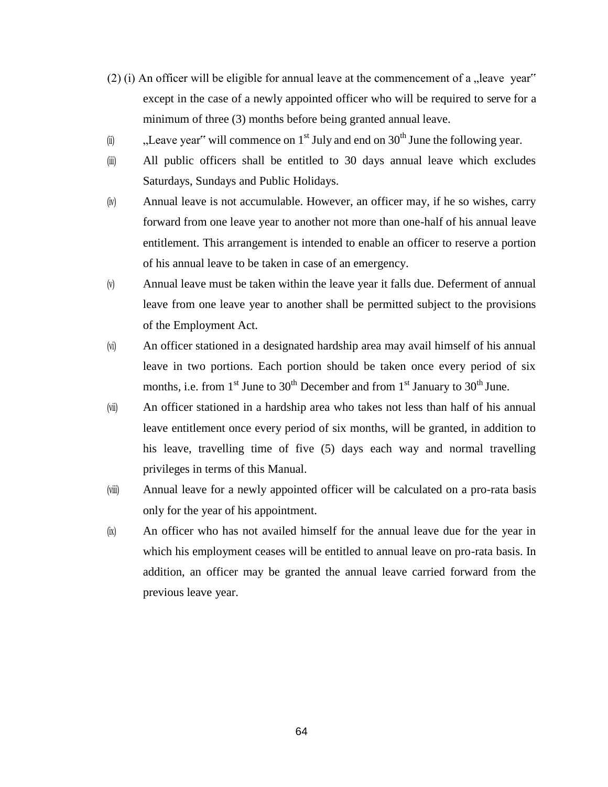- (2) (i) An officer will be eligible for annual leave at the commencement of a  $\alpha$  leave year" except in the case of a newly appointed officer who will be required to serve for a minimum of three (3) months before being granted annual leave.
- (ii)  $\qquad$ , Leave year" will commence on 1<sup>st</sup> July and end on 30<sup>th</sup> June the following year.
- (iii) All public officers shall be entitled to 30 days annual leave which excludes Saturdays, Sundays and Public Holidays.
- (iv) Annual leave is not accumulable. However, an officer may, if he so wishes, carry forward from one leave year to another not more than one-half of his annual leave entitlement. This arrangement is intended to enable an officer to reserve a portion of his annual leave to be taken in case of an emergency.
- (v) Annual leave must be taken within the leave year it falls due. Deferment of annual leave from one leave year to another shall be permitted subject to the provisions of the Employment Act.
- (vi) An officer stationed in a designated hardship area may avail himself of his annual leave in two portions. Each portion should be taken once every period of six months, i.e. from  $1<sup>st</sup>$  June to  $30<sup>th</sup>$  December and from  $1<sup>st</sup>$  January to  $30<sup>th</sup>$  June.
- (vii) An officer stationed in a hardship area who takes not less than half of his annual leave entitlement once every period of six months, will be granted, in addition to his leave, travelling time of five (5) days each way and normal travelling privileges in terms of this Manual.
- (viii) Annual leave for a newly appointed officer will be calculated on a pro-rata basis only for the year of his appointment.
- (ix) An officer who has not availed himself for the annual leave due for the year in which his employment ceases will be entitled to annual leave on pro-rata basis. In addition, an officer may be granted the annual leave carried forward from the previous leave year.

64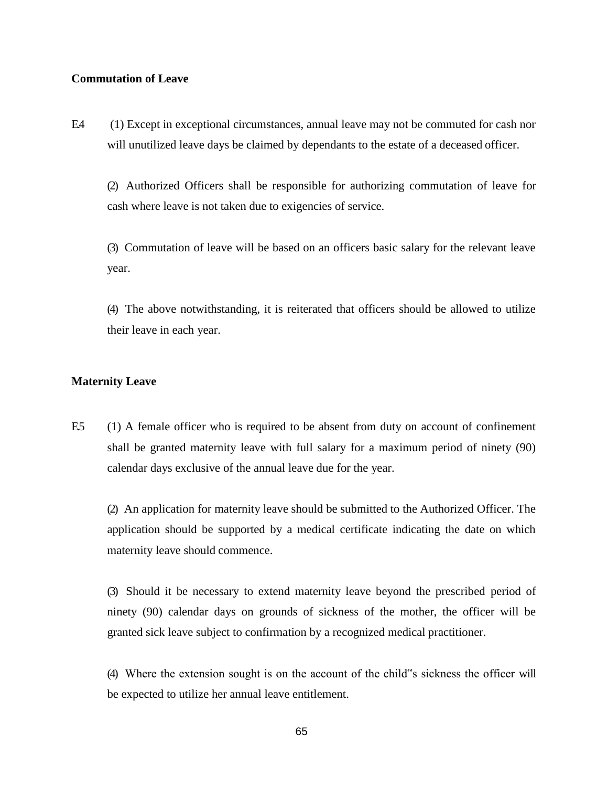# **Commutation of Leave**

E.4 (1) Except in exceptional circumstances, annual leave may not be commuted for cash nor will unutilized leave days be claimed by dependants to the estate of a deceased officer.

(2) Authorized Officers shall be responsible for authorizing commutation of leave for cash where leave is not taken due to exigencies of service.

(3) Commutation of leave will be based on an officers basic salary for the relevant leave year.

(4) The above notwithstanding, it is reiterated that officers should be allowed to utilize their leave in each year.

# **Maternity Leave**

E.5 (1) A female officer who is required to be absent from duty on account of confinement shall be granted maternity leave with full salary for a maximum period of ninety (90) calendar days exclusive of the annual leave due for the year.

(2) An application for maternity leave should be submitted to the Authorized Officer. The application should be supported by a medical certificate indicating the date on which maternity leave should commence.

(3) Should it be necessary to extend maternity leave beyond the prescribed period of ninety (90) calendar days on grounds of sickness of the mother, the officer will be granted sick leave subject to confirmation by a recognized medical practitioner.

(4) Where the extension sought is on the account of the child"s sickness the officer will be expected to utilize her annual leave entitlement.

65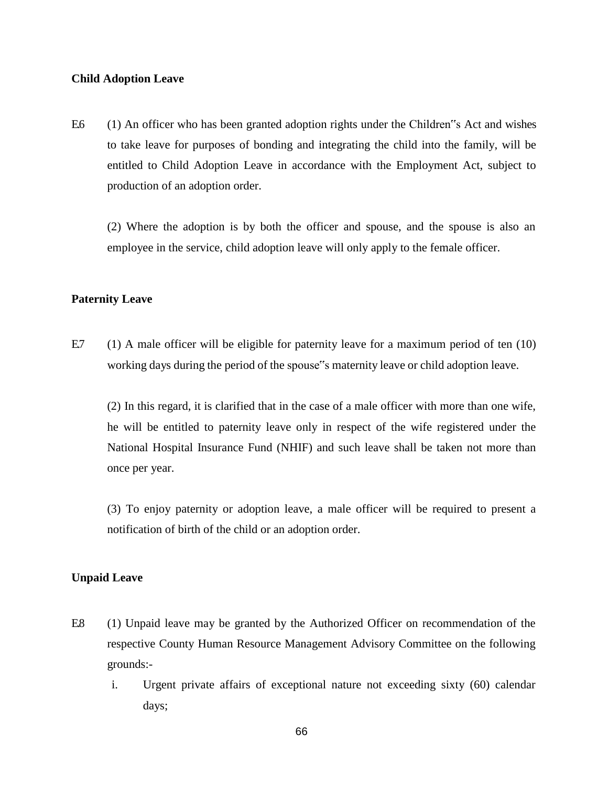## **Child Adoption Leave**

E.6 (1) An officer who has been granted adoption rights under the Children"s Act and wishes to take leave for purposes of bonding and integrating the child into the family, will be entitled to Child Adoption Leave in accordance with the Employment Act, subject to production of an adoption order.

(2) Where the adoption is by both the officer and spouse, and the spouse is also an employee in the service, child adoption leave will only apply to the female officer.

#### **Paternity Leave**

E.7 (1) A male officer will be eligible for paternity leave for a maximum period of ten  $(10)$ working days during the period of the spouse"s maternity leave or child adoption leave.

(2) In this regard, it is clarified that in the case of a male officer with more than one wife, he will be entitled to paternity leave only in respect of the wife registered under the National Hospital Insurance Fund (NHIF) and such leave shall be taken not more than once per year.

(3) To enjoy paternity or adoption leave, a male officer will be required to present a notification of birth of the child or an adoption order.

## **Unpaid Leave**

- E.8 (1) Unpaid leave may be granted by the Authorized Officer on recommendation of the respective County Human Resource Management Advisory Committee on the following grounds:
	- i. Urgent private affairs of exceptional nature not exceeding sixty (60) calendar days;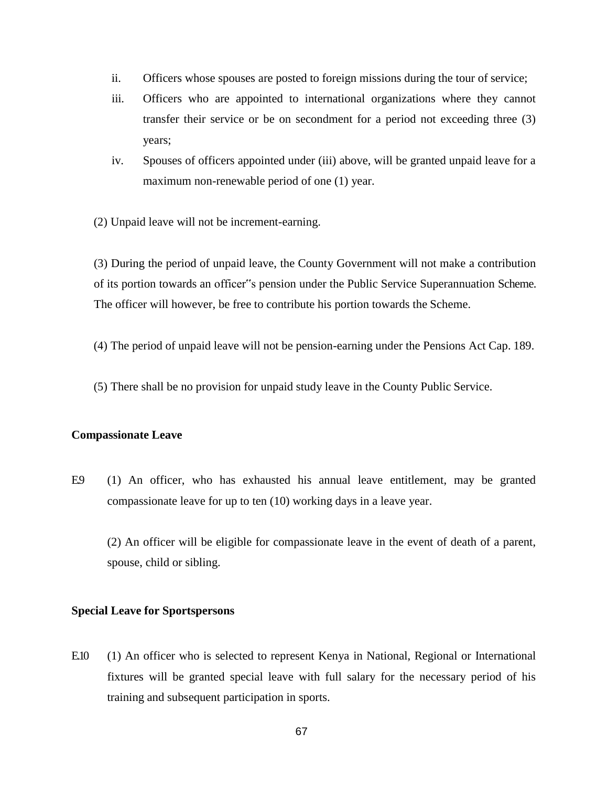- ii. Officers whose spouses are posted to foreign missions during the tour of service;
- iii. Officers who are appointed to international organizations where they cannot transfer their service or be on secondment for a period not exceeding three (3) years;
- iv. Spouses of officers appointed under (iii) above, will be granted unpaid leave for a maximum non-renewable period of one (1) year.
- (2) Unpaid leave will not be increment-earning.

(3) During the period of unpaid leave, the County Government will not make a contribution of its portion towards an officer"s pension under the Public Service Superannuation Scheme. The officer will however, be free to contribute his portion towards the Scheme.

- (4) The period of unpaid leave will not be pension-earning under the Pensions Act Cap. 189.
- (5) There shall be no provision for unpaid study leave in the County Public Service.

#### **Compassionate Leave**

E.9 (1) An officer, who has exhausted his annual leave entitlement, may be granted compassionate leave for up to ten (10) working days in a leave year.

(2) An officer will be eligible for compassionate leave in the event of death of a parent, spouse, child or sibling.

#### **Special Leave for Sportspersons**

E.10 (1) An officer who is selected to represent Kenya in National, Regional or International fixtures will be granted special leave with full salary for the necessary period of his training and subsequent participation in sports.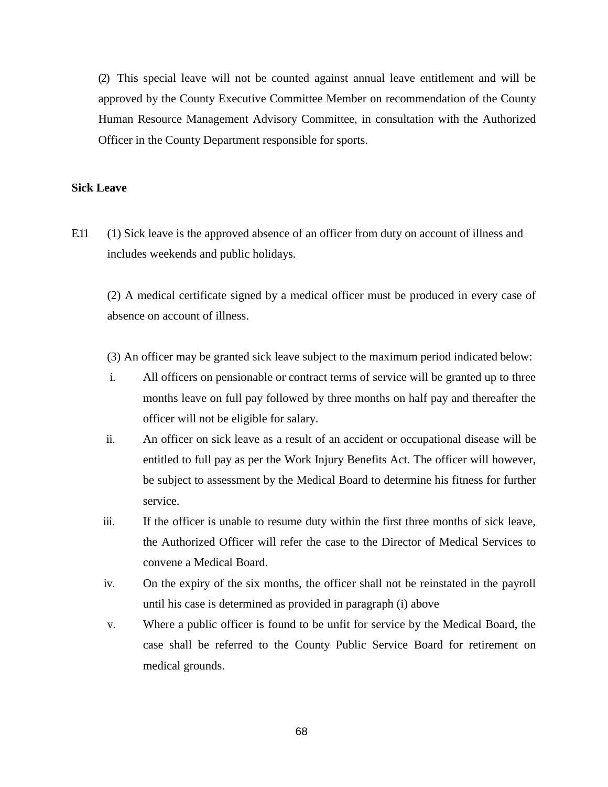(2) This special leave will not be counted against annual leave entitlement and will be approved by the County Executive Committee Member on recommendation of the County Human Resource Management Advisory Committee, in consultation with the Authorized Officer in the County Department responsible for sports.

## **Sick Leave**

E.11 (1) Sick leave is the approved absence of an officer from duty on account of illness and includes weekends and public holidays.

(2) A medical certificate signed by a medical officer must be produced in every case of absence on account of illness.

(3) An officer may be granted sick leave subject to the maximum period indicated below:

- i. All officers on pensionable or contract terms of service will be granted up to three months leave on full pay followed by three months on half pay and thereafter the officer will not be eligible for salary.
- ii. An officer on sick leave as a result of an accident or occupational disease will be entitled to full pay as per the Work Injury Benefits Act. The officer will however, be subject to assessment by the Medical Board to determine his fitness for further service.
- iii. If the officer is unable to resume duty within the first three months of sick leave, the Authorized Officer will refer the case to the Director of Medical Services to convene a Medical Board.
- iv. On the expiry of the six months, the officer shall not be reinstated in the payroll until his case is determined as provided in paragraph (i) above
- v. Where a public officer is found to be unfit for service by the Medical Board, the case shall be referred to the County Public Service Board for retirement on medical grounds.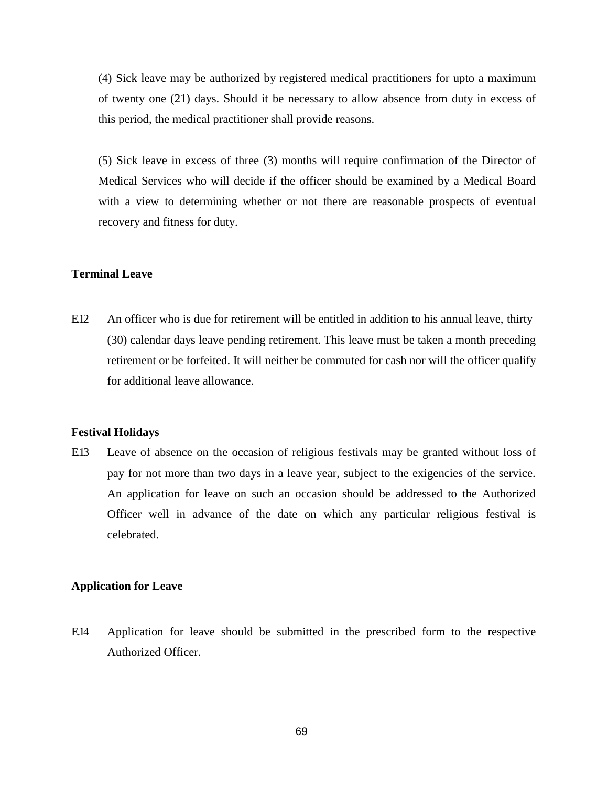(4) Sick leave may be authorized by registered medical practitioners for upto a maximum of twenty one (21) days. Should it be necessary to allow absence from duty in excess of this period, the medical practitioner shall provide reasons.

(5) Sick leave in excess of three (3) months will require confirmation of the Director of Medical Services who will decide if the officer should be examined by a Medical Board with a view to determining whether or not there are reasonable prospects of eventual recovery and fitness for duty.

# **Terminal Leave**

E.12 An officer who is due for retirement will be entitled in addition to his annual leave, thirty (30) calendar days leave pending retirement. This leave must be taken a month preceding retirement or be forfeited. It will neither be commuted for cash nor will the officer qualify for additional leave allowance.

#### **Festival Holidays**

E.13 Leave of absence on the occasion of religious festivals may be granted without loss of pay for not more than two days in a leave year, subject to the exigencies of the service. An application for leave on such an occasion should be addressed to the Authorized Officer well in advance of the date on which any particular religious festival is celebrated.

## **Application for Leave**

E.14 Application for leave should be submitted in the prescribed form to the respective Authorized Officer.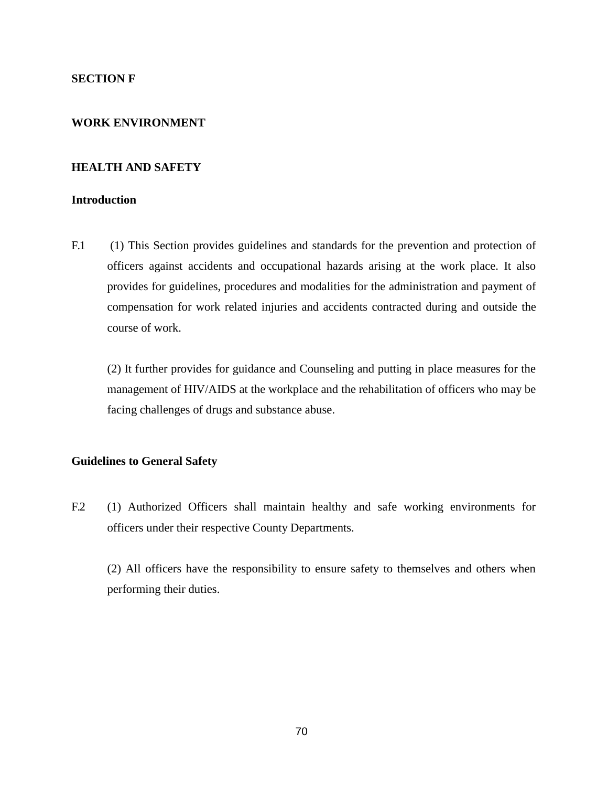# **SECTION F**

# **WORK ENVIRONMENT**

## **HEALTH AND SAFETY**

# **Introduction**

F.1 (1) This Section provides guidelines and standards for the prevention and protection of officers against accidents and occupational hazards arising at the work place. It also provides for guidelines, procedures and modalities for the administration and payment of compensation for work related injuries and accidents contracted during and outside the course of work.

(2) It further provides for guidance and Counseling and putting in place measures for the management of HIV/AIDS at the workplace and the rehabilitation of officers who may be facing challenges of drugs and substance abuse.

### **Guidelines to General Safety**

F.2 (1) Authorized Officers shall maintain healthy and safe working environments for officers under their respective County Departments.

(2) All officers have the responsibility to ensure safety to themselves and others when performing their duties.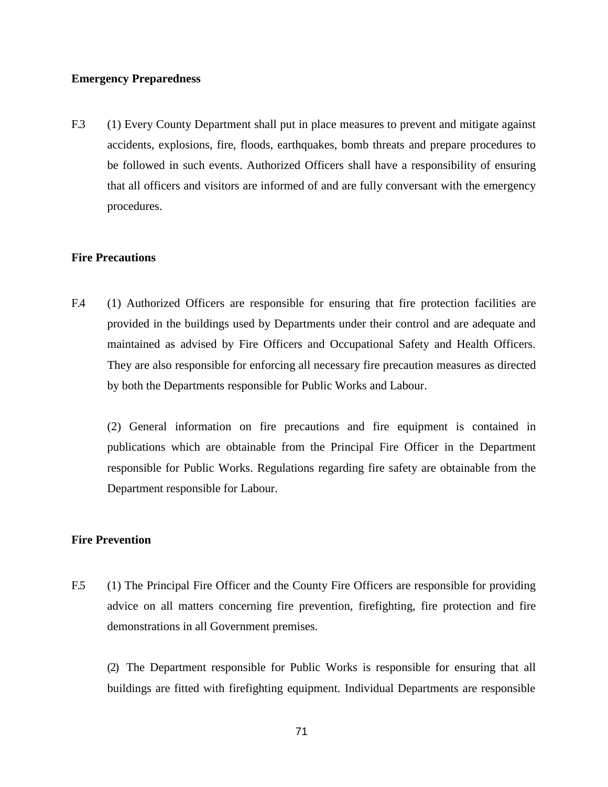## **Emergency Preparedness**

F.3 (1) Every County Department shall put in place measures to prevent and mitigate against accidents, explosions, fire, floods, earthquakes, bomb threats and prepare procedures to be followed in such events. Authorized Officers shall have a responsibility of ensuring that all officers and visitors are informed of and are fully conversant with the emergency procedures.

## **Fire Precautions**

F.4 (1) Authorized Officers are responsible for ensuring that fire protection facilities are provided in the buildings used by Departments under their control and are adequate and maintained as advised by Fire Officers and Occupational Safety and Health Officers. They are also responsible for enforcing all necessary fire precaution measures as directed by both the Departments responsible for Public Works and Labour.

(2) General information on fire precautions and fire equipment is contained in publications which are obtainable from the Principal Fire Officer in the Department responsible for Public Works. Regulations regarding fire safety are obtainable from the Department responsible for Labour.

## **Fire Prevention**

F.5 (1) The Principal Fire Officer and the County Fire Officers are responsible for providing advice on all matters concerning fire prevention, firefighting, fire protection and fire demonstrations in all Government premises.

(2) The Department responsible for Public Works is responsible for ensuring that all buildings are fitted with firefighting equipment. Individual Departments are responsible

71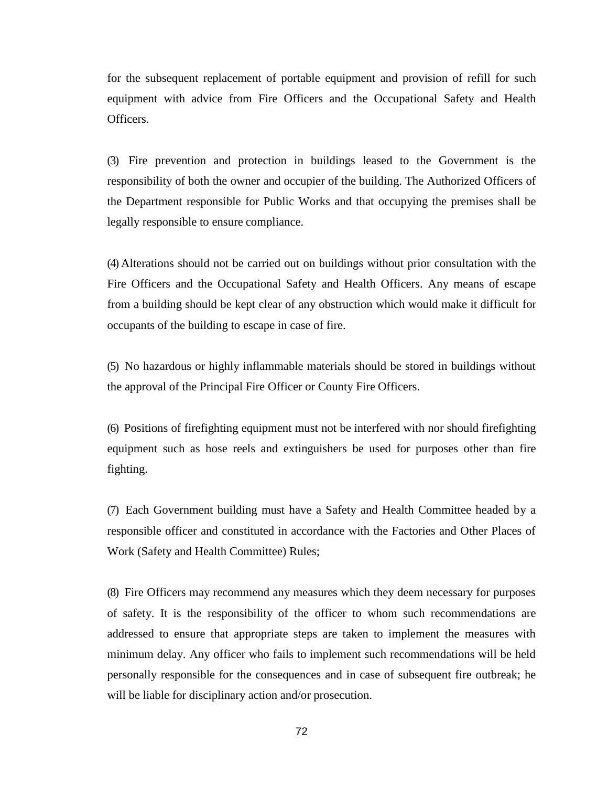for the subsequent replacement of portable equipment and provision of refill for such equipment with advice from Fire Officers and the Occupational Safety and Health Officers.

(3) Fire prevention and protection in buildings leased to the Government is the responsibility of both the owner and occupier of the building. The Authorized Officers of the Department responsible for Public Works and that occupying the premises shall be legally responsible to ensure compliance.

(4) Alterations should not be carried out on buildings without prior consultation with the Fire Officers and the Occupational Safety and Health Officers. Any means of escape from a building should be kept clear of any obstruction which would make it difficult for occupants of the building to escape in case of fire.

(5) No hazardous or highly inflammable materials should be stored in buildings without the approval of the Principal Fire Officer or County Fire Officers.

(6) Positions of firefighting equipment must not be interfered with nor should firefighting equipment such as hose reels and extinguishers be used for purposes other than fire fighting.

(7) Each Government building must have a Safety and Health Committee headed by a responsible officer and constituted in accordance with the Factories and Other Places of Work (Safety and Health Committee) Rules;

(8) Fire Officers may recommend any measures which they deem necessary for purposes of safety. It is the responsibility of the officer to whom such recommendations are addressed to ensure that appropriate steps are taken to implement the measures with minimum delay. Any officer who fails to implement such recommendations will be held personally responsible for the consequences and in case of subsequent fire outbreak; he will be liable for disciplinary action and/or prosecution.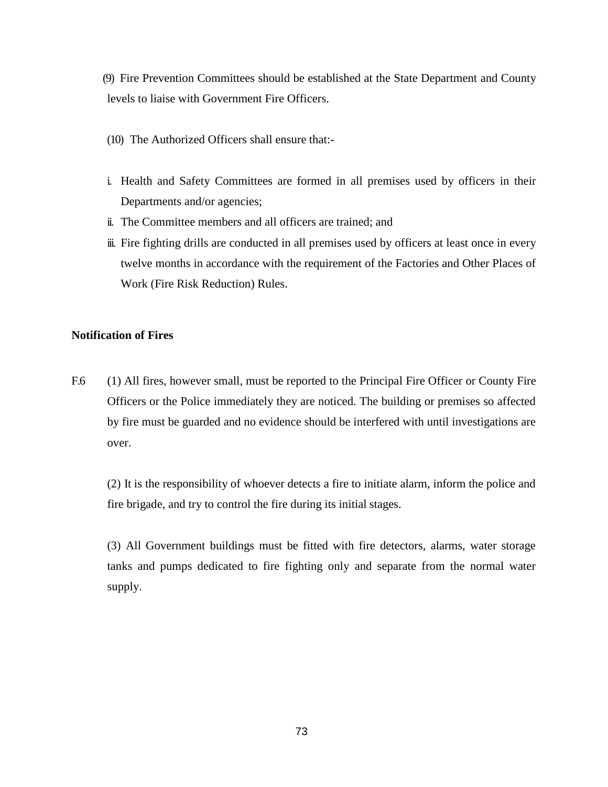(9) Fire Prevention Committees should be established at the State Department and County levels to liaise with Government Fire Officers.

- (10) The Authorized Officers shall ensure that:-
- i. Health and Safety Committees are formed in all premises used by officers in their Departments and/or agencies;
- ii. The Committee members and all officers are trained; and
- iii. Fire fighting drills are conducted in all premises used by officers at least once in every twelve months in accordance with the requirement of the Factories and Other Places of Work (Fire Risk Reduction) Rules.

# **Notification of Fires**

F.6 (1) All fires, however small, must be reported to the Principal Fire Officer or County Fire Officers or the Police immediately they are noticed. The building or premises so affected by fire must be guarded and no evidence should be interfered with until investigations are over.

(2) It is the responsibility of whoever detects a fire to initiate alarm, inform the police and fire brigade, and try to control the fire during its initial stages.

(3) All Government buildings must be fitted with fire detectors, alarms, water storage tanks and pumps dedicated to fire fighting only and separate from the normal water supply.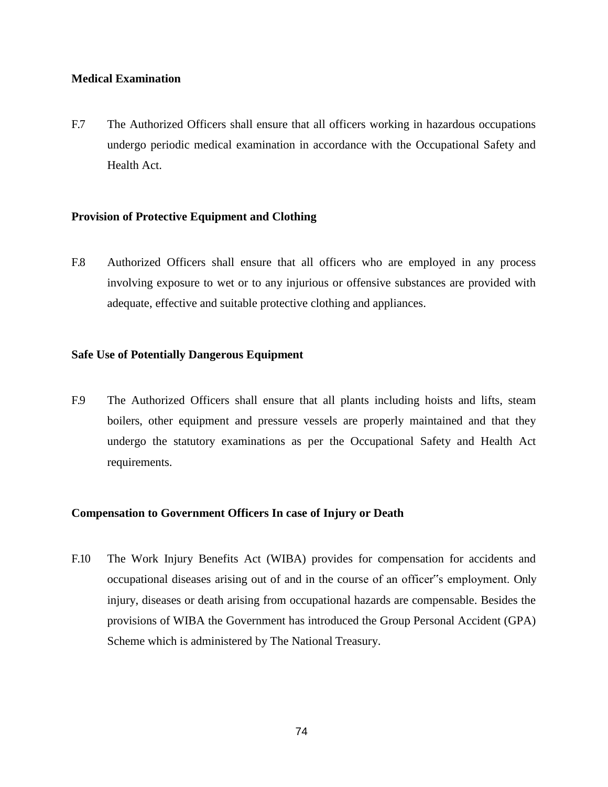# **Medical Examination**

F.7 The Authorized Officers shall ensure that all officers working in hazardous occupations undergo periodic medical examination in accordance with the Occupational Safety and Health Act.

# **Provision of Protective Equipment and Clothing**

F.8 Authorized Officers shall ensure that all officers who are employed in any process involving exposure to wet or to any injurious or offensive substances are provided with adequate, effective and suitable protective clothing and appliances.

## **Safe Use of Potentially Dangerous Equipment**

F.9 The Authorized Officers shall ensure that all plants including hoists and lifts, steam boilers, other equipment and pressure vessels are properly maintained and that they undergo the statutory examinations as per the Occupational Safety and Health Act requirements.

# **Compensation to Government Officers In case of Injury or Death**

F.10 The Work Injury Benefits Act (WIBA) provides for compensation for accidents and occupational diseases arising out of and in the course of an officer"s employment. Only injury, diseases or death arising from occupational hazards are compensable. Besides the provisions of WIBA the Government has introduced the Group Personal Accident (GPA) Scheme which is administered by The National Treasury.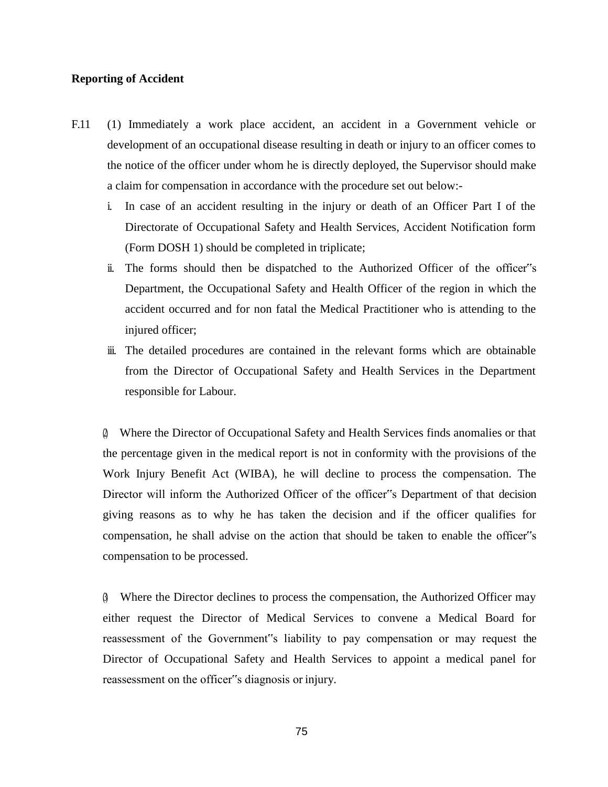## **Reporting of Accident**

- F.11 (1) Immediately a work place accident, an accident in a Government vehicle or development of an occupational disease resulting in death or injury to an officer comes to the notice of the officer under whom he is directly deployed, the Supervisor should make a claim for compensation in accordance with the procedure set out below:
	- i. In case of an accident resulting in the injury or death of an Officer Part I of the Directorate of Occupational Safety and Health Services, Accident Notification form (Form DOSH 1) should be completed in triplicate;
	- ii. The forms should then be dispatched to the Authorized Officer of the officer"s Department, the Occupational Safety and Health Officer of the region in which the accident occurred and for non fatal the Medical Practitioner who is attending to the injured officer;
	- iii. The detailed procedures are contained in the relevant forms which are obtainable from the Director of Occupational Safety and Health Services in the Department responsible for Labour.

(2) Where the Director of Occupational Safety and Health Services finds anomalies or that the percentage given in the medical report is not in conformity with the provisions of the Work Injury Benefit Act (WIBA), he will decline to process the compensation. The Director will inform the Authorized Officer of the officer"s Department of that decision giving reasons as to why he has taken the decision and if the officer qualifies for compensation, he shall advise on the action that should be taken to enable the officer"s compensation to be processed.

(3) Where the Director declines to process the compensation, the Authorized Officer may either request the Director of Medical Services to convene a Medical Board for reassessment of the Government"s liability to pay compensation or may request the Director of Occupational Safety and Health Services to appoint a medical panel for reassessment on the officer"s diagnosis or injury.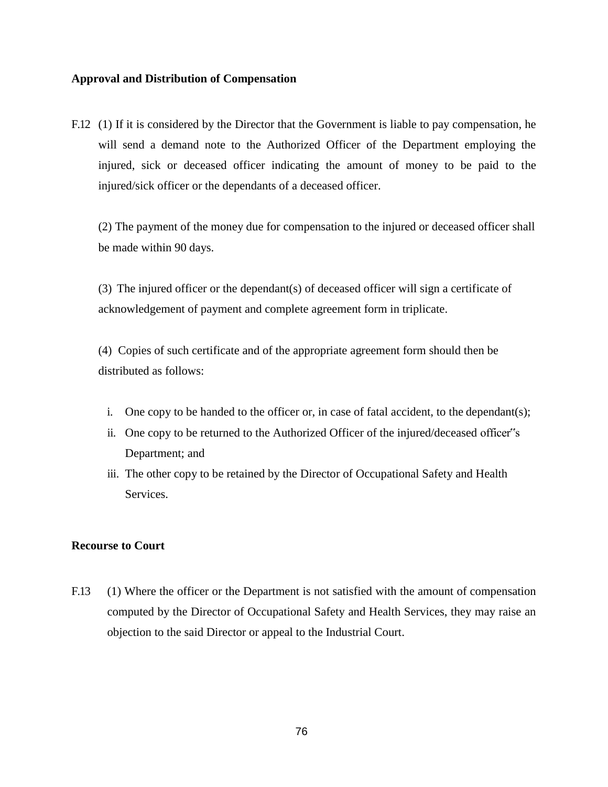# **Approval and Distribution of Compensation**

F.12 (1) If it is considered by the Director that the Government is liable to pay compensation, he will send a demand note to the Authorized Officer of the Department employing the injured, sick or deceased officer indicating the amount of money to be paid to the injured/sick officer or the dependants of a deceased officer.

(2) The payment of the money due for compensation to the injured or deceased officer shall be made within 90 days.

(3) The injured officer or the dependant(s) of deceased officer will sign a certificate of acknowledgement of payment and complete agreement form in triplicate.

(4) Copies of such certificate and of the appropriate agreement form should then be distributed as follows:

- i. One copy to be handed to the officer or, in case of fatal accident, to the dependant(s);
- ii. One copy to be returned to the Authorized Officer of the injured/deceased officer"s Department; and
- iii. The other copy to be retained by the Director of Occupational Safety and Health Services.

### **Recourse to Court**

F.13 (1) Where the officer or the Department is not satisfied with the amount of compensation computed by the Director of Occupational Safety and Health Services, they may raise an objection to the said Director or appeal to the Industrial Court.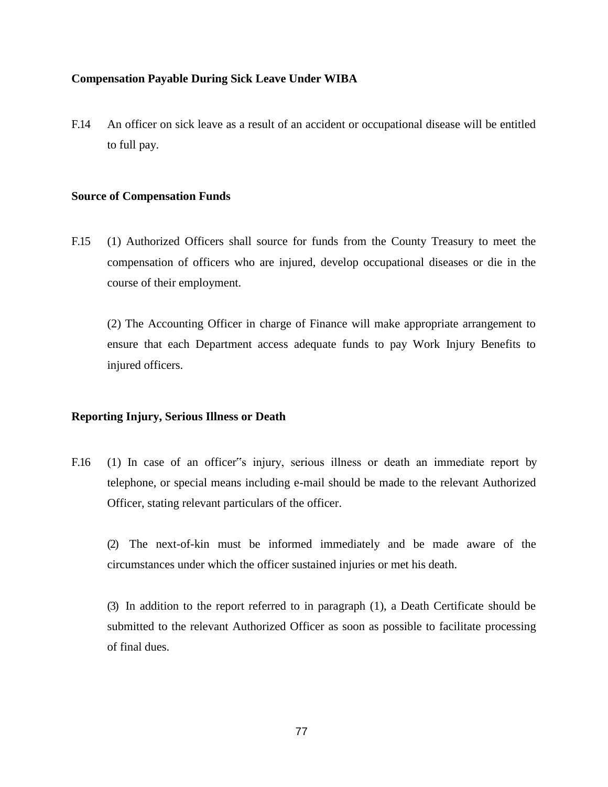# **Compensation Payable During Sick Leave Under WIBA**

F.14 An officer on sick leave as a result of an accident or occupational disease will be entitled to full pay.

# **Source of Compensation Funds**

F.15 (1) Authorized Officers shall source for funds from the County Treasury to meet the compensation of officers who are injured, develop occupational diseases or die in the course of their employment.

(2) The Accounting Officer in charge of Finance will make appropriate arrangement to ensure that each Department access adequate funds to pay Work Injury Benefits to injured officers.

# **Reporting Injury, Serious Illness or Death**

F.16 (1) In case of an officer"s injury, serious illness or death an immediate report by telephone, or special means including e-mail should be made to the relevant Authorized Officer, stating relevant particulars of the officer.

(2) The next-of-kin must be informed immediately and be made aware of the circumstances under which the officer sustained injuries or met his death.

(3) In addition to the report referred to in paragraph (1), a Death Certificate should be submitted to the relevant Authorized Officer as soon as possible to facilitate processing of final dues.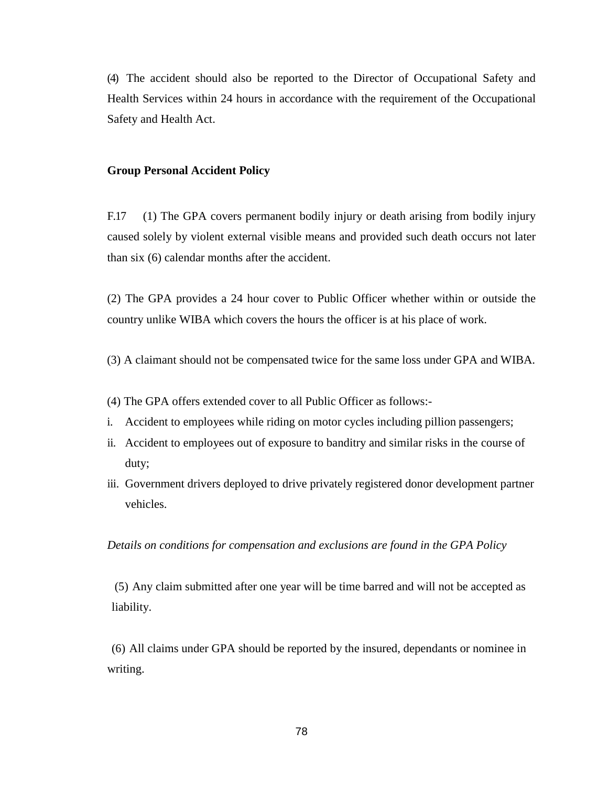(4) The accident should also be reported to the Director of Occupational Safety and Health Services within 24 hours in accordance with the requirement of the Occupational Safety and Health Act.

#### **Group Personal Accident Policy**

F.17 (1) The GPA covers permanent bodily injury or death arising from bodily injury caused solely by violent external visible means and provided such death occurs not later than six (6) calendar months after the accident.

(2) The GPA provides a 24 hour cover to Public Officer whether within or outside the country unlike WIBA which covers the hours the officer is at his place of work.

- (3) A claimant should not be compensated twice for the same loss under GPA and WIBA.
- (4) The GPA offers extended cover to all Public Officer as follows:-
- i. Accident to employees while riding on motor cycles including pillion passengers;
- ii. Accident to employees out of exposure to banditry and similar risks in the course of duty;
- iii. Government drivers deployed to drive privately registered donor development partner vehicles.

*Details on conditions for compensation and exclusions are found in the GPA Policy*

(5) Any claim submitted after one year will be time barred and will not be accepted as liability.

(6) All claims under GPA should be reported by the insured, dependants or nominee in writing.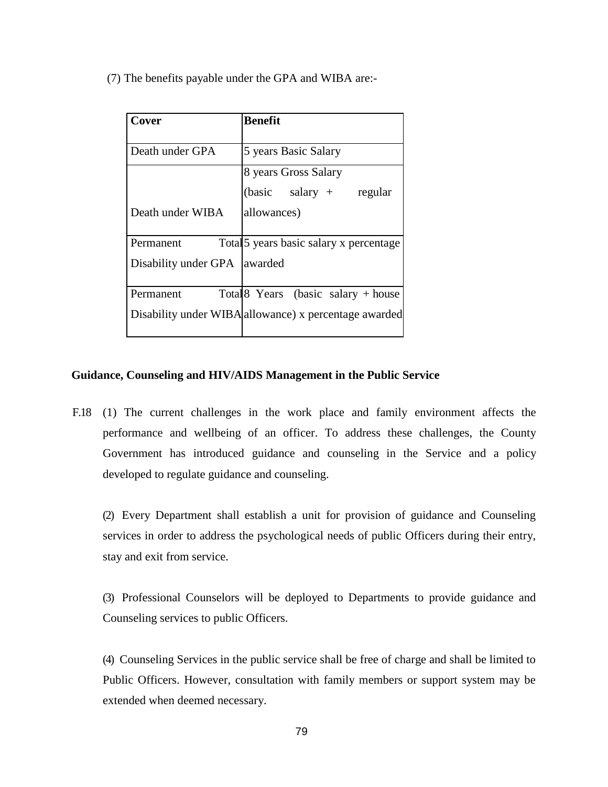(7) The benefits payable under the GPA and WIBA are:-

| Cover                | Benefit                                               |
|----------------------|-------------------------------------------------------|
|                      |                                                       |
| Death under GPA      | 5 years Basic Salary                                  |
|                      | 8 years Gross Salary                                  |
|                      | $(basic \quad salary +$<br>regular                    |
| Death under WIBA     | allowances)                                           |
|                      |                                                       |
| Permanent            | Total 5 years basic salary x percentage               |
| Disability under GPA | awarded                                               |
|                      |                                                       |
| Permanent            | Total 8 Years (basic salary $+$ house                 |
|                      | Disability under WIBA allowance) x percentage awarded |
|                      |                                                       |

# **Guidance, Counseling and HIV/AIDS Management in the Public Service**

F.18 (1) The current challenges in the work place and family environment affects the performance and wellbeing of an officer. To address these challenges, the County Government has introduced guidance and counseling in the Service and a policy developed to regulate guidance and counseling.

(2) Every Department shall establish a unit for provision of guidance and Counseling services in order to address the psychological needs of public Officers during their entry, stay and exit from service.

(3) Professional Counselors will be deployed to Departments to provide guidance and Counseling services to public Officers.

(4) Counseling Services in the public service shall be free of charge and shall be limited to Public Officers. However, consultation with family members or support system may be extended when deemed necessary.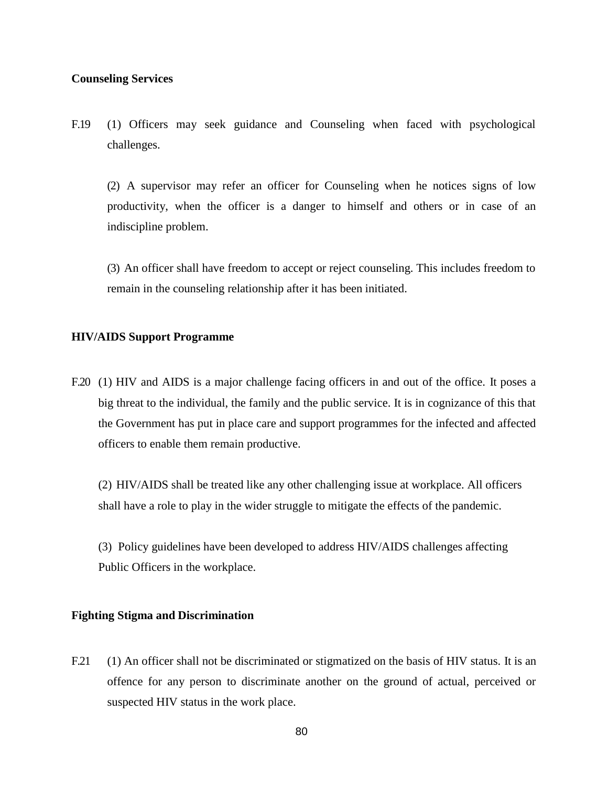## **Counseling Services**

F.19 (1) Officers may seek guidance and Counseling when faced with psychological challenges.

(2) A supervisor may refer an officer for Counseling when he notices signs of low productivity, when the officer is a danger to himself and others or in case of an indiscipline problem.

(3) An officer shall have freedom to accept or reject counseling. This includes freedom to remain in the counseling relationship after it has been initiated.

#### **HIV/AIDS Support Programme**

F.20 (1) HIV and AIDS is a major challenge facing officers in and out of the office. It poses a big threat to the individual, the family and the public service. It is in cognizance of this that the Government has put in place care and support programmes for the infected and affected officers to enable them remain productive.

(2) HIV/AIDS shall be treated like any other challenging issue at workplace. All officers shall have a role to play in the wider struggle to mitigate the effects of the pandemic.

(3) Policy guidelines have been developed to address HIV/AIDS challenges affecting Public Officers in the workplace.

## **Fighting Stigma and Discrimination**

F.21 (1) An officer shall not be discriminated or stigmatized on the basis of HIV status. It is an offence for any person to discriminate another on the ground of actual, perceived or suspected HIV status in the work place.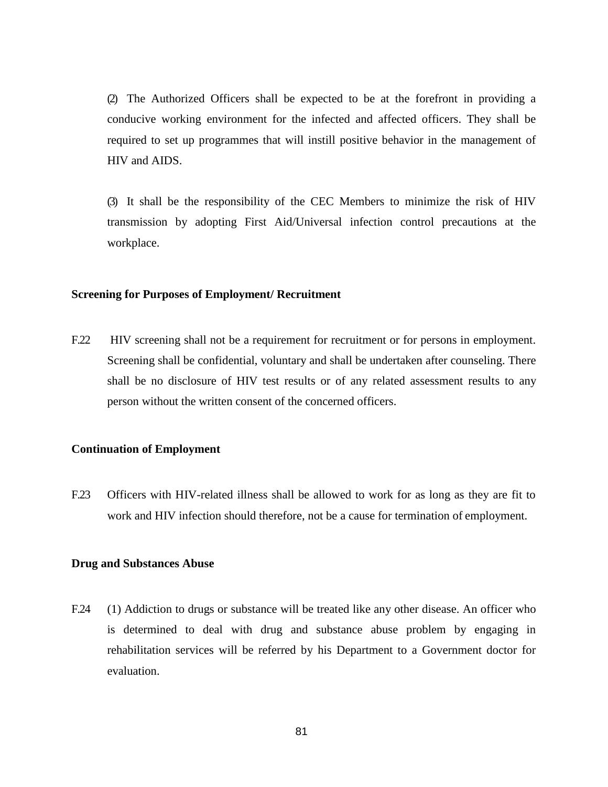(2) The Authorized Officers shall be expected to be at the forefront in providing a conducive working environment for the infected and affected officers. They shall be required to set up programmes that will instill positive behavior in the management of HIV and AIDS.

(3) It shall be the responsibility of the CEC Members to minimize the risk of HIV transmission by adopting First Aid/Universal infection control precautions at the workplace.

#### **Screening for Purposes of Employment/ Recruitment**

F.22 HIV screening shall not be a requirement for recruitment or for persons in employment. Screening shall be confidential, voluntary and shall be undertaken after counseling. There shall be no disclosure of HIV test results or of any related assessment results to any person without the written consent of the concerned officers.

#### **Continuation of Employment**

F.23 Officers with HIV-related illness shall be allowed to work for as long as they are fit to work and HIV infection should therefore, not be a cause for termination of employment.

#### **Drug and Substances Abuse**

F.24 (1) Addiction to drugs or substance will be treated like any other disease. An officer who is determined to deal with drug and substance abuse problem by engaging in rehabilitation services will be referred by his Department to a Government doctor for evaluation.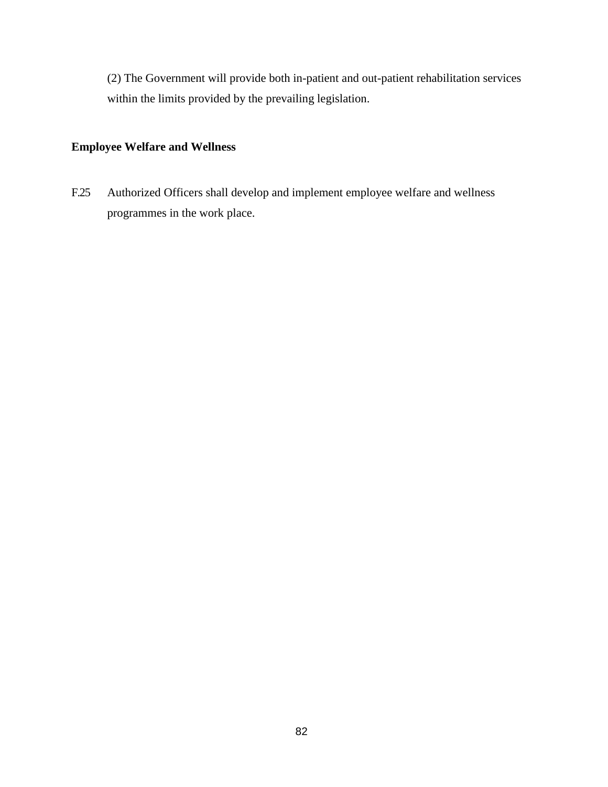(2) The Government will provide both in-patient and out-patient rehabilitation services within the limits provided by the prevailing legislation.

# **Employee Welfare and Wellness**

F.25 Authorized Officers shall develop and implement employee welfare and wellness programmes in the work place.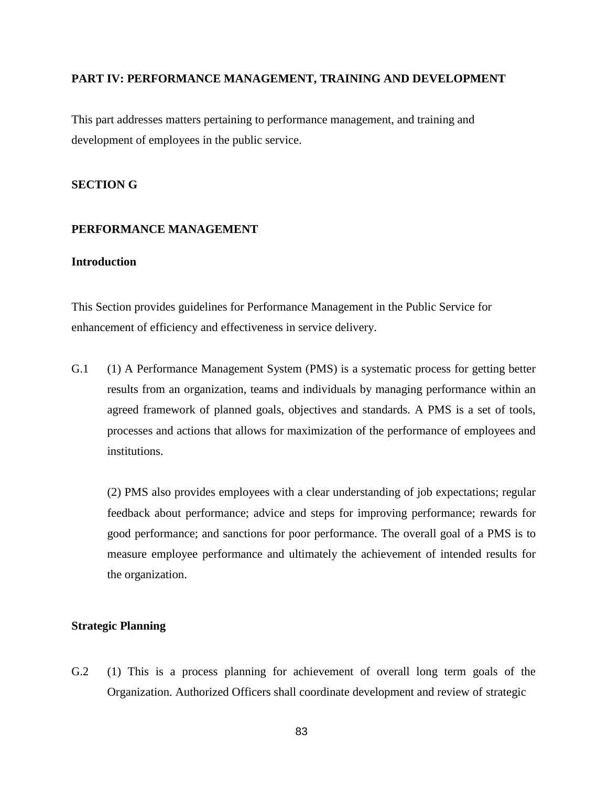### **PART IV: PERFORMANCE MANAGEMENT, TRAINING AND DEVELOPMENT**

This part addresses matters pertaining to performance management, and training and development of employees in the public service.

# **SECTION G**

# **PERFORMANCE MANAGEMENT**

# **Introduction**

This Section provides guidelines for Performance Management in the Public Service for enhancement of efficiency and effectiveness in service delivery.

G.1 (1) A Performance Management System (PMS) is a systematic process for getting better results from an organization, teams and individuals by managing performance within an agreed framework of planned goals, objectives and standards. A PMS is a set of tools, processes and actions that allows for maximization of the performance of employees and institutions.

(2) PMS also provides employees with a clear understanding of job expectations; regular feedback about performance; advice and steps for improving performance; rewards for good performance; and sanctions for poor performance. The overall goal of a PMS is to measure employee performance and ultimately the achievement of intended results for the organization.

## **Strategic Planning**

G.2 (1) This is a process planning for achievement of overall long term goals of the Organization. Authorized Officers shall coordinate development and review of strategic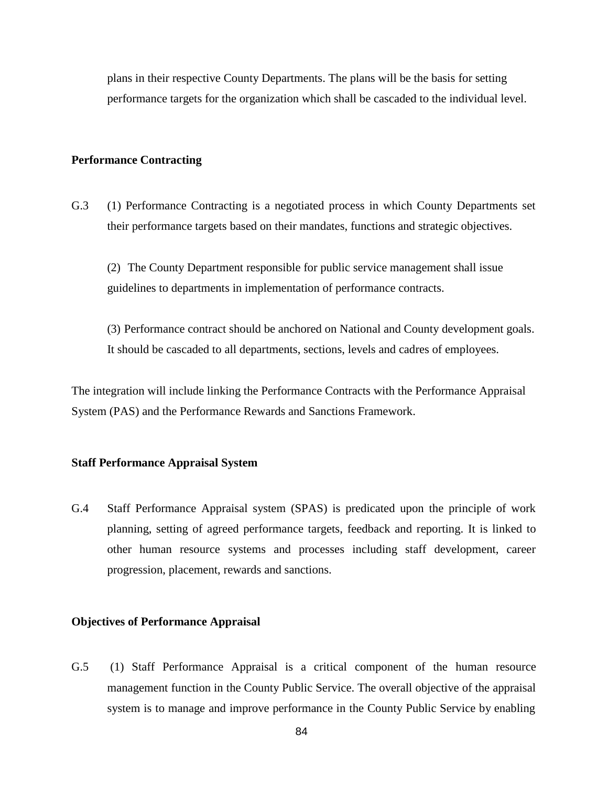plans in their respective County Departments. The plans will be the basis for setting performance targets for the organization which shall be cascaded to the individual level.

#### **Performance Contracting**

G.3 (1) Performance Contracting is a negotiated process in which County Departments set their performance targets based on their mandates, functions and strategic objectives.

(2) The County Department responsible for public service management shall issue guidelines to departments in implementation of performance contracts.

(3) Performance contract should be anchored on National and County development goals. It should be cascaded to all departments, sections, levels and cadres of employees.

The integration will include linking the Performance Contracts with the Performance Appraisal System (PAS) and the Performance Rewards and Sanctions Framework.

## **Staff Performance Appraisal System**

G.4 Staff Performance Appraisal system (SPAS) is predicated upon the principle of work planning, setting of agreed performance targets, feedback and reporting. It is linked to other human resource systems and processes including staff development, career progression, placement, rewards and sanctions.

#### **Objectives of Performance Appraisal**

G.5 (1) Staff Performance Appraisal is a critical component of the human resource management function in the County Public Service. The overall objective of the appraisal system is to manage and improve performance in the County Public Service by enabling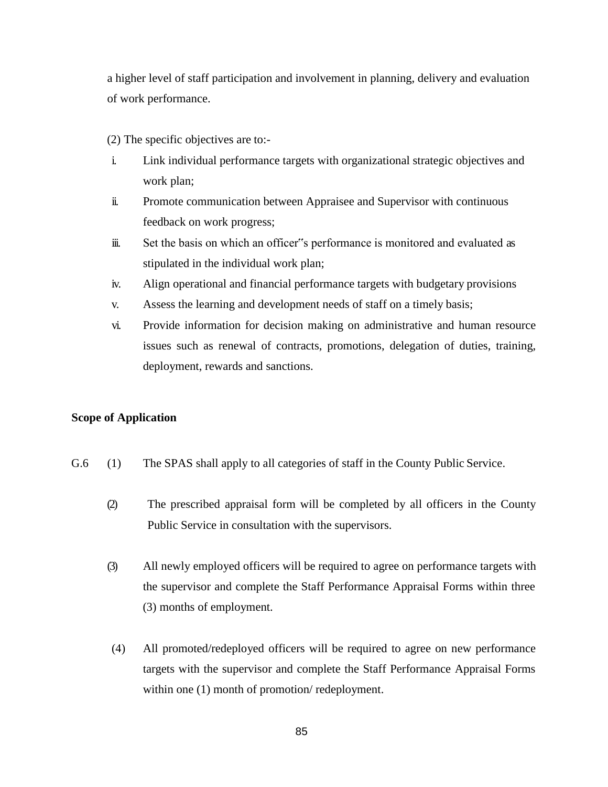a higher level of staff participation and involvement in planning, delivery and evaluation of work performance.

- (2) The specific objectives are to:-
- i. Link individual performance targets with organizational strategic objectives and work plan;
- ii. Promote communication between Appraisee and Supervisor with continuous feedback on work progress;
- iii. Set the basis on which an officer"s performance is monitored and evaluated as stipulated in the individual work plan;
- iv. Align operational and financial performance targets with budgetary provisions
- v. Assess the learning and development needs of staff on a timely basis;
- vi. Provide information for decision making on administrative and human resource issues such as renewal of contracts, promotions, delegation of duties, training, deployment, rewards and sanctions.

## **Scope of Application**

- G.6 (1) The SPAS shall apply to all categories of staff in the County Public Service.
	- (2) The prescribed appraisal form will be completed by all officers in the County Public Service in consultation with the supervisors.
	- (3) All newly employed officers will be required to agree on performance targets with the supervisor and complete the Staff Performance Appraisal Forms within three (3) months of employment.
	- (4) All promoted/redeployed officers will be required to agree on new performance targets with the supervisor and complete the Staff Performance Appraisal Forms within one (1) month of promotion/ redeployment.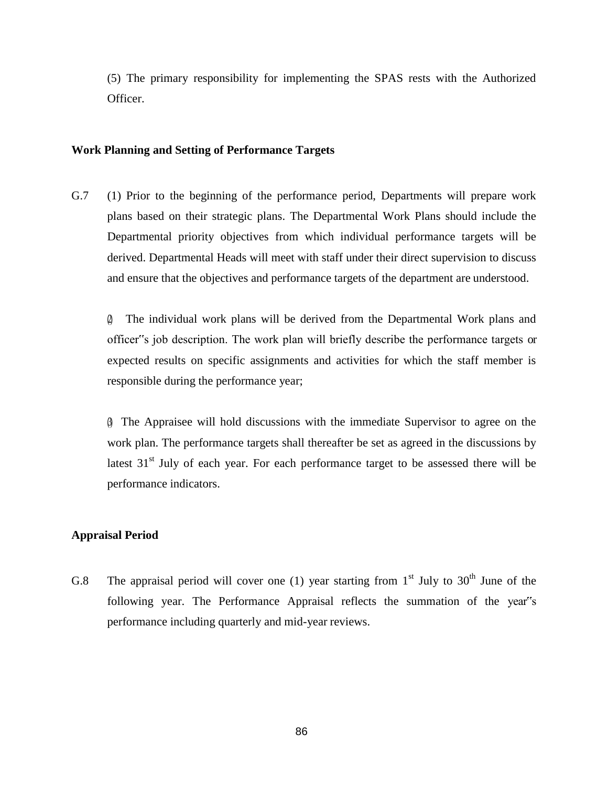(5) The primary responsibility for implementing the SPAS rests with the Authorized Officer.

## **Work Planning and Setting of Performance Targets**

G.7 (1) Prior to the beginning of the performance period, Departments will prepare work plans based on their strategic plans. The Departmental Work Plans should include the Departmental priority objectives from which individual performance targets will be derived. Departmental Heads will meet with staff under their direct supervision to discuss and ensure that the objectives and performance targets of the department are understood.

(2) The individual work plans will be derived from the Departmental Work plans and officer"s job description. The work plan will briefly describe the performance targets or expected results on specific assignments and activities for which the staff member is responsible during the performance year;

(3) The Appraisee will hold discussions with the immediate Supervisor to agree on the work plan. The performance targets shall thereafter be set as agreed in the discussions by latest  $31<sup>st</sup>$  July of each year. For each performance target to be assessed there will be performance indicators.

# **Appraisal Period**

G.8 The appraisal period will cover one (1) year starting from  $1<sup>st</sup>$  July to 30<sup>th</sup> June of the following year. The Performance Appraisal reflects the summation of the year"s performance including quarterly and mid-year reviews.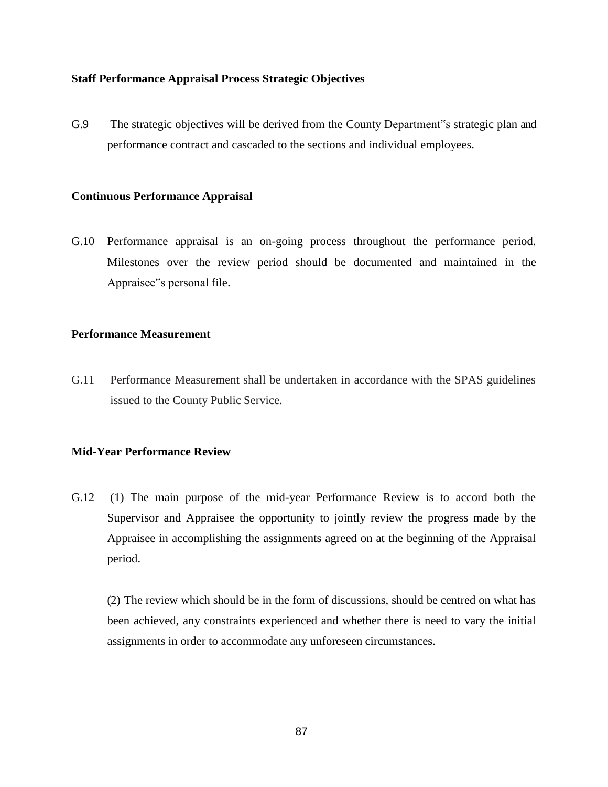# **Staff Performance Appraisal Process Strategic Objectives**

G.9 The strategic objectives will be derived from the County Department"s strategic plan and performance contract and cascaded to the sections and individual employees.

## **Continuous Performance Appraisal**

G.10 Performance appraisal is an on-going process throughout the performance period. Milestones over the review period should be documented and maintained in the Appraisee"s personal file.

# **Performance Measurement**

G.11 Performance Measurement shall be undertaken in accordance with the SPAS guidelines issued to the County Public Service.

# **Mid-Year Performance Review**

G.12 (1) The main purpose of the mid-year Performance Review is to accord both the Supervisor and Appraisee the opportunity to jointly review the progress made by the Appraisee in accomplishing the assignments agreed on at the beginning of the Appraisal period.

(2) The review which should be in the form of discussions, should be centred on what has been achieved, any constraints experienced and whether there is need to vary the initial assignments in order to accommodate any unforeseen circumstances.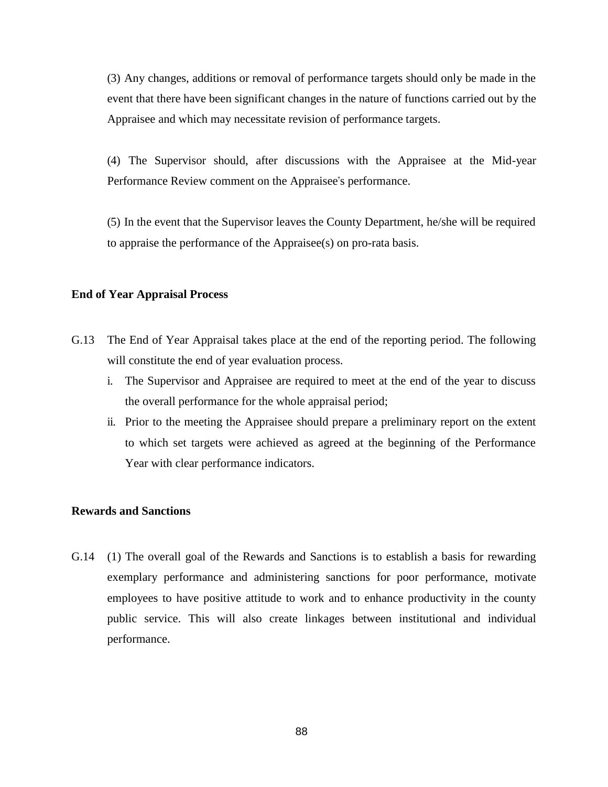(3) Any changes, additions or removal of performance targets should only be made in the event that there have been significant changes in the nature of functions carried out by the Appraisee and which may necessitate revision of performance targets.

(4) The Supervisor should, after discussions with the Appraisee at the Mid-year Performance Review comment on the Appraisee"s performance.

(5) In the event that the Supervisor leaves the County Department, he/she will be required to appraise the performance of the Appraisee(s) on pro-rata basis.

## **End of Year Appraisal Process**

- G.13 The End of Year Appraisal takes place at the end of the reporting period. The following will constitute the end of year evaluation process.
	- i. The Supervisor and Appraisee are required to meet at the end of the year to discuss the overall performance for the whole appraisal period;
	- ii. Prior to the meeting the Appraisee should prepare a preliminary report on the extent to which set targets were achieved as agreed at the beginning of the Performance Year with clear performance indicators.

# **Rewards and Sanctions**

G.14 (1) The overall goal of the Rewards and Sanctions is to establish a basis for rewarding exemplary performance and administering sanctions for poor performance, motivate employees to have positive attitude to work and to enhance productivity in the county public service. This will also create linkages between institutional and individual performance.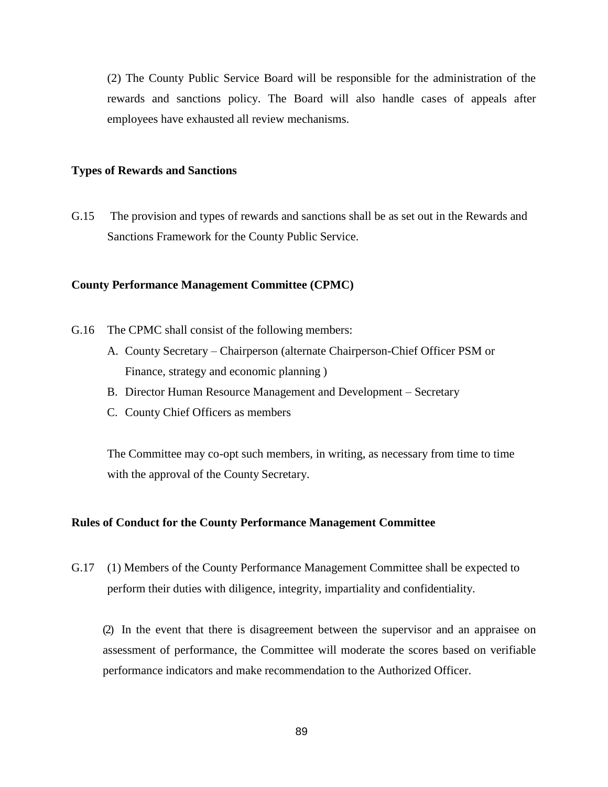(2) The County Public Service Board will be responsible for the administration of the rewards and sanctions policy. The Board will also handle cases of appeals after employees have exhausted all review mechanisms.

#### **Types of Rewards and Sanctions**

G.15 The provision and types of rewards and sanctions shall be as set out in the Rewards and Sanctions Framework for the County Public Service.

#### **County Performance Management Committee (CPMC)**

- G.16 The CPMC shall consist of the following members:
	- A. County Secretary Chairperson (alternate Chairperson-Chief Officer PSM or Finance, strategy and economic planning )
	- B. Director Human Resource Management and Development Secretary
	- C. County Chief Officers as members

The Committee may co-opt such members, in writing, as necessary from time to time with the approval of the County Secretary.

#### **Rules of Conduct for the County Performance Management Committee**

G.17 (1) Members of the County Performance Management Committee shall be expected to perform their duties with diligence, integrity, impartiality and confidentiality.

(2) In the event that there is disagreement between the supervisor and an appraisee on assessment of performance, the Committee will moderate the scores based on verifiable performance indicators and make recommendation to the Authorized Officer.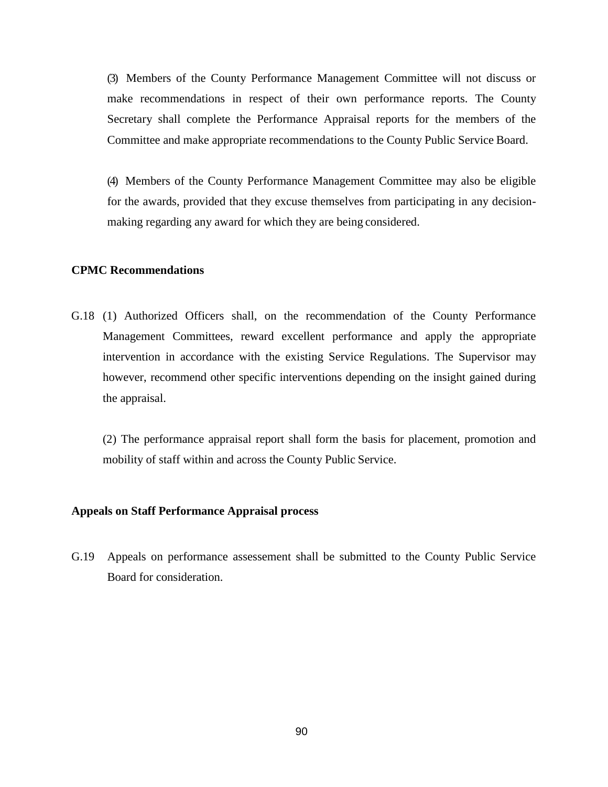(3) Members of the County Performance Management Committee will not discuss or make recommendations in respect of their own performance reports. The County Secretary shall complete the Performance Appraisal reports for the members of the Committee and make appropriate recommendations to the County Public Service Board.

(4) Members of the County Performance Management Committee may also be eligible for the awards, provided that they excuse themselves from participating in any decisionmaking regarding any award for which they are being considered.

### **CPMC Recommendations**

G.18 (1) Authorized Officers shall, on the recommendation of the County Performance Management Committees, reward excellent performance and apply the appropriate intervention in accordance with the existing Service Regulations. The Supervisor may however, recommend other specific interventions depending on the insight gained during the appraisal.

(2) The performance appraisal report shall form the basis for placement, promotion and mobility of staff within and across the County Public Service.

### **Appeals on Staff Performance Appraisal process**

G.19 Appeals on performance assessement shall be submitted to the County Public Service Board for consideration.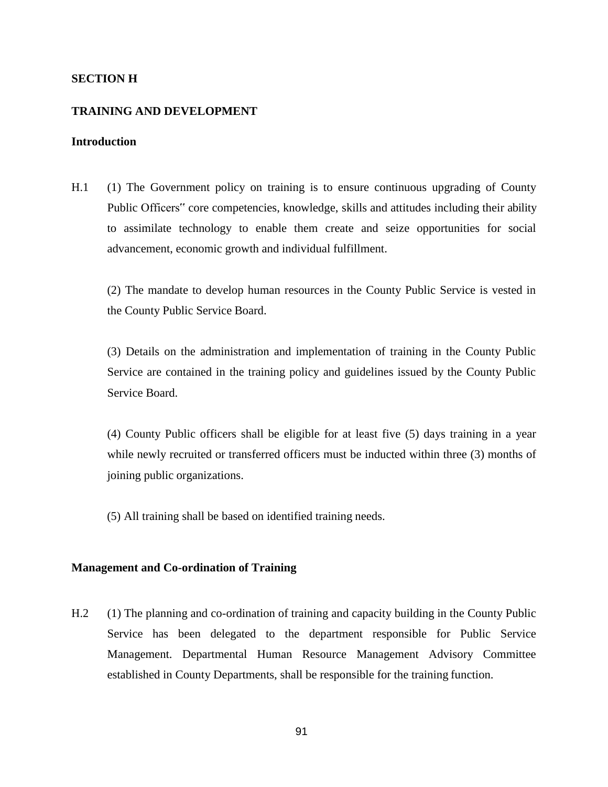### **SECTION H**

#### **TRAINING AND DEVELOPMENT**

### **Introduction**

H.1 (1) The Government policy on training is to ensure continuous upgrading of County Public Officers" core competencies, knowledge, skills and attitudes including their ability to assimilate technology to enable them create and seize opportunities for social advancement, economic growth and individual fulfillment.

(2) The mandate to develop human resources in the County Public Service is vested in the County Public Service Board.

(3) Details on the administration and implementation of training in the County Public Service are contained in the training policy and guidelines issued by the County Public Service Board.

(4) County Public officers shall be eligible for at least five (5) days training in a year while newly recruited or transferred officers must be inducted within three (3) months of joining public organizations.

(5) All training shall be based on identified training needs.

### **Management and Co-ordination of Training**

H.2 (1) The planning and co-ordination of training and capacity building in the County Public Service has been delegated to the department responsible for Public Service Management. Departmental Human Resource Management Advisory Committee established in County Departments, shall be responsible for the training function.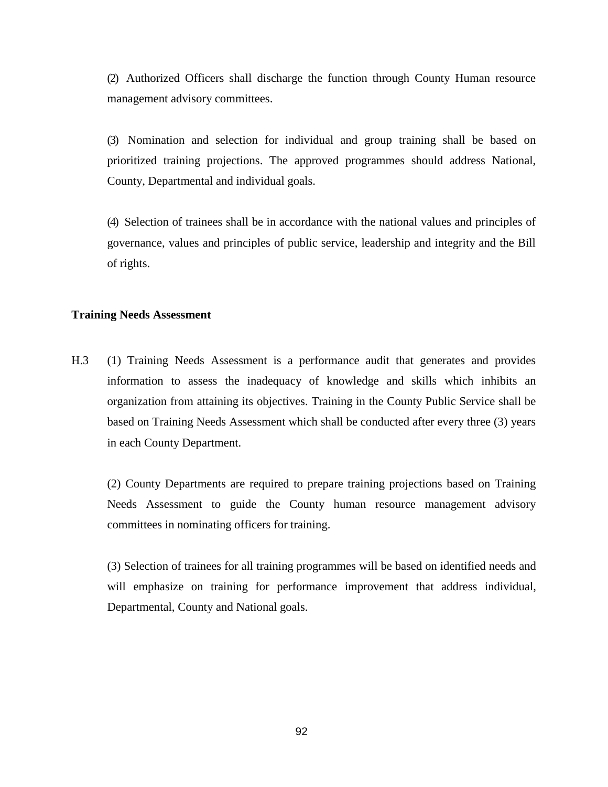(2) Authorized Officers shall discharge the function through County Human resource management advisory committees.

(3) Nomination and selection for individual and group training shall be based on prioritized training projections. The approved programmes should address National, County, Departmental and individual goals.

(4) Selection of trainees shall be in accordance with the national values and principles of governance, values and principles of public service, leadership and integrity and the Bill of rights.

### **Training Needs Assessment**

H.3 (1) Training Needs Assessment is a performance audit that generates and provides information to assess the inadequacy of knowledge and skills which inhibits an organization from attaining its objectives. Training in the County Public Service shall be based on Training Needs Assessment which shall be conducted after every three (3) years in each County Department.

(2) County Departments are required to prepare training projections based on Training Needs Assessment to guide the County human resource management advisory committees in nominating officers for training.

(3) Selection of trainees for all training programmes will be based on identified needs and will emphasize on training for performance improvement that address individual, Departmental, County and National goals.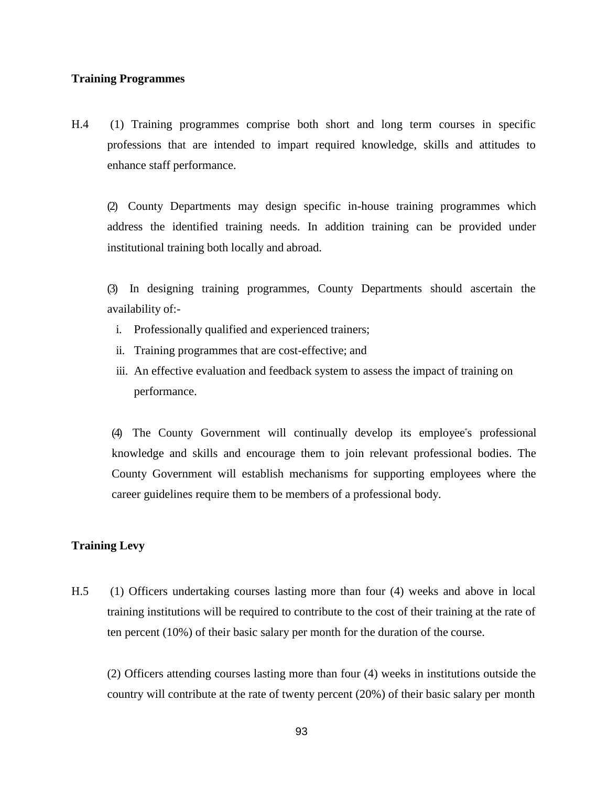### **Training Programmes**

H.4 (1) Training programmes comprise both short and long term courses in specific professions that are intended to impart required knowledge, skills and attitudes to enhance staff performance.

(2) County Departments may design specific in-house training programmes which address the identified training needs. In addition training can be provided under institutional training both locally and abroad.

(3) In designing training programmes, County Departments should ascertain the availability of:-

- i. Professionally qualified and experienced trainers;
- ii. Training programmes that are cost-effective; and
- iii. An effective evaluation and feedback system to assess the impact of training on performance.

(4) The County Government will continually develop its employee"s professional knowledge and skills and encourage them to join relevant professional bodies. The County Government will establish mechanisms for supporting employees where the career guidelines require them to be members of a professional body.

# **Training Levy**

H.5 (1) Officers undertaking courses lasting more than four (4) weeks and above in local training institutions will be required to contribute to the cost of their training at the rate of ten percent (10%) of their basic salary per month for the duration of the course.

(2) Officers attending courses lasting more than four (4) weeks in institutions outside the country will contribute at the rate of twenty percent (20%) of their basic salary per month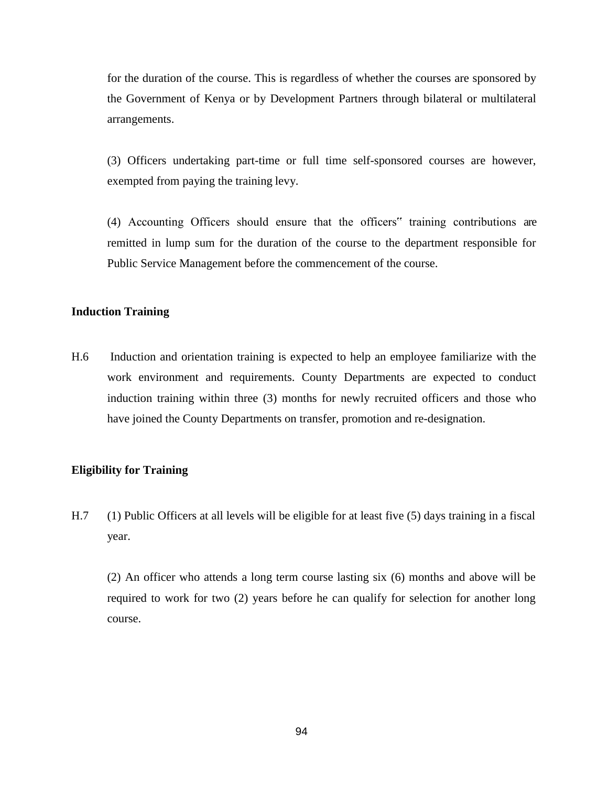for the duration of the course. This is regardless of whether the courses are sponsored by the Government of Kenya or by Development Partners through bilateral or multilateral arrangements.

(3) Officers undertaking part-time or full time self-sponsored courses are however, exempted from paying the training levy.

(4) Accounting Officers should ensure that the officers" training contributions are remitted in lump sum for the duration of the course to the department responsible for Public Service Management before the commencement of the course.

### **Induction Training**

H.6 Induction and orientation training is expected to help an employee familiarize with the work environment and requirements. County Departments are expected to conduct induction training within three (3) months for newly recruited officers and those who have joined the County Departments on transfer, promotion and re-designation.

#### **Eligibility for Training**

H.7 (1) Public Officers at all levels will be eligible for at least five (5) days training in a fiscal year.

(2) An officer who attends a long term course lasting six (6) months and above will be required to work for two (2) years before he can qualify for selection for another long course.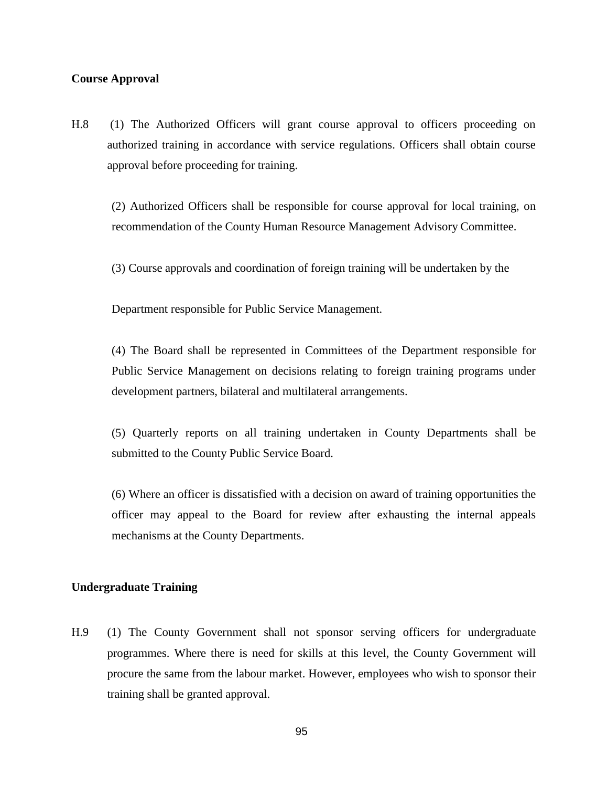### **Course Approval**

H.8 (1) The Authorized Officers will grant course approval to officers proceeding on authorized training in accordance with service regulations. Officers shall obtain course approval before proceeding for training.

(2) Authorized Officers shall be responsible for course approval for local training, on recommendation of the County Human Resource Management Advisory Committee.

(3) Course approvals and coordination of foreign training will be undertaken by the

Department responsible for Public Service Management.

(4) The Board shall be represented in Committees of the Department responsible for Public Service Management on decisions relating to foreign training programs under development partners, bilateral and multilateral arrangements.

(5) Quarterly reports on all training undertaken in County Departments shall be submitted to the County Public Service Board.

(6) Where an officer is dissatisfied with a decision on award of training opportunities the officer may appeal to the Board for review after exhausting the internal appeals mechanisms at the County Departments.

#### **Undergraduate Training**

H.9 (1) The County Government shall not sponsor serving officers for undergraduate programmes. Where there is need for skills at this level, the County Government will procure the same from the labour market. However, employees who wish to sponsor their training shall be granted approval.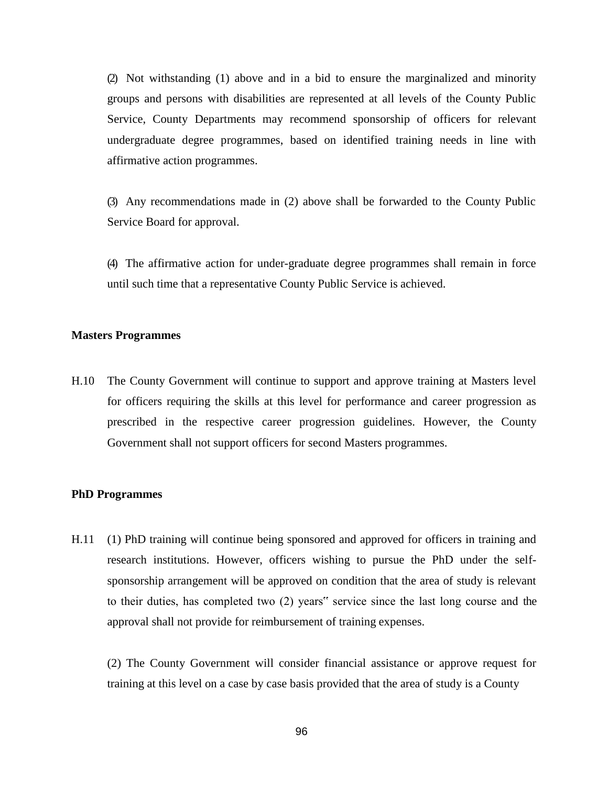(2) Not withstanding (1) above and in a bid to ensure the marginalized and minority groups and persons with disabilities are represented at all levels of the County Public Service, County Departments may recommend sponsorship of officers for relevant undergraduate degree programmes, based on identified training needs in line with affirmative action programmes.

(3) Any recommendations made in (2) above shall be forwarded to the County Public Service Board for approval.

(4) The affirmative action for under-graduate degree programmes shall remain in force until such time that a representative County Public Service is achieved.

#### **Masters Programmes**

H.10 The County Government will continue to support and approve training at Masters level for officers requiring the skills at this level for performance and career progression as prescribed in the respective career progression guidelines. However, the County Government shall not support officers for second Masters programmes.

#### **PhD Programmes**

H.11 (1) PhD training will continue being sponsored and approved for officers in training and research institutions. However, officers wishing to pursue the PhD under the selfsponsorship arrangement will be approved on condition that the area of study is relevant to their duties, has completed two (2) years" service since the last long course and the approval shall not provide for reimbursement of training expenses.

(2) The County Government will consider financial assistance or approve request for training at this level on a case by case basis provided that the area of study is a County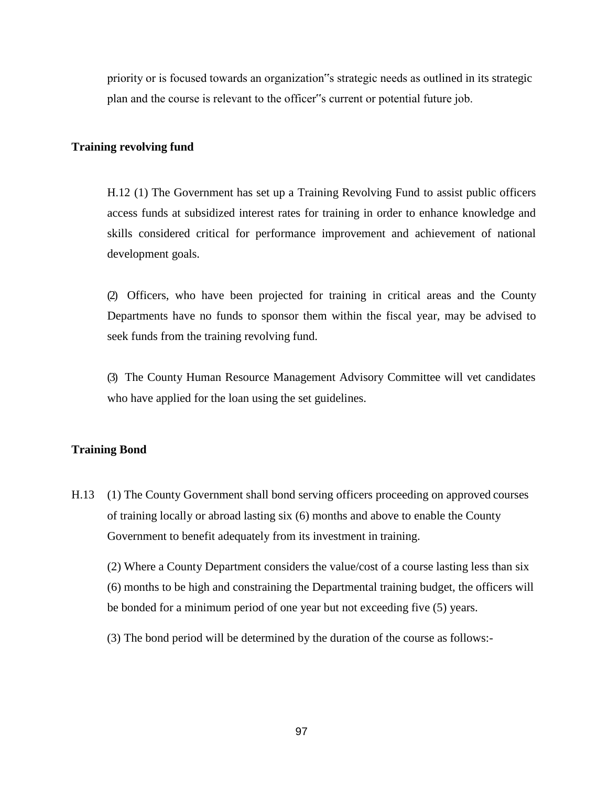priority or is focused towards an organization"s strategic needs as outlined in its strategic plan and the course is relevant to the officer"s current or potential future job.

### **Training revolving fund**

H.12 (1) The Government has set up a Training Revolving Fund to assist public officers access funds at subsidized interest rates for training in order to enhance knowledge and skills considered critical for performance improvement and achievement of national development goals.

(2) Officers, who have been projected for training in critical areas and the County Departments have no funds to sponsor them within the fiscal year, may be advised to seek funds from the training revolving fund.

(3) The County Human Resource Management Advisory Committee will vet candidates who have applied for the loan using the set guidelines.

### **Training Bond**

H.13 (1) The County Government shall bond serving officers proceeding on approved courses of training locally or abroad lasting six (6) months and above to enable the County Government to benefit adequately from its investment in training.

(2) Where a County Department considers the value/cost of a course lasting less than six (6) months to be high and constraining the Departmental training budget, the officers will be bonded for a minimum period of one year but not exceeding five (5) years.

(3) The bond period will be determined by the duration of the course as follows:-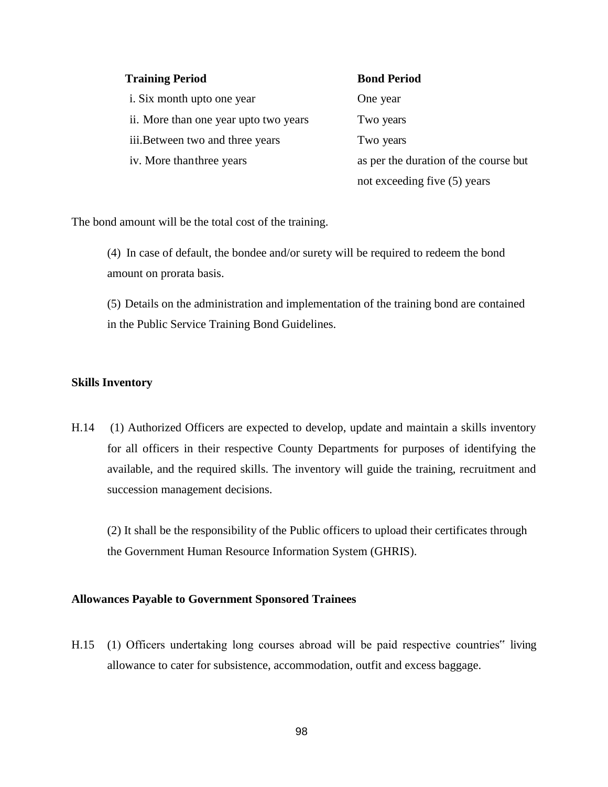| <b>Training Period</b>                 | <b>Bond Period</b>                    |
|----------------------------------------|---------------------------------------|
| i. Six month upto one year             | One year                              |
| ii. More than one year up to two years | Two years                             |
| iii. Between two and three years       | Two years                             |
| iv. More than three years              | as per the duration of the course but |
|                                        | not exceeding five (5) years          |

The bond amount will be the total cost of the training.

(4) In case of default, the bondee and/or surety will be required to redeem the bond amount on prorata basis.

(5) Details on the administration and implementation of the training bond are contained in the Public Service Training Bond Guidelines.

### **Skills Inventory**

H.14 (1) Authorized Officers are expected to develop, update and maintain a skills inventory for all officers in their respective County Departments for purposes of identifying the available, and the required skills. The inventory will guide the training, recruitment and succession management decisions.

(2) It shall be the responsibility of the Public officers to upload their certificates through the Government Human Resource Information System (GHRIS).

#### **Allowances Payable to Government Sponsored Trainees**

H.15 (1) Officers undertaking long courses abroad will be paid respective countries" living allowance to cater for subsistence, accommodation, outfit and excess baggage.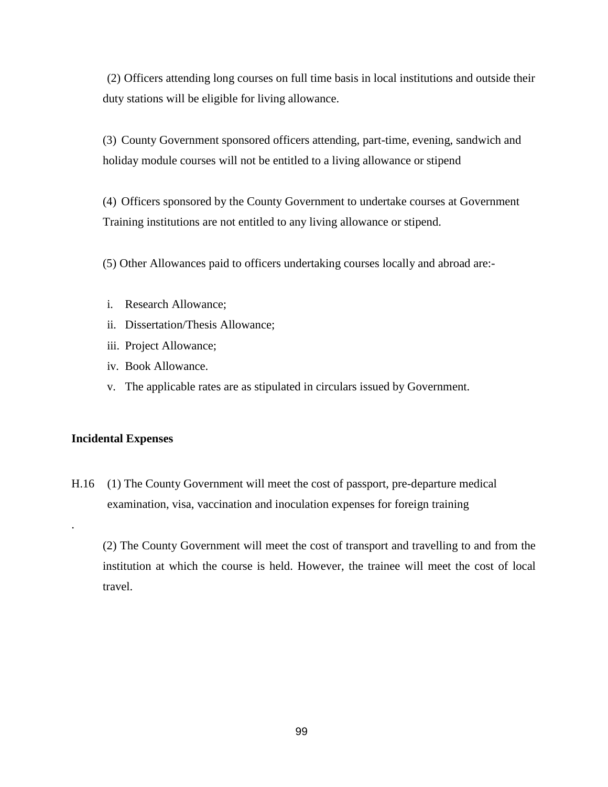(2) Officers attending long courses on full time basis in local institutions and outside their duty stations will be eligible for living allowance.

(3) County Government sponsored officers attending, part-time, evening, sandwich and holiday module courses will not be entitled to a living allowance or stipend

(4) Officers sponsored by the County Government to undertake courses at Government Training institutions are not entitled to any living allowance or stipend.

(5) Other Allowances paid to officers undertaking courses locally and abroad are:-

- i. Research Allowance;
- ii. Dissertation/Thesis Allowance;
- iii. Project Allowance;
- iv. Book Allowance.
- v. The applicable rates are as stipulated in circulars issued by Government.

#### **Incidental Expenses**

.

H.16 (1) The County Government will meet the cost of passport, pre-departure medical examination, visa, vaccination and inoculation expenses for foreign training

(2) The County Government will meet the cost of transport and travelling to and from the institution at which the course is held. However, the trainee will meet the cost of local travel.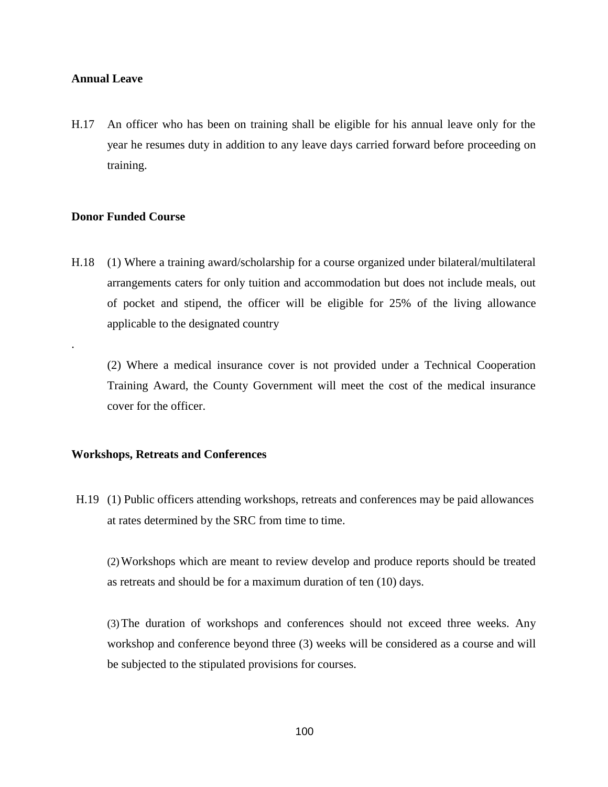#### **Annual Leave**

H.17 An officer who has been on training shall be eligible for his annual leave only for the year he resumes duty in addition to any leave days carried forward before proceeding on training.

### **Donor Funded Course**

.

H.18 (1) Where a training award/scholarship for a course organized under bilateral/multilateral arrangements caters for only tuition and accommodation but does not include meals, out of pocket and stipend, the officer will be eligible for 25% of the living allowance applicable to the designated country

(2) Where a medical insurance cover is not provided under a Technical Cooperation Training Award, the County Government will meet the cost of the medical insurance cover for the officer.

#### **Workshops, Retreats and Conferences**

H.19 (1) Public officers attending workshops, retreats and conferences may be paid allowances at rates determined by the SRC from time to time.

(2)Workshops which are meant to review develop and produce reports should be treated as retreats and should be for a maximum duration of ten (10) days.

(3)The duration of workshops and conferences should not exceed three weeks. Any workshop and conference beyond three (3) weeks will be considered as a course and will be subjected to the stipulated provisions for courses.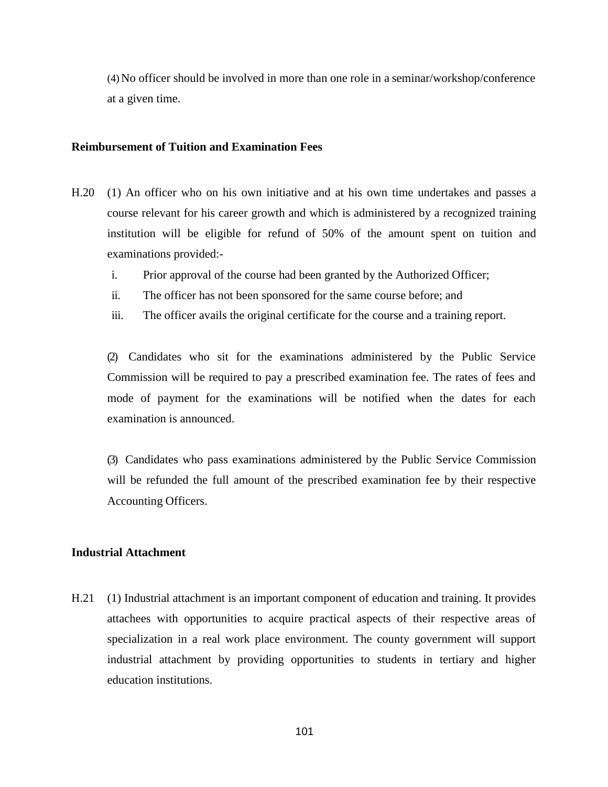(4)No officer should be involved in more than one role in a seminar/workshop/conference at a given time.

#### **Reimbursement of Tuition and Examination Fees**

- H.20 (1) An officer who on his own initiative and at his own time undertakes and passes a course relevant for his career growth and which is administered by a recognized training institution will be eligible for refund of 50% of the amount spent on tuition and examinations provided:
	- i. Prior approval of the course had been granted by the Authorized Officer;
	- ii. The officer has not been sponsored for the same course before; and
	- iii. The officer avails the original certificate for the course and a training report.

(2) Candidates who sit for the examinations administered by the Public Service Commission will be required to pay a prescribed examination fee. The rates of fees and mode of payment for the examinations will be notified when the dates for each examination is announced.

(3) Candidates who pass examinations administered by the Public Service Commission will be refunded the full amount of the prescribed examination fee by their respective Accounting Officers.

# **Industrial Attachment**

H.21 (1) Industrial attachment is an important component of education and training. It provides attachees with opportunities to acquire practical aspects of their respective areas of specialization in a real work place environment. The county government will support industrial attachment by providing opportunities to students in tertiary and higher education institutions.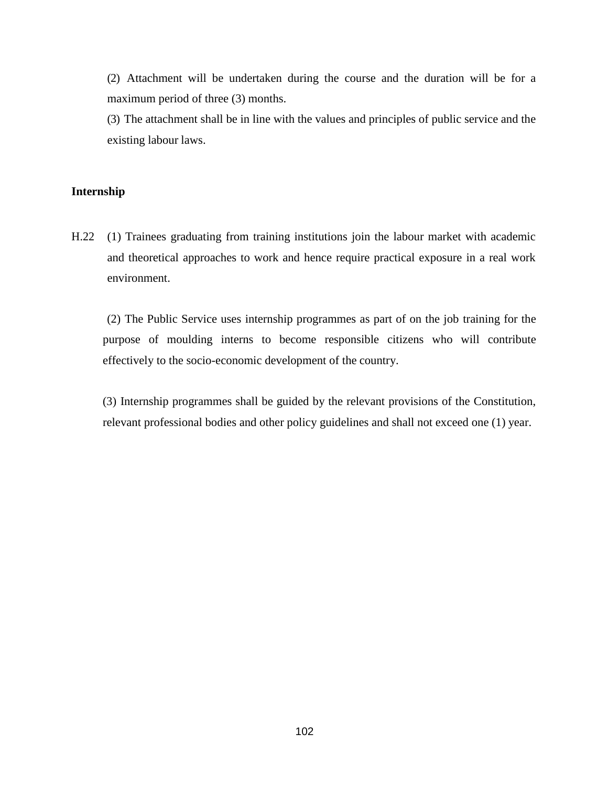(2) Attachment will be undertaken during the course and the duration will be for a maximum period of three (3) months.

(3) The attachment shall be in line with the values and principles of public service and the existing labour laws.

# **Internship**

H.22 (1) Trainees graduating from training institutions join the labour market with academic and theoretical approaches to work and hence require practical exposure in a real work environment.

(2) The Public Service uses internship programmes as part of on the job training for the purpose of moulding interns to become responsible citizens who will contribute effectively to the socio-economic development of the country.

(3) Internship programmes shall be guided by the relevant provisions of the Constitution, relevant professional bodies and other policy guidelines and shall not exceed one (1) year.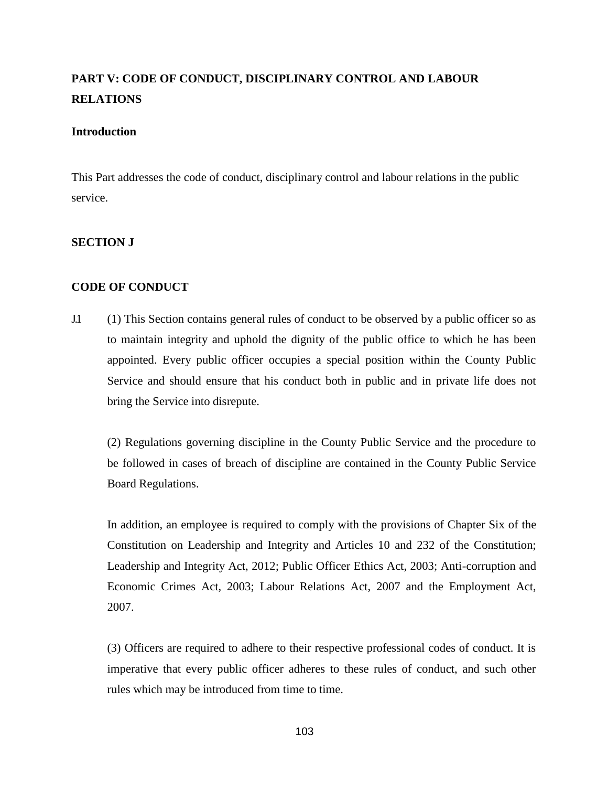# **PART V: CODE OF CONDUCT, DISCIPLINARY CONTROL AND LABOUR RELATIONS**

### **Introduction**

This Part addresses the code of conduct, disciplinary control and labour relations in the public service.

### **SECTION J**

### **CODE OF CONDUCT**

J.1 (1) This Section contains general rules of conduct to be observed by a public officer so as to maintain integrity and uphold the dignity of the public office to which he has been appointed. Every public officer occupies a special position within the County Public Service and should ensure that his conduct both in public and in private life does not bring the Service into disrepute.

(2) Regulations governing discipline in the County Public Service and the procedure to be followed in cases of breach of discipline are contained in the County Public Service Board Regulations.

In addition, an employee is required to comply with the provisions of Chapter Six of the Constitution on Leadership and Integrity and Articles 10 and 232 of the Constitution; Leadership and Integrity Act, 2012; Public Officer Ethics Act, 2003; Anti-corruption and Economic Crimes Act, 2003; Labour Relations Act, 2007 and the Employment Act, 2007.

(3) Officers are required to adhere to their respective professional codes of conduct. It is imperative that every public officer adheres to these rules of conduct, and such other rules which may be introduced from time to time.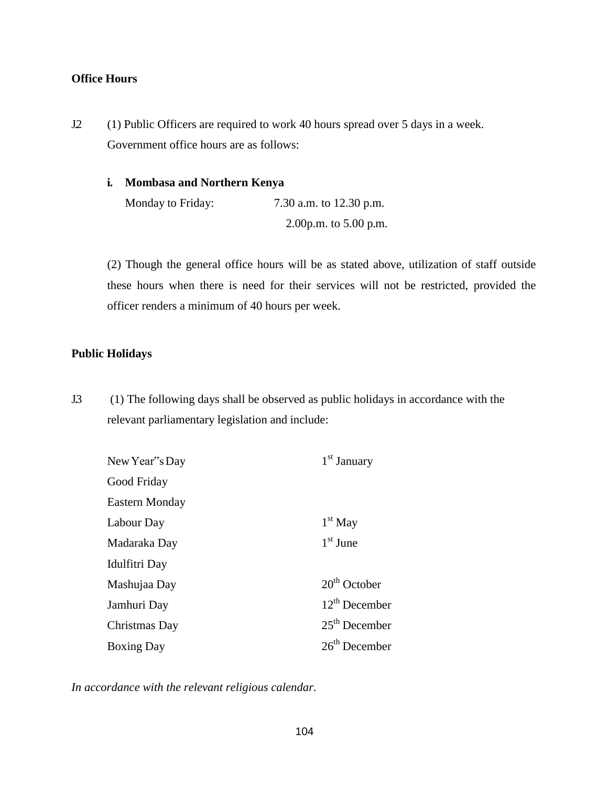# **Office Hours**

J.2 (1) Public Officers are required to work 40 hours spread over 5 days in a week. Government office hours are as follows:

### **i. Mombasa and Northern Kenya**

Monday to Friday: 7.30 a.m. to 12.30 p.m. 2.00p.m. to 5.00 p.m.

(2) Though the general office hours will be as stated above, utilization of staff outside these hours when there is need for their services will not be restricted, provided the officer renders a minimum of 40 hours per week.

#### **Public Holidays**

J.3 (1) The following days shall be observed as public holidays in accordance with the relevant parliamentary legislation and include:

| New Year"s Day    | 1 <sup>st</sup> January |
|-------------------|-------------------------|
| Good Friday       |                         |
| Eastern Monday    |                         |
| Labour Day        | $1st$ May               |
| Madaraka Day      | $1st$ June              |
| Idulfitri Day     |                         |
| Mashujaa Day      | $20th$ October          |
| Jamhuri Day       | $12^{th}$ December      |
| Christmas Day     | $25th$ December         |
| <b>Boxing Day</b> | $26th$ December         |

*In accordance with the relevant religious calendar.*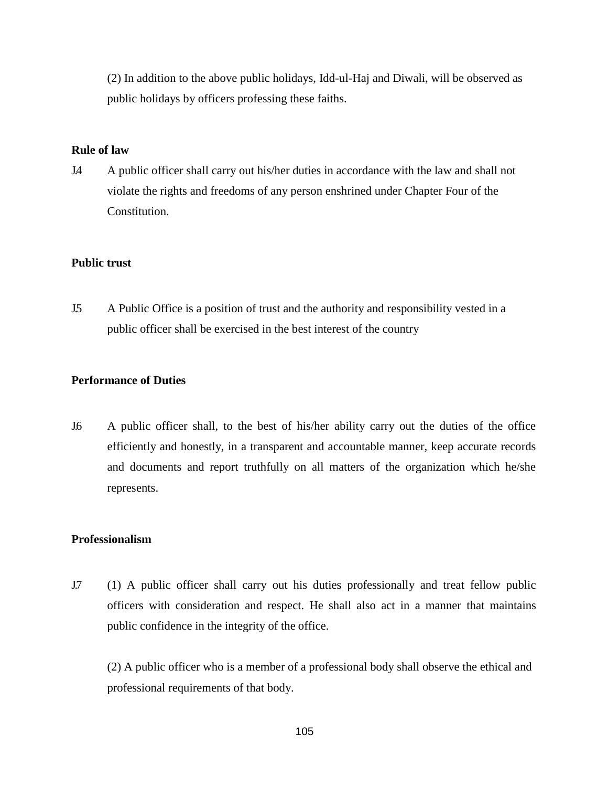(2) In addition to the above public holidays, Idd-ul-Haj and Diwali, will be observed as public holidays by officers professing these faiths.

### **Rule of law**

J.4 A public officer shall carry out his/her duties in accordance with the law and shall not violate the rights and freedoms of any person enshrined under Chapter Four of the Constitution.

### **Public trust**

J.5 A Public Office is a position of trust and the authority and responsibility vested in a public officer shall be exercised in the best interest of the country

### **Performance of Duties**

J.6 A public officer shall, to the best of his/her ability carry out the duties of the office efficiently and honestly, in a transparent and accountable manner, keep accurate records and documents and report truthfully on all matters of the organization which he/she represents.

#### **Professionalism**

J.7 (1) A public officer shall carry out his duties professionally and treat fellow public officers with consideration and respect. He shall also act in a manner that maintains public confidence in the integrity of the office.

(2) A public officer who is a member of a professional body shall observe the ethical and professional requirements of that body.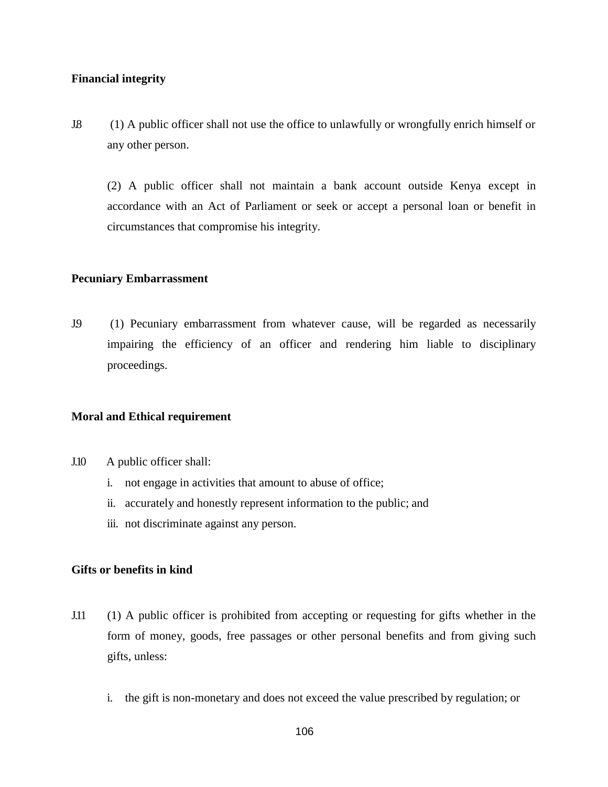### **Financial integrity**

J.8 (1) A public officer shall not use the office to unlawfully or wrongfully enrich himself or any other person.

(2) A public officer shall not maintain a bank account outside Kenya except in accordance with an Act of Parliament or seek or accept a personal loan or benefit in circumstances that compromise his integrity.

#### **Pecuniary Embarrassment**

J.9 (1) Pecuniary embarrassment from whatever cause, will be regarded as necessarily impairing the efficiency of an officer and rendering him liable to disciplinary proceedings.

#### **Moral and Ethical requirement**

- J.10 A public officer shall:
	- i. not engage in activities that amount to abuse of office;
	- ii. accurately and honestly represent information to the public; and
	- iii. not discriminate against any person.

### **Gifts or benefits in kind**

- J.11 (1) A public officer is prohibited from accepting or requesting for gifts whether in the form of money, goods, free passages or other personal benefits and from giving such gifts, unless:
	- i. the gift is non-monetary and does not exceed the value prescribed by regulation; or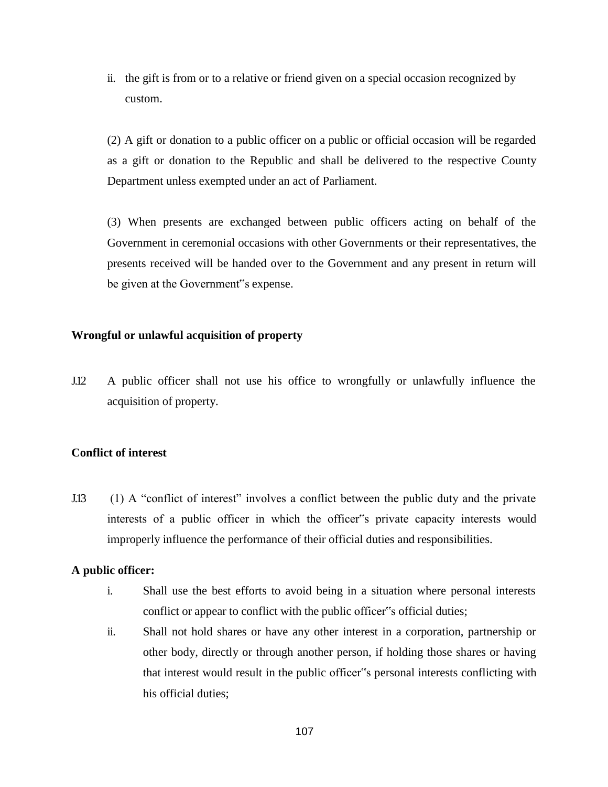ii. the gift is from or to a relative or friend given on a special occasion recognized by custom.

(2) A gift or donation to a public officer on a public or official occasion will be regarded as a gift or donation to the Republic and shall be delivered to the respective County Department unless exempted under an act of Parliament.

(3) When presents are exchanged between public officers acting on behalf of the Government in ceremonial occasions with other Governments or their representatives, the presents received will be handed over to the Government and any present in return will be given at the Government"s expense.

### **Wrongful or unlawful acquisition of property**

J.12 A public officer shall not use his office to wrongfully or unlawfully influence the acquisition of property.

# **Conflict of interest**

J.13 (1) A "conflict of interest" involves a conflict between the public duty and the private interests of a public officer in which the officer"s private capacity interests would improperly influence the performance of their official duties and responsibilities.

#### **A public officer:**

- i. Shall use the best efforts to avoid being in a situation where personal interests conflict or appear to conflict with the public officer"s official duties;
- ii. Shall not hold shares or have any other interest in a corporation, partnership or other body, directly or through another person, if holding those shares or having that interest would result in the public officer"s personal interests conflicting with his official duties;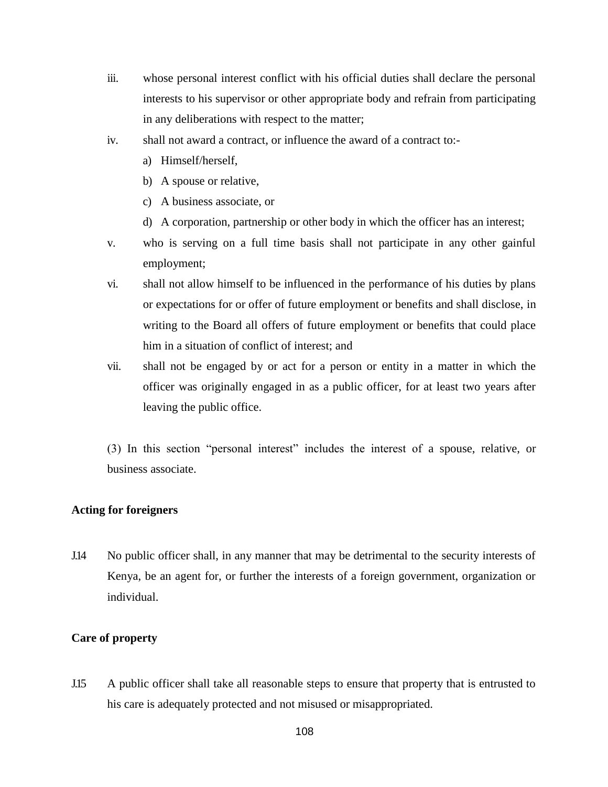- iii. whose personal interest conflict with his official duties shall declare the personal interests to his supervisor or other appropriate body and refrain from participating in any deliberations with respect to the matter;
- iv. shall not award a contract, or influence the award of a contract to:
	- a) Himself/herself,
	- b) A spouse or relative,
	- c) A business associate, or
	- d) A corporation, partnership or other body in which the officer has an interest;
- v. who is serving on a full time basis shall not participate in any other gainful employment;
- vi. shall not allow himself to be influenced in the performance of his duties by plans or expectations for or offer of future employment or benefits and shall disclose, in writing to the Board all offers of future employment or benefits that could place him in a situation of conflict of interest; and
- vii. shall not be engaged by or act for a person or entity in a matter in which the officer was originally engaged in as a public officer, for at least two years after leaving the public office.

(3) In this section "personal interest" includes the interest of a spouse, relative, or business associate.

### **Acting for foreigners**

J.14 No public officer shall, in any manner that may be detrimental to the security interests of Kenya, be an agent for, or further the interests of a foreign government, organization or individual.

# **Care of property**

J.15 A public officer shall take all reasonable steps to ensure that property that is entrusted to his care is adequately protected and not misused or misappropriated.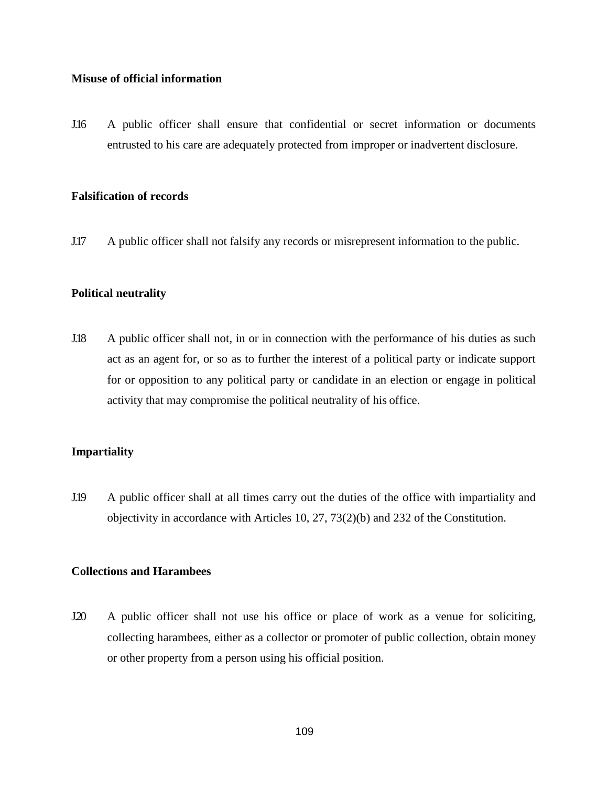#### **Misuse of official information**

J.16 A public officer shall ensure that confidential or secret information or documents entrusted to his care are adequately protected from improper or inadvertent disclosure.

### **Falsification of records**

J.17 A public officer shall not falsify any records or misrepresent information to the public.

# **Political neutrality**

J.18 A public officer shall not, in or in connection with the performance of his duties as such act as an agent for, or so as to further the interest of a political party or indicate support for or opposition to any political party or candidate in an election or engage in political activity that may compromise the political neutrality of his office.

# **Impartiality**

J.19 A public officer shall at all times carry out the duties of the office with impartiality and objectivity in accordance with Articles 10, 27, 73(2)(b) and 232 of the Constitution.

# **Collections and Harambees**

J.20 A public officer shall not use his office or place of work as a venue for soliciting, collecting harambees, either as a collector or promoter of public collection, obtain money or other property from a person using his official position.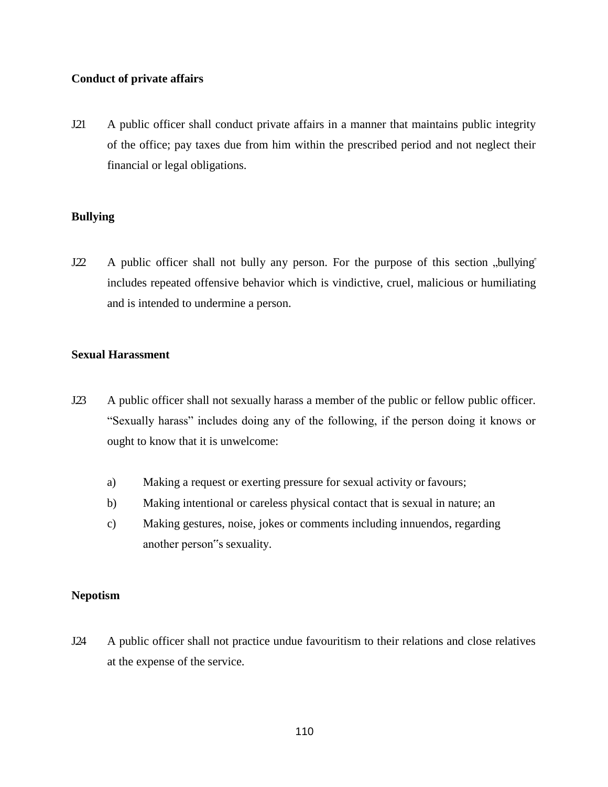# **Conduct of private affairs**

J.21 A public officer shall conduct private affairs in a manner that maintains public integrity of the office; pay taxes due from him within the prescribed period and not neglect their financial or legal obligations.

# **Bullying**

J.22 A public officer shall not bully any person. For the purpose of this section "bullying" includes repeated offensive behavior which is vindictive, cruel, malicious or humiliating and is intended to undermine a person.

# **Sexual Harassment**

- J.23 A public officer shall not sexually harass a member of the public or fellow public officer. "Sexually harass" includes doing any of the following, if the person doing it knows or ought to know that it is unwelcome:
	- a) Making a request or exerting pressure for sexual activity or favours;
	- b) Making intentional or careless physical contact that is sexual in nature; an
	- c) Making gestures, noise, jokes or comments including innuendos, regarding another person"s sexuality.

# **Nepotism**

J.24 A public officer shall not practice undue favouritism to their relations and close relatives at the expense of the service.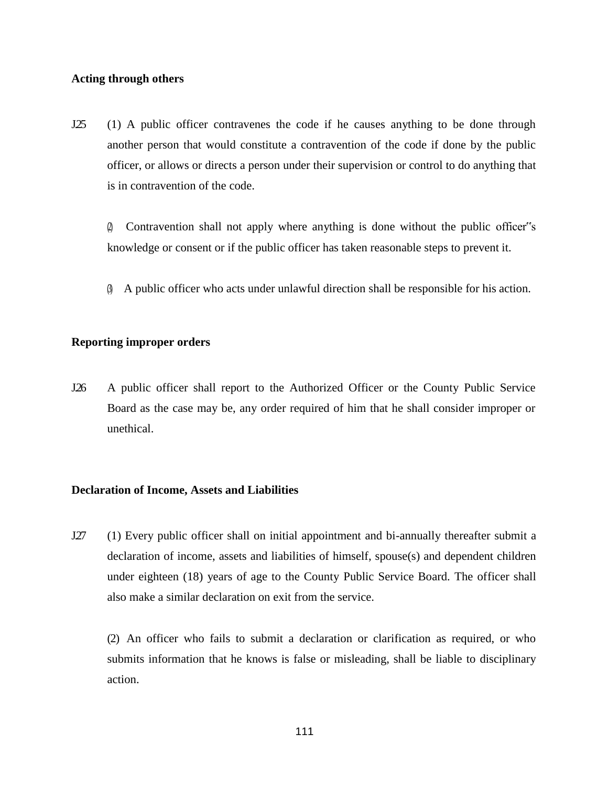#### **Acting through others**

- J25 (1) A public officer contravenes the code if he causes anything to be done through another person that would constitute a contravention of the code if done by the public officer, or allows or directs a person under their supervision or control to do anything that is in contravention of the code.
	- (2) Contravention shall not apply where anything is done without the public officer"s knowledge or consent or if the public officer has taken reasonable steps to prevent it.
	- (3) A public officer who acts under unlawful direction shall be responsible for his action.

### **Reporting improper orders**

J.26 A public officer shall report to the Authorized Officer or the County Public Service Board as the case may be, any order required of him that he shall consider improper or unethical.

#### **Declaration of Income, Assets and Liabilities**

J.27 (1) Every public officer shall on initial appointment and bi-annually thereafter submit a declaration of income, assets and liabilities of himself, spouse(s) and dependent children under eighteen (18) years of age to the County Public Service Board. The officer shall also make a similar declaration on exit from the service.

(2) An officer who fails to submit a declaration or clarification as required, or who submits information that he knows is false or misleading, shall be liable to disciplinary action.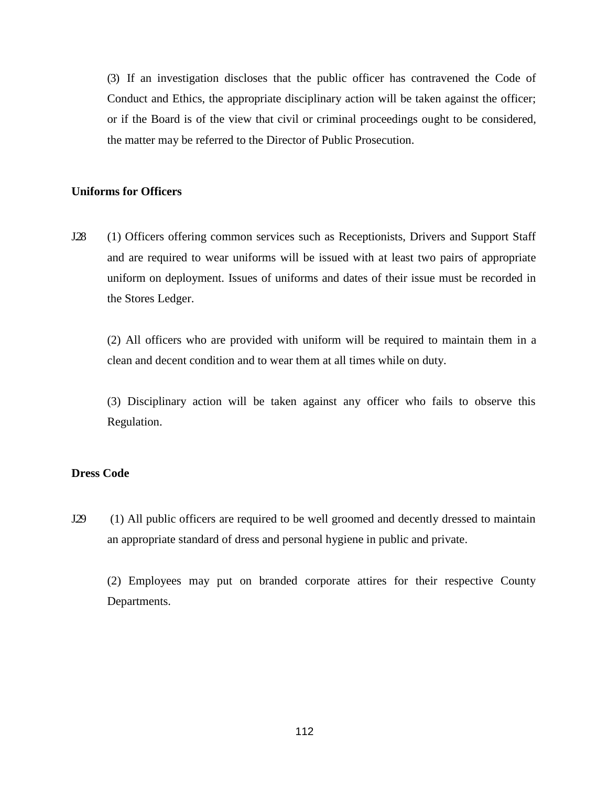(3) If an investigation discloses that the public officer has contravened the Code of Conduct and Ethics, the appropriate disciplinary action will be taken against the officer; or if the Board is of the view that civil or criminal proceedings ought to be considered, the matter may be referred to the Director of Public Prosecution.

### **Uniforms for Officers**

J.28 (1) Officers offering common services such as Receptionists, Drivers and Support Staff and are required to wear uniforms will be issued with at least two pairs of appropriate uniform on deployment. Issues of uniforms and dates of their issue must be recorded in the Stores Ledger.

(2) All officers who are provided with uniform will be required to maintain them in a clean and decent condition and to wear them at all times while on duty.

(3) Disciplinary action will be taken against any officer who fails to observe this Regulation.

### **Dress Code**

J.29 (1) All public officers are required to be well groomed and decently dressed to maintain an appropriate standard of dress and personal hygiene in public and private.

(2) Employees may put on branded corporate attires for their respective County Departments.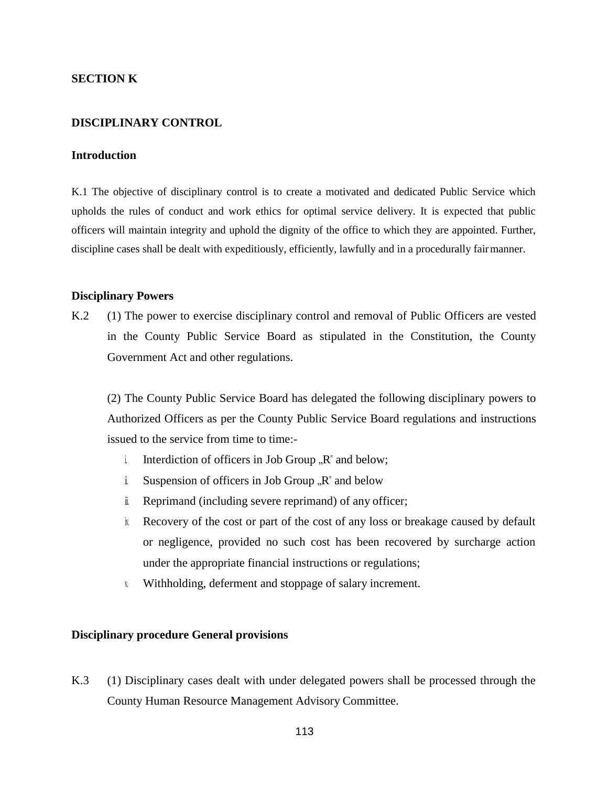### **SECTION K**

#### **DISCIPLINARY CONTROL**

#### **Introduction**

K.1 The objective of disciplinary control is to create a motivated and dedicated Public Service which upholds the rules of conduct and work ethics for optimal service delivery. It is expected that public officers will maintain integrity and uphold the dignity of the office to which they are appointed. Further, discipline cases shall be dealt with expeditiously, efficiently, lawfully and in a procedurally fairmanner.

#### **Disciplinary Powers**

K.2 (1) The power to exercise disciplinary control and removal of Public Officers are vested in the County Public Service Board as stipulated in the Constitution, the County Government Act and other regulations.

(2) The County Public Service Board has delegated the following disciplinary powers to Authorized Officers as per the County Public Service Board regulations and instructions issued to the service from time to time:-

- i. Interdiction of officers in Job Group  $\mathbb{R}^n$  and below;
- i Suspension of officers in Job Group  $\mathbb{R}^n$  and below
- $\ddot{\mathbf{i}}$  Reprimand (including severe reprimand) of any officer;
- iv. Recovery of the cost or part of the cost of any loss or breakage caused by default or negligence, provided no such cost has been recovered by surcharge action under the appropriate financial instructions or regulations;
- v. Withholding, deferment and stoppage of salary increment.

#### **Disciplinary procedure General provisions**

K.3 (1) Disciplinary cases dealt with under delegated powers shall be processed through the County Human Resource Management Advisory Committee.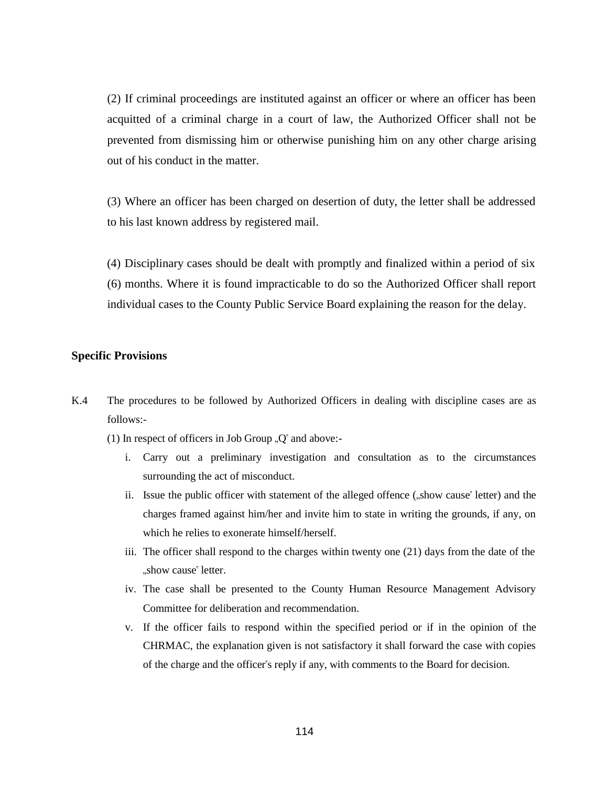(2) If criminal proceedings are instituted against an officer or where an officer has been acquitted of a criminal charge in a court of law, the Authorized Officer shall not be prevented from dismissing him or otherwise punishing him on any other charge arising out of his conduct in the matter.

(3) Where an officer has been charged on desertion of duty, the letter shall be addressed to his last known address by registered mail.

(4) Disciplinary cases should be dealt with promptly and finalized within a period of six (6) months. Where it is found impracticable to do so the Authorized Officer shall report individual cases to the County Public Service Board explaining the reason for the delay.

#### **Specific Provisions**

- K.4 The procedures to be followed by Authorized Officers in dealing with discipline cases are as follows:-
	- (1) In respect of officers in Job Group  $\mathbb{Q}^n$  and above:
		- i. Carry out a preliminary investigation and consultation as to the circumstances surrounding the act of misconduct.
		- ii. Issue the public officer with statement of the alleged offence ("show cause" letter) and the charges framed against him/her and invite him to state in writing the grounds, if any, on which he relies to exonerate himself/herself.
		- iii. The officer shall respond to the charges within twenty one (21) days from the date of the "show cause" letter.
		- iv. The case shall be presented to the County Human Resource Management Advisory Committee for deliberation and recommendation.
		- v. If the officer fails to respond within the specified period or if in the opinion of the CHRMAC, the explanation given is not satisfactory it shall forward the case with copies of the charge and the officer"s reply if any, with comments to the Board for decision.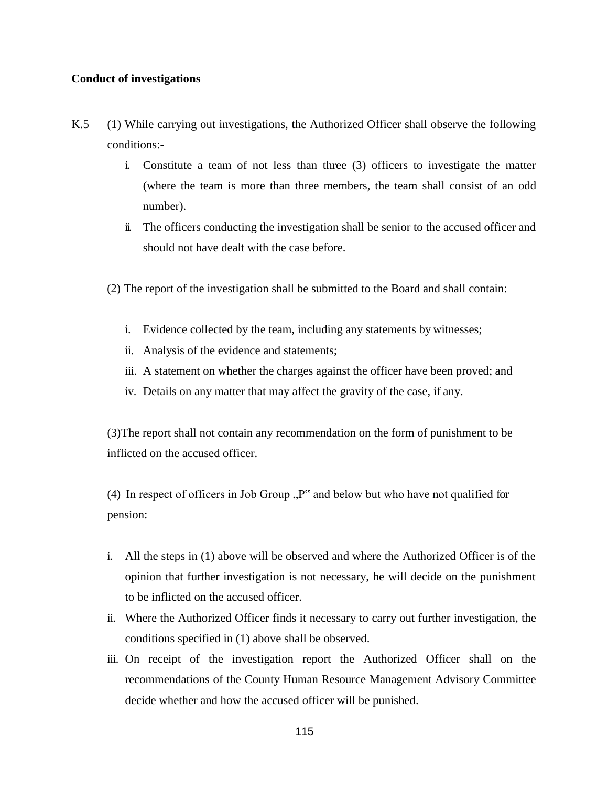### **Conduct of investigations**

- K.5 (1) While carrying out investigations, the Authorized Officer shall observe the following conditions:
	- i. Constitute a team of not less than three (3) officers to investigate the matter (where the team is more than three members, the team shall consist of an odd number).
	- ii. The officers conducting the investigation shall be senior to the accused officer and should not have dealt with the case before.
	- (2) The report of the investigation shall be submitted to the Board and shall contain:
		- i. Evidence collected by the team, including any statements by witnesses;
		- ii. Analysis of the evidence and statements;
		- iii. A statement on whether the charges against the officer have been proved; and
		- iv. Details on any matter that may affect the gravity of the case, if any.

(3)The report shall not contain any recommendation on the form of punishment to be inflicted on the accused officer.

(4) In respect of officers in Job Group  $P^{\prime\prime}$  and below but who have not qualified for pension:

- i. All the steps in (1) above will be observed and where the Authorized Officer is of the opinion that further investigation is not necessary, he will decide on the punishment to be inflicted on the accused officer.
- ii. Where the Authorized Officer finds it necessary to carry out further investigation, the conditions specified in (1) above shall be observed.
- iii. On receipt of the investigation report the Authorized Officer shall on the recommendations of the County Human Resource Management Advisory Committee decide whether and how the accused officer will be punished.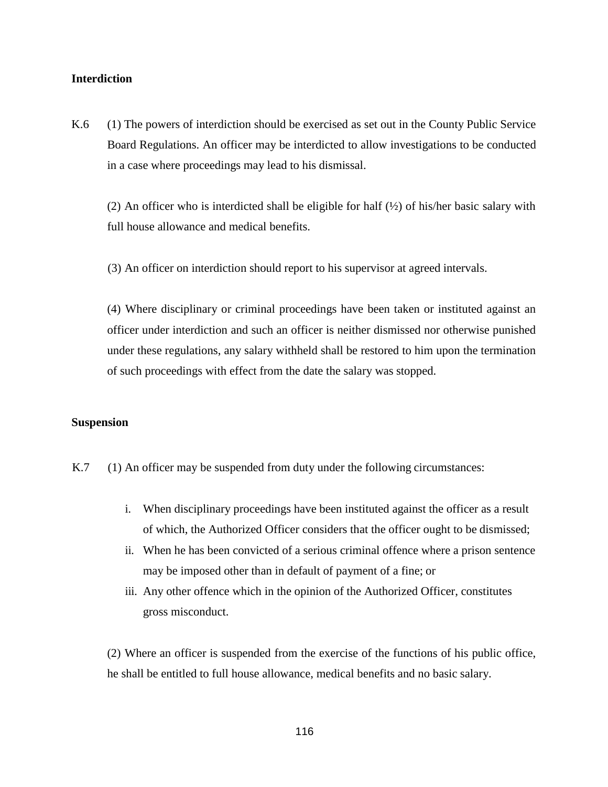### **Interdiction**

K.6 (1) The powers of interdiction should be exercised as set out in the County Public Service Board Regulations. An officer may be interdicted to allow investigations to be conducted in a case where proceedings may lead to his dismissal.

(2) An officer who is interdicted shall be eligible for half  $(\frac{1}{2})$  of his/her basic salary with full house allowance and medical benefits.

(3) An officer on interdiction should report to his supervisor at agreed intervals.

(4) Where disciplinary or criminal proceedings have been taken or instituted against an officer under interdiction and such an officer is neither dismissed nor otherwise punished under these regulations, any salary withheld shall be restored to him upon the termination of such proceedings with effect from the date the salary was stopped.

#### **Suspension**

- K.7 (1) An officer may be suspended from duty under the following circumstances:
	- i. When disciplinary proceedings have been instituted against the officer as a result of which, the Authorized Officer considers that the officer ought to be dismissed;
	- ii. When he has been convicted of a serious criminal offence where a prison sentence may be imposed other than in default of payment of a fine; or
	- iii. Any other offence which in the opinion of the Authorized Officer, constitutes gross misconduct.

(2) Where an officer is suspended from the exercise of the functions of his public office, he shall be entitled to full house allowance, medical benefits and no basic salary.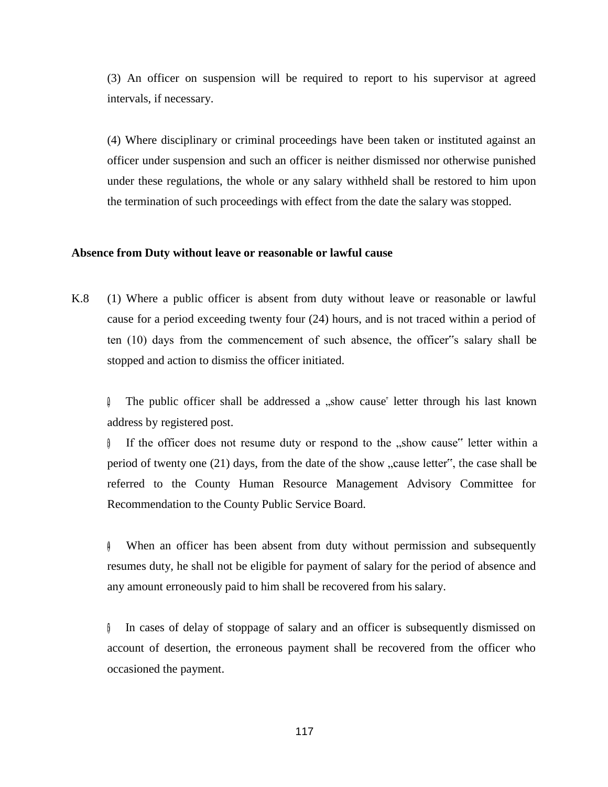(3) An officer on suspension will be required to report to his supervisor at agreed intervals, if necessary.

(4) Where disciplinary or criminal proceedings have been taken or instituted against an officer under suspension and such an officer is neither dismissed nor otherwise punished under these regulations, the whole or any salary withheld shall be restored to him upon the termination of such proceedings with effect from the date the salary was stopped.

### **Absence from Duty without leave or reasonable or lawful cause**

K.8 (1) Where a public officer is absent from duty without leave or reasonable or lawful cause for a period exceeding twenty four (24) hours, and is not traced within a period of ten (10) days from the commencement of such absence, the officer"s salary shall be stopped and action to dismiss the officer initiated.

The public officer shall be addressed a  $n$ , show cause letter through his last known address by registered post.

(3) If the officer does not resume duty or respond to the "show cause" letter within a period of twenty one  $(21)$  days, from the date of the show "cause letter", the case shall be referred to the County Human Resource Management Advisory Committee for Recommendation to the County Public Service Board.

(4) When an officer has been absent from duty without permission and subsequently resumes duty, he shall not be eligible for payment of salary for the period of absence and any amount erroneously paid to him shall be recovered from his salary.

 $\phi$  In cases of delay of stoppage of salary and an officer is subsequently dismissed on account of desertion, the erroneous payment shall be recovered from the officer who occasioned the payment.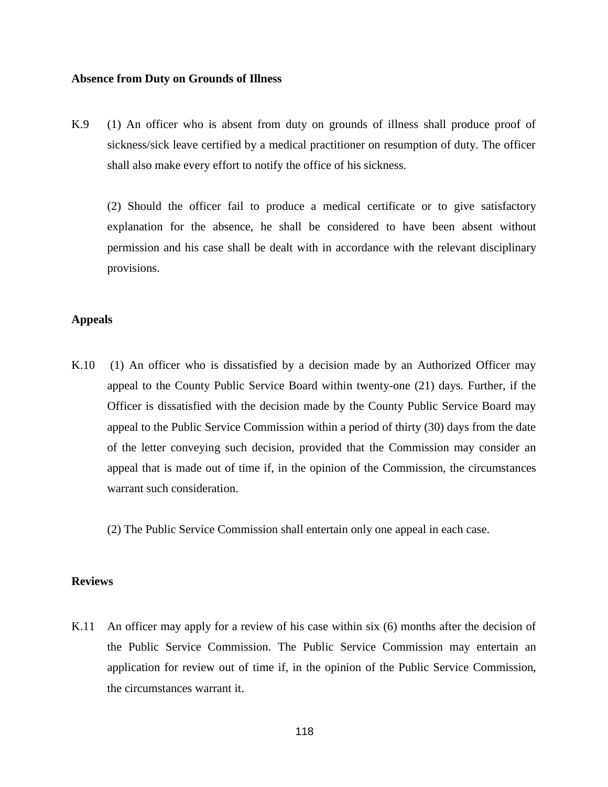#### **Absence from Duty on Grounds of Illness**

K.9 (1) An officer who is absent from duty on grounds of illness shall produce proof of sickness/sick leave certified by a medical practitioner on resumption of duty. The officer shall also make every effort to notify the office of his sickness.

(2) Should the officer fail to produce a medical certificate or to give satisfactory explanation for the absence, he shall be considered to have been absent without permission and his case shall be dealt with in accordance with the relevant disciplinary provisions.

### **Appeals**

- K.10 (1) An officer who is dissatisfied by a decision made by an Authorized Officer may appeal to the County Public Service Board within twenty-one (21) days. Further, if the Officer is dissatisfied with the decision made by the County Public Service Board may appeal to the Public Service Commission within a period of thirty (30) days from the date of the letter conveying such decision, provided that the Commission may consider an appeal that is made out of time if, in the opinion of the Commission, the circumstances warrant such consideration.
	- (2) The Public Service Commission shall entertain only one appeal in each case.

# **Reviews**

K.11 An officer may apply for a review of his case within six (6) months after the decision of the Public Service Commission. The Public Service Commission may entertain an application for review out of time if, in the opinion of the Public Service Commission, the circumstances warrant it.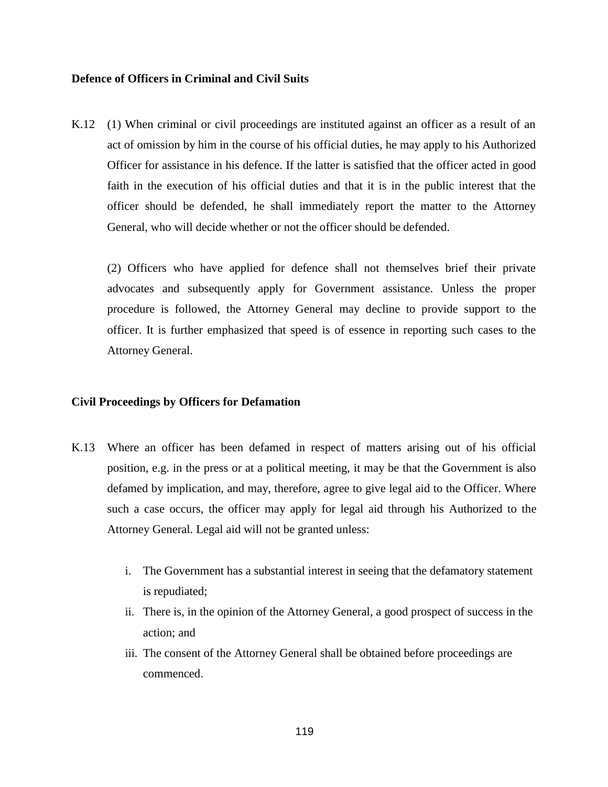# **Defence of Officers in Criminal and Civil Suits**

K.12 (1) When criminal or civil proceedings are instituted against an officer as a result of an act of omission by him in the course of his official duties, he may apply to his Authorized Officer for assistance in his defence. If the latter is satisfied that the officer acted in good faith in the execution of his official duties and that it is in the public interest that the officer should be defended, he shall immediately report the matter to the Attorney General, who will decide whether or not the officer should be defended.

(2) Officers who have applied for defence shall not themselves brief their private advocates and subsequently apply for Government assistance. Unless the proper procedure is followed, the Attorney General may decline to provide support to the officer. It is further emphasized that speed is of essence in reporting such cases to the Attorney General.

# **Civil Proceedings by Officers for Defamation**

- K.13 Where an officer has been defamed in respect of matters arising out of his official position, e.g. in the press or at a political meeting, it may be that the Government is also defamed by implication, and may, therefore, agree to give legal aid to the Officer. Where such a case occurs, the officer may apply for legal aid through his Authorized to the Attorney General. Legal aid will not be granted unless:
	- i. The Government has a substantial interest in seeing that the defamatory statement is repudiated;
	- ii. There is, in the opinion of the Attorney General, a good prospect of success in the action; and
	- iii. The consent of the Attorney General shall be obtained before proceedings are commenced.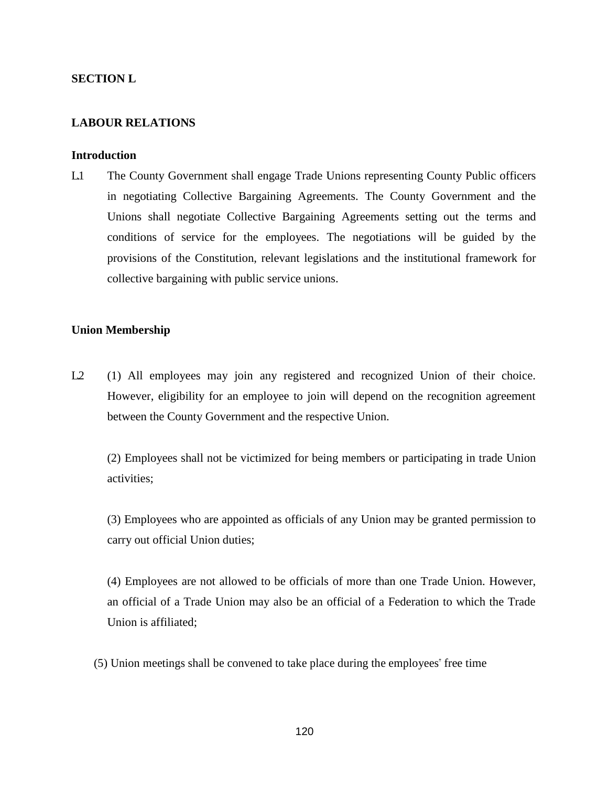# **SECTION L**

### **LABOUR RELATIONS**

#### **Introduction**

L1 The County Government shall engage Trade Unions representing County Public officers in negotiating Collective Bargaining Agreements. The County Government and the Unions shall negotiate Collective Bargaining Agreements setting out the terms and conditions of service for the employees. The negotiations will be guided by the provisions of the Constitution, relevant legislations and the institutional framework for collective bargaining with public service unions.

#### **Union Membership**

L2 (1) All employees may join any registered and recognized Union of their choice. However, eligibility for an employee to join will depend on the recognition agreement between the County Government and the respective Union.

(2) Employees shall not be victimized for being members or participating in trade Union activities;

(3) Employees who are appointed as officials of any Union may be granted permission to carry out official Union duties;

(4) Employees are not allowed to be officials of more than one Trade Union. However, an official of a Trade Union may also be an official of a Federation to which the Trade Union is affiliated;

(5) Union meetings shall be convened to take place during the employees" free time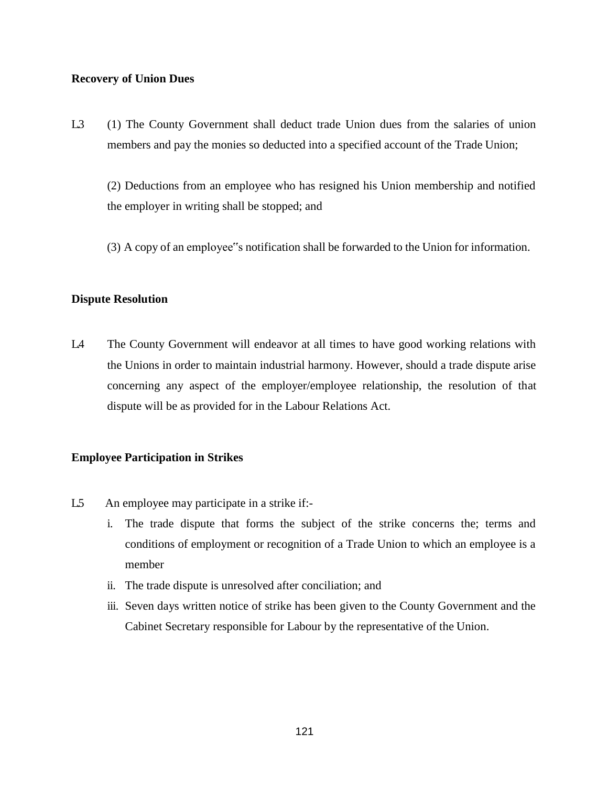### **Recovery of Union Dues**

L3 (1) The County Government shall deduct trade Union dues from the salaries of union members and pay the monies so deducted into a specified account of the Trade Union;

(2) Deductions from an employee who has resigned his Union membership and notified the employer in writing shall be stopped; and

(3) A copy of an employee"s notification shall be forwarded to the Union for information.

# **Dispute Resolution**

L4 The County Government will endeavor at all times to have good working relations with the Unions in order to maintain industrial harmony. However, should a trade dispute arise concerning any aspect of the employer/employee relationship, the resolution of that dispute will be as provided for in the Labour Relations Act.

# **Employee Participation in Strikes**

- L5 An employee may participate in a strike if:
	- i. The trade dispute that forms the subject of the strike concerns the; terms and conditions of employment or recognition of a Trade Union to which an employee is a member
	- ii. The trade dispute is unresolved after conciliation; and
	- iii. Seven days written notice of strike has been given to the County Government and the Cabinet Secretary responsible for Labour by the representative of the Union.